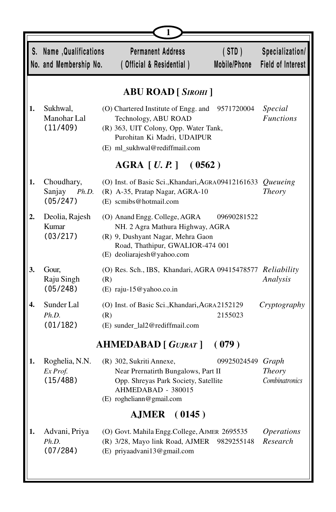|    | S. Name, Qualifications<br>No. and Membership No. | <b>Permanent Address</b><br>(STD)<br>Mobile/Phone<br>(Official & Residential)                                                                                                           | Specialization/<br>Field of Interest     |
|----|---------------------------------------------------|-----------------------------------------------------------------------------------------------------------------------------------------------------------------------------------------|------------------------------------------|
|    |                                                   | <b>ABU ROAD</b> [ SIROHI ]                                                                                                                                                              |                                          |
| 1. | Sukhwal,<br>Manohar Lal<br>(11/409)               | (O) Chartered Institute of Engg. and<br>9571720004<br>Technology, ABU ROAD<br>(R) 363, UIT Colony, Opp. Water Tank,<br>Purohitan Ki Madri, UDAIPUR<br>(E) ml_sukhwal@rediffmail.com     | Special<br><b>Functions</b>              |
|    |                                                   | $AGRA$ [ <i>U.P.</i> ] (0562)                                                                                                                                                           |                                          |
| 1. | Choudhary,<br>Sanjay<br>Ph.D.<br>(05/247)         | (O) Inst. of Basic Sci., Khandari, AGRA09412161633<br>(R) A-35, Pratap Nagar, AGRA-10<br>(E) scmibs@hotmail.com                                                                         | Queueing<br>Theory                       |
| 2. | Deolia, Rajesh<br>Kumar<br>(03/217)               | (O) Anand Engg. College, AGRA<br>09690281522<br>NH. 2 Agra Mathura Highway, AGRA<br>(R) 9, Dushyant Nagar, Mehra Gaon<br>Road, Thathipur, GWALIOR-474 001<br>(E) deoliarajesh@yahoo.com |                                          |
| 3. | Gour,<br>Raju Singh<br>(05/248)                   | (O) Res. Sch., IBS, Khandari, AGRA 09415478577 Reliability<br>(R)<br>$(E)$ raju-15@yahoo.co.in                                                                                          | Analysis                                 |
| 4. | Sunder Lal<br>Ph.D.<br>(01/182)                   | (O) Inst. of Basic Sci., Khandari, AGRA2152129<br>(R)<br>2155023<br>(E) sunder_lal2@rediffmail.com                                                                                      | Cryptography                             |
|    |                                                   | <b>AHMEDABAD</b> [ GUJRAT ]<br>(079)                                                                                                                                                    |                                          |
| 1. | Roghelia, N.N.<br>Ex Prof.<br>(15/488)            | 09925024549<br>(R) 302, Sukriti Annexe,<br>Near Prernatirth Bungalows, Part II<br>Opp. Shreyas Park Society, Satellite<br>AHMEDABAD - 380015<br>(E) rogheliann@gmail.com                | Graph<br><b>Theory</b><br>Combinatronics |
|    |                                                   | (0145)<br><b>AJMER</b>                                                                                                                                                                  |                                          |
| 1. | Advani, Priya<br>Ph.D.<br>(07/284)                | (O) Govt. Mahila Engg.College, AJMER 2695535<br>(R) 3/28, Mayo link Road, AJMER<br>9829255148<br>(E) priyaadvani13@gmail.com                                                            | <b>Operations</b><br>Research            |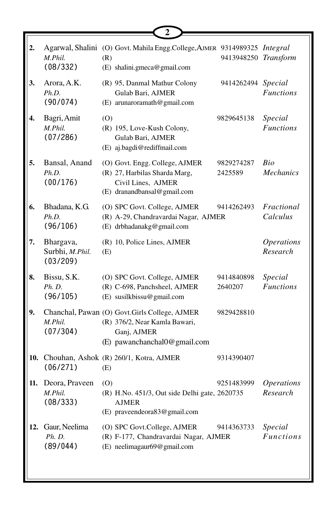| 2.  | M.Phil.<br>(08/332)                      | Agarwal, Shalini (O) Govt. Mahila Engg.College, AJMER 9314989325 Integral<br>(R)<br>(E) shalini.gmeca@gmail.com               | 9413948250 Transform  |                               |
|-----|------------------------------------------|-------------------------------------------------------------------------------------------------------------------------------|-----------------------|-------------------------------|
| 3.  | Arora, A.K.<br>Ph.D.<br>(90/074)         | (R) 95, Danmal Mathur Colony<br>Gulab Bari, AJMER<br>(E) arunaroramath@gmail.com                                              | 9414262494 Special    | <b>Functions</b>              |
| 4.  | Bagri, Amit<br>M.Phil.<br>(07/286)       | (0)<br>(R) 195, Love-Kush Colony,<br>Gulab Bari, AJMER<br>(E) aj.bagdi@rediffmail.com                                         | 9829645138            | Special<br><b>Functions</b>   |
| 5.  | Bansal, Anand<br>Ph.D.<br>(00/176)       | (O) Govt. Engg. College, AJMER<br>(R) 27, Harbilas Sharda Marg,<br>Civil Lines, AJMER<br>(E) dranandbansal@gmail.com          | 9829274287<br>2425589 | Bio<br><b>Mechanics</b>       |
| 6.  | Bhadana, K.G.<br>Ph.D.<br>(96/106)       | (O) SPC Govt. College, AJMER<br>(R) A-29, Chandravardai Nagar, AJMER<br>(E) drbhadanakg@gmail.com                             | 9414262493            | Fractional<br>Calculus        |
| 7.  | Bhargava,<br>Surbhi, M.Phil.<br>(03/209) | (R) 10, Police Lines, AJMER<br>(E)                                                                                            |                       | <b>Operations</b><br>Research |
| 8.  | Bissu, S.K.<br>Ph. D.<br>(96/105)        | (O) SPC Govt. College, AJMER<br>(R) C-698, Panchsheel, AJMER<br>(E) susilkbissu@gmail.com                                     | 9414840898<br>2640207 | Special<br><b>Functions</b>   |
| 9.  | M.Phil.<br>(07/304)                      | Chanchal, Pawan (O) Govt.Girls College, AJMER<br>(R) 376/2, Near Kamla Bawari,<br>Ganj, AJMER<br>(E) pawanchanchal0@gmail.com | 9829428810            |                               |
| 10. | (06/271)                                 | Chouhan, Ashok (R) 260/1, Kotra, AJMER<br>(E)                                                                                 | 9314390407            |                               |
| 11. | Deora, Praveen<br>M.Phil.<br>(08/333)    | (0)<br>(R) H.No. 451/3, Out side Delhi gate, 2620735<br><b>AJMER</b><br>(E) praveendeora83@gmail.com                          | 9251483999            | <b>Operations</b><br>Research |
| 12. | Gaur, Neelima<br>Ph. D.<br>(89/044)      | (O) SPC Govt.College, AJMER<br>(R) F-177, Chandravardai Nagar, AJMER<br>(E) neelimagaur69@gmail.com                           | 9414363733            | Special<br><b>Functions</b>   |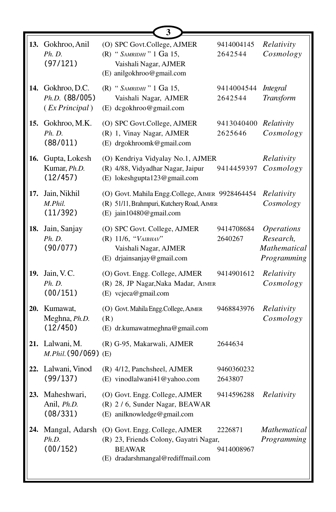|     | 13. Gokhroo, Anil<br>Ph. D.<br>(97/121)               | (O) SPC Govt.College, AJMER<br>(R) " SAMRIDHI" 1 Ga 15,<br>Vaishali Nagar, AJMER<br>(E) anilgokhroo@gmail.com                  | 9414004145<br>2642544 | Relativity<br>Cosmology                                              |
|-----|-------------------------------------------------------|--------------------------------------------------------------------------------------------------------------------------------|-----------------------|----------------------------------------------------------------------|
|     | 14. Gokhroo, D.C.<br>Ph.D. (88/005)<br>(EX Principal) | (R) " SAMRIDHI" 1 Ga 15,<br>Vaishali Nagar, AJMER<br>(E) dcgokhroo@gmail.com                                                   | 9414004544<br>2642544 | <b>Integral</b><br>Transform                                         |
| 15. | Gokhroo, M.K.<br>Ph. D.<br>(88/011)                   | (O) SPC Govt.College, AJMER<br>(R) 1, Vinay Nagar, AJMER<br>(E) drgokhroomk@gmail.com                                          | 9413040400<br>2625646 | Relativity<br>Cosmology                                              |
| 16. | Gupta, Lokesh<br>Kumar, Ph.D.<br>(12/457)             | (O) Kendriya Vidyalay No.1, AJMER<br>(R) 4/88, Vidyadhar Nagar, Jaipur<br>(E) lokeshgupta123@gmail.com                         | 9414459397            | Relativity<br>Cosmology                                              |
| 17. | Jain, Nikhil<br>M.Phil.<br>(11/392)                   | (O) Govt. Mahila Engg.College, AJMER 9928464454<br>(R) 51/11, Brahmpuri, Kutchery Road, AJMER<br>(E) jain10480@gmail.com       |                       | Relativity<br>Cosmology                                              |
| 18. | Jain, Sanjay<br>Ph. D.<br>(90/077)                    | (O) SPC Govt. College, AJMER<br>(R) 11/6, "VAIBHAV"<br>Vaishali Nagar, AJMER<br>(E) drjainsanjay@gmail.com                     | 9414708684<br>2640267 | <i><b>Operations</b></i><br>Research,<br>Mathematical<br>Programming |
| 19. | Jain, V.C.<br>Ph. D.<br>(00/151)                      | (O) Govt. Engg. College, AJMER<br>(R) 28, JP Nagar, Naka Madar, AJMER<br>(E) vcjeca@gmail.com                                  | 9414901612            | Relativity<br>Cosmology                                              |
|     | 20. Kumawat,<br>Meghna, Ph.D.<br>(12/450)             | (O) Govt. Mahila Engg.College, AJMER<br>(R)<br>(E) dr.kumawatmeghna@gmail.com                                                  | 9468843976            | Relativity<br>Cosmology                                              |
|     | 21. Lalwani, M.<br>M.Phil. (90/069) (E)               | (R) G-95, Makarwali, AJMER                                                                                                     | 2644634               |                                                                      |
|     | 22. Lalwani, Vinod<br>(99/137)                        | (R) 4/12, Panchsheel, AJMER<br>(E) vinodlalwani41@yahoo.com                                                                    | 9460360232<br>2643807 |                                                                      |
|     | 23. Maheshwari,<br>Anil, Ph.D.<br>(08/331)            | (O) Govt. Engg. College, AJMER<br>(R) 2/6, Sunder Nagar, BEAWAR<br>(E) anilknowledge@gmail.com                                 | 9414596288            | Relativity                                                           |
| 24. | Mangal, Adarsh<br>Ph.D.<br>(00/152)                   | (O) Govt. Engg. College, AJMER<br>(R) 23, Friends Colony, Gayatri Nagar,<br><b>BEAWAR</b><br>(E) dradarshmangal@rediffmail.com | 2226871<br>9414008967 | <i>Mathematical</i><br>Programming                                   |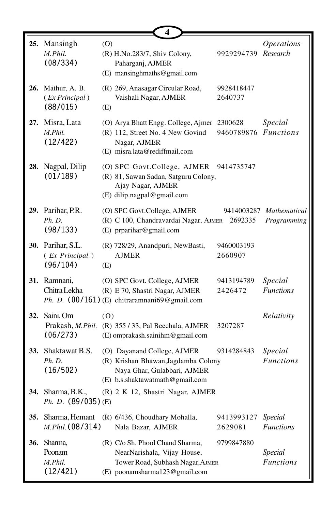|     |                                                 | 4                                                                                                                                    |                       |                                        |
|-----|-------------------------------------------------|--------------------------------------------------------------------------------------------------------------------------------------|-----------------------|----------------------------------------|
|     | 25. Mansingh<br>M.Phil.<br>(08/334)             | (O)<br>(R) H.No.283/7, Shiv Colony,<br>Paharganj, AJMER<br>(E) mansinghmaths@gmail.com                                               | 9929294739            | <i><b>Operations</b></i><br>Research   |
|     | 26. Mathur, A. B.<br>(Ex Principal)<br>(88/015) | (R) 269, Anasagar Circular Road,<br>Vaishali Nagar, AJMER<br>(E)                                                                     | 9928418447<br>2640737 |                                        |
|     | 27. Misra, Lata<br>M.Phil.<br>(12/422)          | (O) Arya Bhatt Engg. College, Ajmer<br>(R) 112, Street No. 4 New Govind<br>Nagar, AJMER<br>(E) misra.lata@rediffmail.com             | 2300628<br>9460789876 | Special<br><b>Functions</b>            |
| 28. | Nagpal, Dilip<br>(01/189)                       | (O) SPC Govt.College, AJMER 9414735747<br>(R) 81, Sawan Sadan, Satguru Colony,<br>Ajay Nagar, AJMER<br>(E) dilip.nagpal@gmail.com    |                       |                                        |
|     | 29. Parihar, P.R.<br>Ph. D.<br>(98/133)         | (O) SPC Govt.College, AJMER<br>(R) C 100, Chandravardai Nagar, AJMER<br>(E) prparihar@gmail.com                                      | 2692335               | 9414003287 Mathematical<br>Programming |
|     | 30. Parihar, S.L.<br>(Ex Principal)<br>(96/104) | (R) 728/29, Anandpuri, NewBasti,<br><b>AJMER</b><br>(E)                                                                              | 9460003193<br>2660907 |                                        |
|     | 31. Ramnani,<br>Chitra Lekha                    | (O) SPC Govt. College, AJMER<br>(R) E 70, Shastri Nagar, AJMER<br>Ph. D. $(00/161)$ (E) chitraramnani69@gmail.com                    | 9413194789<br>2426472 | Special<br><b>Functions</b>            |
|     | 32. Saini, Om<br>(06/273)                       | (0)<br>Prakash, M.Phil. (R) 355 / 33, Pal Beechala, AJMER<br>(E) omprakash.sainihm@gmail.com                                         | 3207287               | Relativity                             |
| 33. | Shaktawat B.S.<br>Ph. D.<br>(16/502)            | (O) Dayanand College, AJMER<br>(R) Krishan Bhawan, Jagdamba Colony<br>Naya Ghar, Gulabbari, AJMER<br>(E) b.s.shaktawatmath@gmail.com | 9314284843            | Special<br><b>Functions</b>            |
| 34. | Sharma, B.K.,<br>$Ph. D. (89/035)$ (E)          | (R) 2 K 12, Shastri Nagar, AJMER                                                                                                     |                       |                                        |
| 35. | Sharma, Hemant<br>M.Phil. (08/314)              | (R) 6/436, Choudhary Mohalla,<br>Nala Bazar, AJMER                                                                                   | 9413993127<br>2629081 | <b>Special</b><br><b>Functions</b>     |
| 36. | Sharma,<br>Poonam<br>M.Phil.<br>(12/421)        | (R) C/o Sh. Phool Chand Sharma,<br>NearNarishala, Vijay House,<br>Tower Road, Subhash Nagar, AJMER<br>(E) poonamsharma123@gmail.com  | 9799847880            | Special<br><b>Functions</b>            |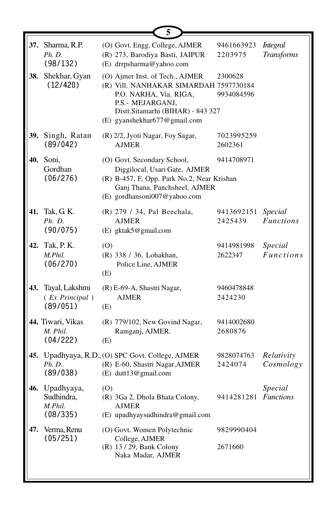|     |                                                     | 5                                                                                                                                                                                            |                       |                                      |
|-----|-----------------------------------------------------|----------------------------------------------------------------------------------------------------------------------------------------------------------------------------------------------|-----------------------|--------------------------------------|
|     | 37. Sharma, R.P.<br>Ph. D.<br>(98/132)              | (O) Govt. Engg. College, AJMER<br>(R) 273, Barodiya Basti, JAIPUR<br>(E) drrpsharma@yahoo.com                                                                                                | 9461663923<br>2203975 | <i>Integral</i><br><b>Transforms</b> |
| 38. | Shekhar, Gyan<br>(12/420)                           | (O) Ajmer Inst. of Tech., AJMER<br>(R) Vill. NANHAKAR SIMARDAH 7597730184<br>P.O. NARHA, Via. RIGA,<br>P.S.- MEJARGANJ,<br>Distt.Sitamarhi (BIHAR) - 843 327<br>(E) gyanshekhar677@gmail.com | 2300628<br>9934084596 |                                      |
|     | 39. Singh, Ratan<br>(89/042)                        | (R) 2/2, Jyoti Nagar, Foy Sagar,<br><b>AJMER</b>                                                                                                                                             | 7023995259<br>2602361 |                                      |
|     | 40. Soni,<br>Gordhan<br>(06/276)                    | (O) Govt. Secondary School,<br>Diggilocal, Usari Gate, AJMER<br>(R) B-457, F, Opp. Park No.2, Near Krishan<br>Ganj Thana, Panchsheel, AJMER<br>(E) gordhansoni007@yahoo.com                  | 9414708971            |                                      |
|     | 41. Tak, G. K.<br>Ph. D.<br>(90/075)                | (R) 279 / 34, Pal Beechala,<br><b>AJMER</b><br>(E) gktak5@gmail.com                                                                                                                          | 9413692151<br>2425439 | Special<br><b>Functions</b>          |
|     | <b>42.</b> Tak, P. K.<br>M.Phil.<br>(06/270)        | (0)<br>(R) 338 / 36, Lohakhan,<br>Police Line, AJMER<br>(E)                                                                                                                                  | 9414981998<br>2622347 | Special<br><b>Functions</b>          |
| 43. | Tayal, Lakshmi<br>(Ex Principal)<br>(89/051)        | (R) E-69-A, Shastri Nagar,<br><b>AJMER</b><br>(E)                                                                                                                                            | 9460478848<br>2424230 |                                      |
|     | 44. Tiwari, Vikas<br>M. Phil.<br>(04/222)           | (R) 779/102, New Govind Nagar,<br>Ramganj, AJMER.<br>(E)                                                                                                                                     | 9414002680<br>2680876 |                                      |
|     | Ph. D.<br>(89/038)                                  | 45. Upadhyaya, R.D., (O) SPC Govt. College, AJMER<br>(R) E-60, Shastri Nagar, AJMER<br>(E) dutt13@gmail.com                                                                                  | 9828074763<br>2424074 | Relativity<br>Cosmology              |
|     | 46. Upadhyaya,<br>Sudhindra,<br>M.Phil.<br>(08/335) | (0)<br>(R) 3Ga 2, Dhola Bhata Colony,<br><b>AJMER</b><br>$(E)$ upadhyaysudhindra@gmail.com                                                                                                   | 9414281281 Functions  | Special                              |
| 47. | Verma, Renu<br>(05/251)                             | (O) Govt. Women Polytechnic<br>College, AJMER<br>(R) 13 / 29, Bank Colony<br>Naka Madar, AJMER                                                                                               | 9829990404<br>2671660 |                                      |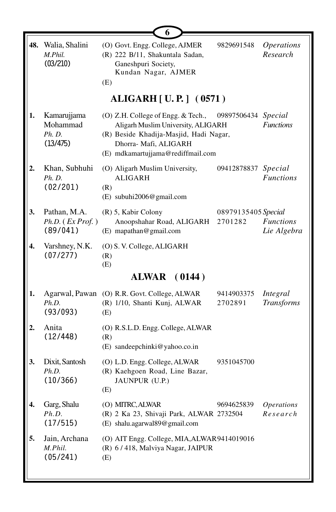|    |                                               | 6                                                                                                                                                                                |                                |                                      |
|----|-----------------------------------------------|----------------------------------------------------------------------------------------------------------------------------------------------------------------------------------|--------------------------------|--------------------------------------|
|    | 48. Walia, Shalini<br>M.Phil.<br>(03/210)     | (O) Govt. Engg. College, AJMER<br>(R) 222 B/11, Shakuntala Sadan,<br>Ganeshpuri Society,<br>Kundan Nagar, AJMER<br>(E)                                                           | 9829691548                     | <i><b>Operations</b></i><br>Research |
|    |                                               | <b>ALIGARH</b> [ U.P.] (0571)                                                                                                                                                    |                                |                                      |
| 1. | Kamarujjama<br>Mohammad<br>Ph. D.<br>(13/475) | (O) Z.H. College of Engg. & Tech.,<br>Aligarh Muslim University, ALIGARH<br>(R) Beside Khadija-Masjid, Hadi Nagar,<br>Dhorra- Mafi, ALIGARH<br>(E) mdkamartujjama@rediffmail.com | 09897506434 Special            | <b>Functions</b>                     |
| 2. | Khan, Subhuhi<br>Ph. D.<br>(02/201)           | (O) Aligarh Muslim University,<br><b>ALIGARH</b><br>(R)<br>(E) subuhi2006@gmail.com                                                                                              | 09412878837 Special            | <b>Functions</b>                     |
| 3. | Pathan, M.A.<br>Ph.D. (Ex Prof.)<br>(89/041)  | (R) 5, Kabir Colony<br>Anoopshahar Road, ALIGARH<br>(E) mapathan@gmail.com                                                                                                       | 08979135405 Special<br>2701282 | <b>Functions</b><br>Lie Algebra      |
| 4. | Varshney, N.K.<br>(07/277)                    | (O) S. V. College, ALIGARH<br>(R)<br>(E)                                                                                                                                         |                                |                                      |
|    |                                               | <b>ALWAR</b> (0144)                                                                                                                                                              |                                |                                      |
| 1. | Ph.D.<br>(93/093)                             | Agarwal, Pawan (O) R.R. Govt. College, ALWAR<br>(R) 1/10, Shanti Kunj, ALWAR<br>(E)                                                                                              | 9414903375<br>2702891          | Integral<br><b>Transforms</b>        |
| 2. | Anita<br>(12/448)                             | (O) R.S.L.D. Engg. College, ALWAR<br>(R)<br>(E) sandeepchinki@yahoo.co.in                                                                                                        |                                |                                      |
| 3. | Dixit, Santosh<br>Ph.D.<br>(10/366)           | (O) L.D. Engg. College, ALWAR<br>(R) Kaehgoen Road, Line Bazar,<br>JAUNPUR (U.P.)<br>(E)                                                                                         | 9351045700                     |                                      |
| 4. | Garg, Shalu<br>Ph.D.<br>(17/515)              | (O) MITRC, ALWAR<br>(R) 2 Ka 23, Shivaji Park, ALWAR 2732504<br>(E) shalu.agarwal89@gmail.com                                                                                    | 9694625839                     | <b>Operations</b><br>Research        |
| 5. | Jain, Archana<br>M. Phil.<br>(05/241)         | (O) AIT Engg. College, MIA, ALWAR9414019016<br>(R) 6/418, Malviya Nagar, JAIPUR<br>(E)                                                                                           |                                |                                      |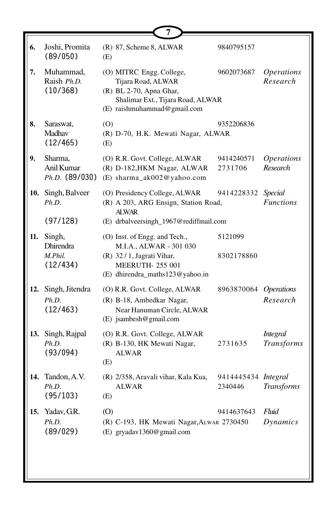| 6.  | Joshi, Promita<br>(89/050)                        | (R) 87, Scheme 8, ALWAR<br>(E)                                                                                                                      | 9840795157                     |                                      |
|-----|---------------------------------------------------|-----------------------------------------------------------------------------------------------------------------------------------------------------|--------------------------------|--------------------------------------|
| 7.  | Muhammad,<br>Raish Ph.D.<br>(10/368)              | (O) MITRC Engg. College,<br>Tijara Road, ALWAR<br>(R) BL 2-70, Apna Ghar,<br>Shalimar Ext., Tijara Road, ALWAR<br>(E) raishmuhammad@gmail.com       | 9602073687                     | <i><b>Operations</b></i><br>Research |
| 8.  | Saraswat,<br>Madhav<br>(12/465)                   | (0)<br>(R) D-70, H.K. Mewati Nagar, ALWAR<br>(E)                                                                                                    | 9352206836                     |                                      |
| 9.  | Sharma,<br>Anil Kumar<br>$Ph.D.$ (89/030)         | (O) R.R. Govt. College, ALWAR<br>(R) D-182, HKM Nagar, ALWAR<br>(E) sharma_ak002@yahoo.com                                                          | 9414240571<br>2731706          | <b>Operations</b><br>Research        |
|     | 10. Singh, Balveer<br>Ph.D.                       | (O) Presidency College, ALWAR<br>(R) A 203, ARG Ensign, Station Road,<br><b>ALWAR</b>                                                               | 9414228332 Special             | <b>Functions</b>                     |
|     | (97/128)                                          | (E) drbalveersingh_1967@rediffmail.com                                                                                                              |                                |                                      |
| 11. | Singh,<br><b>Dhirendra</b><br>M.Phil.<br>(12/434) | (O) Inst. of Engg. and Tech.,<br>M.I.A., ALWAR - 301 030<br>$(R)$ 32/1, Jagrati Vihar,<br><b>MEERUTH-255 001</b><br>(E) dhirendra_maths123@yahoo.in | 5121099<br>8302178860          |                                      |
|     | 12. Singh, Jitendra<br>Ph.D.<br>(12/463)          | (O) R.R. Govt. College, ALWAR<br>(R) B-18, Ambedkar Nagar,<br>Near Hanuman Circle, ALWAR<br>$(E)$ jsambesh@gmail.com                                | 8963870064 Operations          | Research                             |
|     | 13. Singh, Rajpal<br>Ph.D.<br>(93/094)            | (O) R.R. Govt. College, ALWAR<br>(R) B-130, HK Mewati Nagar,<br><b>ALWAR</b><br>(E)                                                                 | 2731635                        | <b>Integral</b><br><b>Transforms</b> |
|     | 14. Tandon, A.V.<br>Ph.D.<br>(95/103)             | (R) 2/358, Aravali vihar, Kala Kua,<br><b>ALWAR</b><br>(E)                                                                                          | 9414445434 Integral<br>2340446 | <b>Transforms</b>                    |
|     | 15. Yadav, G.R.<br>Ph.D.<br>(89/029)              | (0)<br>(R) C-193, HK Mewati Nagar, ALWAR 2730450<br>(E) gryadav1360@gmail.com                                                                       | 9414637643                     | Fluid<br>Dynamics                    |
|     |                                                   |                                                                                                                                                     |                                |                                      |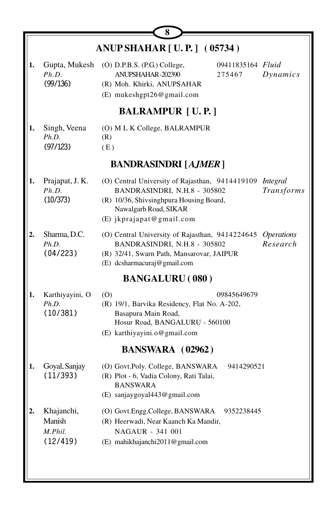|    |                                             | 8                                                                                                                                                                                                      |
|----|---------------------------------------------|--------------------------------------------------------------------------------------------------------------------------------------------------------------------------------------------------------|
|    |                                             | <b>ANUP SHAHAR [U.P.] (05734)</b>                                                                                                                                                                      |
| 1. | Gupta, Mukesh<br>Ph.D.<br>(99/136)          | (O) D.P.B.S. (P.G.) College,<br>09411835164 Fluid<br>ANUPSHAHAR-202390<br>275467<br>Dynamics<br>(R) Moh. Khirki, ANUPSAHAR<br>(E) mukeshgpt26@gmail.com                                                |
|    |                                             | <b>BALRAMPUR [U.P.]</b>                                                                                                                                                                                |
| 1. | Singh, Veena<br>Ph.D.<br>(97/123)           | (O) M L K College, BALRAMPUR<br>(R)<br>(E)                                                                                                                                                             |
|    |                                             | <b>BANDRASINDRI [AJMER]</b>                                                                                                                                                                            |
| 1. | Prajapat, J. K.<br>Ph.D.<br>(10/373)        | (O) Central University of Rajasthan, 9414419109 Integral<br>BANDRASINDRI, N.H.8 - 305802<br>Transforms<br>(R) 10/36, Shivsinghpura Housing Board,<br>Nawalgarh Road, SIKAR<br>(E) jkprajapat@gmail.com |
| 2. | Sharma, D.C.<br>Ph.D.<br>(04/223)           | (O) Central University of Rajasthan, 9414224645<br><i><b>Operations</b></i><br>BANDRASINDRI, N.H.8 - 305802<br>Research<br>(R) 32/41, Swarn Path, Mansarovar, JAIPUR<br>(E) dcsharmacuraj@gmail.com    |
|    |                                             | <b>BANGALURU</b> (080)                                                                                                                                                                                 |
| 1. | Karthiyayini, O<br>Ph.D.<br>(10/381)        | (0)<br>09845649679<br>(R) 19/1, Barvika Residency, Flat No. A-202,<br>Basapura Main Road,<br>Hosur Road, BANGALURU - 560100<br>(E) karthiyayini.o@gmail.com                                            |
|    |                                             | BANSWARA (02962)                                                                                                                                                                                       |
| 1. | Goyal, Sanjay<br>(11/393)                   | (O) Govt.Poly. College, BANSWARA<br>9414290521<br>(R) Plot - 6, Vadia Colony, Rati Talai,<br><b>BANSWARA</b><br>(E) sanjaygoyal443@gmail.com                                                           |
|    | Khajanchi,<br>Manish<br>M.Phil.<br>(12/419) | (O) Govt.Engg.College, BANSWARA<br>9352238445<br>(R) Heerwadi, Near Kaanch Ka Mandir,<br>NAGAUR - 341 001<br>(E) mahikhajanchi2011@gmail.com                                                           |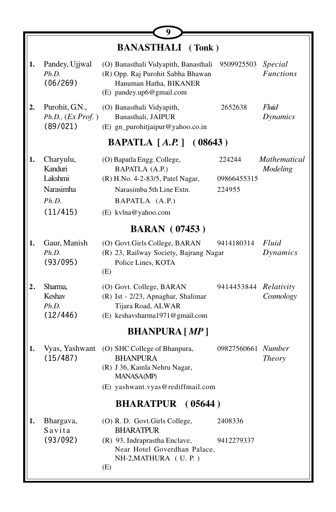|    |                                                                          | Ÿ                                                                                                                                                     |                                 |                             |
|----|--------------------------------------------------------------------------|-------------------------------------------------------------------------------------------------------------------------------------------------------|---------------------------------|-----------------------------|
|    |                                                                          | <b>BANASTHALI</b> (Tonk)                                                                                                                              |                                 |                             |
| 1. | Pandey, Ujjwal<br>Ph.D.<br>(06/269)                                      | (O) Banasthali Vidyapith, Banasthali<br>(R) Opp. Raj Purohit Sabha Bhawan<br>Hanuman Hatha, BIKANER<br>(E) pandey.up6@gmail.com                       | 9509925503                      | Special<br><b>Functions</b> |
| 2. | Purohit, G.N.,<br>Ph.D., (Ex Prof.)<br>(89/021)                          | (O) Banasthali Vidyapith,<br>Banasthali, JAIPUR<br>(E) gn_purohitjaipur@yahoo.co.in                                                                   | 2652638                         | Fluid<br>Dynamics           |
|    |                                                                          | <b>BAPATLA</b> [A.P.] (08643)                                                                                                                         |                                 |                             |
| 1. | Charyulu,<br>Kanduri<br>Lakshmi<br><b>Narasimha</b><br>Ph.D.<br>(11/415) | (O) Bapatla Engg. College,<br>BAPATLA (A.P.)<br>(R) H.No. 4-2-83/5, Patel Nagar,<br>Narasimba 5th Line Extn.<br>BAPATLA (A.P.)<br>(E) kvlna@yahoo.com | 224244<br>09866455315<br>224955 | Mathematical<br>Modeling    |
|    |                                                                          | <b>BARAN</b> (07453)                                                                                                                                  |                                 |                             |
| 1. | Gaur, Manish<br>Ph.D.<br>(93/095)                                        | (O) Govt.Girls College, BARAN<br>(R) 23, Railway Society, Bajrang Nagar<br>Police Lines, KOTA<br>(E)                                                  | 9414180314                      | Fluid<br>Dynamics           |
| 2. | Sharma,<br>Keshav<br>Ph.D.<br>(12/446)                                   | (O) Govt. College, BARAN<br>(R) Ist - 2/23, Apnaghar, Shalimar<br>Tijara Road, ALWAR<br>(E) keshavsharma1971@gmail.com                                | 9414453844                      | Relativity<br>Cosmology     |
|    |                                                                          | <b>BHANPURA</b> [MP]                                                                                                                                  |                                 |                             |
| 1. | Vyas, Yashwant<br>(15/487)                                               | (O) SHC College of Bhanpura,<br><b>BHANPURA</b><br>(R) J 36, Kamla Nehru Nagar,<br>MANASA(MP)<br>(E) yashwant.vyas@rediffmail.com                     | 09827560661 Number              | <b>Theory</b>               |
|    |                                                                          | <b>BHARATPUR</b><br>(05644)                                                                                                                           |                                 |                             |
| 1. | Bhargava,<br>Savita<br>(93/092)                                          | (O) R. D. Govt.Girls College,<br><b>BHARATPUR</b><br>(R) 93, Indraprastha Enclave,<br>Near Hotel Goverdhan Palace,<br>NH-2, MATHURA (U. P.)<br>(E)    | 2408336<br>9412279337           |                             |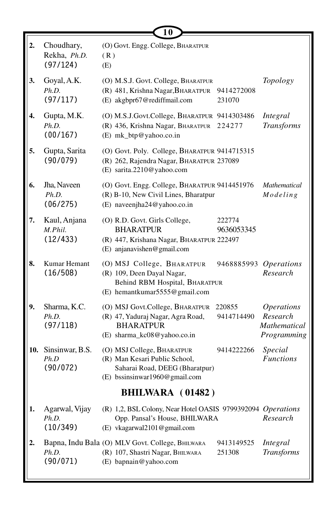|    |                                         | 10                                                                                                                             |                       |                                                                     |
|----|-----------------------------------------|--------------------------------------------------------------------------------------------------------------------------------|-----------------------|---------------------------------------------------------------------|
| 2. | Choudhary,<br>Rekha, Ph.D.<br>(97/124)  | (O) Govt. Engg. College, BHARATPUR<br>(R)<br>(E)                                                                               |                       |                                                                     |
| 3. | Goyal, A.K.<br>Ph.D.<br>(97/117)        | (O) M.S.J. Govt. College, BHARATPUR<br>(R) 481, Krishna Nagar, BHARATPUR<br>(E) akgbpr67@rediffmail.com                        | 9414272008<br>231070  | Topology                                                            |
| 4. | Gupta, M.K.<br>Ph.D.<br>(00/167)        | (O) M.S.J.Govt.College, BHARATPUR 9414303486<br>(R) 436, Krishna Nagar, BHARATPUR<br>(E) mk_btp@yahoo.co.in                    | 224277                | Integral<br><b>Transforms</b>                                       |
| 5. | Gupta, Sarita<br>(90/079)               | (O) Govt. Poly. College, BHARATPUR 9414715315<br>(R) 262, Rajendra Nagar, BHARATPUR 237089<br>(E) sarita.2210@yahoo.com        |                       |                                                                     |
| 6. | Jha, Naveen<br>Ph.D.<br>(06/275)        | (O) Govt. Engg. College, BHARATPUR 9414451976<br>(R) B-10, New Civil Lines, Bharatpur<br>(E) naveenjha24@yahoo.co.in           |                       | Mathematical<br>Modeling                                            |
| 7. | Kaul, Anjana<br>M.Phil.<br>(12/433)     | (O) R.D. Govt. Girls College,<br><b>BHARATPUR</b><br>(R) 447, Krishana Nagar, BHARATPUR 222497<br>(E) anjanavishen@gmail.com   | 222774<br>9636053345  |                                                                     |
| 8. | Kumar Hemant<br>(16/508)                | (O) MSJ College, BHARATPUR<br>(R) 109, Deen Dayal Nagar,<br>Behind RBM Hospital, BHARATPUR<br>(E) hemantkumar5555@gmail.com    | 9468885993 Operations | Research                                                            |
| 9. | Sharma, K.C.<br>Ph.D.<br>(97/118)       | (O) MSJ Govt.College, BHARATPUR<br>(R) 47, Yaduraj Nagar, Agra Road,<br><b>BHARATPUR</b><br>(E) sharma_kc08@yahoo.co.in        | 220855<br>9414714490  | <i><b>Operations</b></i><br>Research<br>Mathematical<br>Programming |
|    | 10. Sinsinwar, B.S.<br>Ph.D<br>(90/072) | (O) MSJ College, BHARATPUR<br>(R) Man Kesari Public School,<br>Saharai Road, DEEG (Bharatpur)<br>(E) bssinsinwar1960@gmail.com | 9414222266            | Special<br><b>Functions</b>                                         |
|    |                                         | BHILWARA (01482)                                                                                                               |                       |                                                                     |
| 1. | Agarwal, Vijay<br>Ph.D.<br>(10/349)     | (R) 1,2, BSL Colony, Near Hotel OASIS 9799392094 Operations<br>Opp. Pansal's House, BHILWARA<br>(E) vkagarwal2101@gmail.com    |                       | Research                                                            |
| 2. | Ph.D.<br>(90/071)                       | Bapna, Indu Bala (O) MLV Govt. College, BHILWARA<br>(R) 107, Shastri Nagar, BHILWARA<br>(E) bapnain@yahoo.com                  | 9413149525<br>251308  | Integral<br><b>Transforms</b>                                       |

μ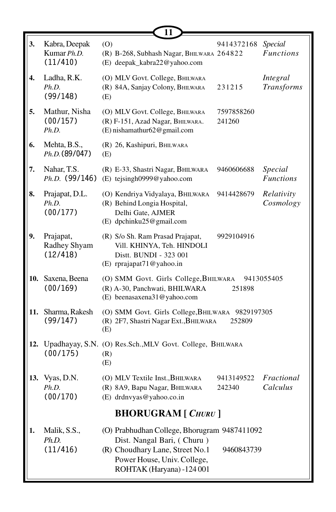|     |                                          | 11                                                                                                                                                                        |                      |                               |
|-----|------------------------------------------|---------------------------------------------------------------------------------------------------------------------------------------------------------------------------|----------------------|-------------------------------|
| 3.  | Kabra, Deepak<br>Kumar Ph.D.<br>(11/410) | (0)<br>(R) B-268, Subhash Nagar, BHILWARA 264822<br>(E) deepak_kabra22@yahoo.com                                                                                          | 9414372168           | Special<br><b>Functions</b>   |
| 4.  | Ladha, R.K.<br>Ph.D.<br>(99/148)         | (O) MLV Govt. College, BHILWARA<br>(R) 84A, Sanjay Colony, BHILWARA<br>(E)                                                                                                | 231215               | Integral<br><b>Transforms</b> |
| 5.  | Mathur, Nisha<br>(00/157)<br>Ph.D.       | (O) MLV Govt. College, BHILWARA<br>(R) F-151, Azad Nagar, BHILWARA.<br>(E) nishamathur62@gmail.com                                                                        | 7597858260<br>241260 |                               |
| 6.  | Mehta, B.S.,<br>Ph.D. (89/047)           | (R) 26, Kashipuri, BHILWARA<br>(E)                                                                                                                                        |                      |                               |
| 7.  | Nahar, T.S.<br>$Ph.D.$ (99/146)          | (R) E-33, Shastri Nagar, BHILWARA<br>(E) tejsingh0999@yahoo.com                                                                                                           | 9460606688           | Special<br><b>Functions</b>   |
| 8.  | Prajapat, D.L.<br>Ph.D.<br>(00/177)      | (O) Kendriya Vidyalaya, BHILWARA<br>(R) Behind Longia Hospital,<br>Delhi Gate, AJMER<br>(E) dpchinku25@gmail.com                                                          | 9414428679           | Relativity<br>Cosmology       |
| 9.  | Prajapat,<br>Radhey Shyam<br>(12/418)    | (R) S/o Sh. Ram Prasad Prajapat,<br>Vill. KHINYA, Teh. HINDOLI<br>Distt. BUNDI - 323 001<br>(E) rprajapat71@yahoo.in                                                      | 9929104916           |                               |
| 10. | Saxena, Beena<br>(00/169)                | (O) SMM Govt. Girls College, BHILWARA<br>(R) A-30, Panchwati, BHILWARA<br>(E) beenasaxena31@yahoo.com                                                                     | 251898               | 9413055405                    |
| 11. | Sharma, Rakesh<br>(99/147)               | (O) SMM Govt. Girls College, BHILWARA 9829197305<br>(R) 2F7, Shastri Nagar Ext., BHILWARA<br>(E)                                                                          | 252809               |                               |
|     | (00/175)                                 | 12. Upadhayay, S.N. (O) Res.Sch., MLV Govt. College, BHILWARA<br>(R)<br>(E)                                                                                               |                      |                               |
| 13. | Vyas, D.N.<br>Ph.D.<br>(00/170)          | (O) MLV Textile Inst., BHILWARA<br>(R) 8A9, Bapu Nagar, BHILWARA<br>(E) drdnvyas@yahoo.co.in                                                                              | 9413149522<br>242340 | Fractional<br>Calculus        |
|     |                                          | <b>BHORUGRAM</b> [ CHURU ]                                                                                                                                                |                      |                               |
| 1.  | Malik, S.S.,<br>Ph.D.<br>(11/416)        | (O) Prabhudhan College, Bhorugram 9487411092<br>Dist. Nangal Bari, (Churu)<br>(R) Choudhary Lane, Street No.1<br>Power House, Univ. College,<br>ROHTAK (Haryana) -124 001 | 9460843739           |                               |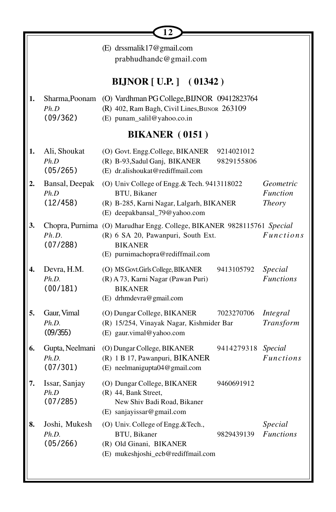|    |                                      | 12                                                                                                                                                                 |                                        |
|----|--------------------------------------|--------------------------------------------------------------------------------------------------------------------------------------------------------------------|----------------------------------------|
|    |                                      | (E) drssmalik17@gmail.com<br>prabhudhandc@gmail.com                                                                                                                |                                        |
|    |                                      | <b>BIJNOR</b> [ U.P. ] (01342)                                                                                                                                     |                                        |
| 1. | Sharma, Poonam<br>Ph.D<br>(09/362)   | (O) Vardhman PG College, BIJNOR 09412823764<br>(R) 402, Ram Bagh, Civil Lines, BIJNOR 263109<br>(E) punam_salil@yahoo.co.in                                        |                                        |
|    |                                      | <b>BIKANER</b> (0151)                                                                                                                                              |                                        |
| 1. | Ali, Shoukat<br>Ph.D<br>(05/265)     | (O) Govt. Engg.College, BIKANER<br>9214021012<br>(R) B-93, Sadul Ganj, BIKANER<br>9829155806<br>(E) dr.alishoukat@rediffmail.com                                   |                                        |
| 2. | Bansal, Deepak<br>Ph.D<br>(12/458)   | (O) Univ College of Engg. & Tech. 9413118022<br>BTU, Bikaner<br>(R) B-285, Karni Nagar, Lalgarh, BIKANER<br>(E) deepakbansal_79@yahoo.com                          | Geometric<br><b>Function</b><br>Theory |
| 3. | Ph.D.<br>(07/288)                    | Chopra, Purnima (O) Marudhar Engg. College, BIKANER 9828115761 Special<br>(R) 6 SA 20, Pawanpuri, South Ext.<br><b>BIKANER</b><br>(E) purnimachopra@rediffmail.com | <b>Functions</b>                       |
| 4. | Devra, H.M.<br>Ph.D.<br>(00/181)     | (O) MS Govt.Girls College, BIKANER<br>9413105792<br>(R) A 73, Karni Nagar (Pawan Puri)<br><b>BIKANER</b><br>(E) drhmdevra@gmail.com                                | Special<br><b>Functions</b>            |
| 5. | Gaur, Vimal<br>Ph.D.<br>(09/355)     | (O) Dungar College, BIKANER<br>7023270706<br>(R) 15/254, Vinayak Nagar, Kishmider Bar<br>(E) gaur.vimal@yahoo.com                                                  | Integral<br>Transform                  |
| 6. | Gupta, Neelmani<br>Ph.D.<br>(07/301) | (O) Dungar College, BIKANER<br>9414279318<br>(R) 1 B 17, Pawanpuri, BIKANER<br>(E) neelmanigupta04@gmail.com                                                       | Special<br><b>Functions</b>            |
| 7. | Issar, Sanjay<br>Ph.D<br>(07/285)    | (O) Dungar College, BIKANER<br>9460691912<br>(R) 44, Bank Street,<br>New Shiv Badi Road, Bikaner<br>(E) sanjayissar@gmail.com                                      |                                        |
| 8. | Joshi, Mukesh<br>Ph.D.<br>(05/266)   | (O) Univ. College of Engg.&Tech.,<br>BTU, Bikaner<br>9829439139<br>(R) Old Ginani, BIKANER<br>(E) mukeshjoshi_ecb@rediffmail.com                                   | Special<br><b>Functions</b>            |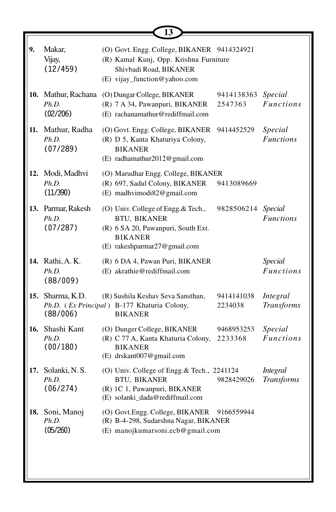|     |                                          | 13                                                                                                                                                 |                       |                                      |
|-----|------------------------------------------|----------------------------------------------------------------------------------------------------------------------------------------------------|-----------------------|--------------------------------------|
| 9.  | Makar,<br>Vijay,<br>(12/459)             | (O) Govt. Engg. College, BIKANER 9414324921<br>(R) Kamal Kunj, Opp. Krishna Furniture<br>Shivbadi Road, BIKANER<br>(E) vijay_function@yahoo.com    |                       |                                      |
|     | 10. Mathur, Rachana<br>Ph.D.<br>(02/206) | (O) Dungar College, BIKANER<br>(R) 7 A 34, Pawanpuri, BIKANER<br>(E) rachanamathur@rediffmail.com                                                  | 9414138363<br>2547363 | Special<br><b>Functions</b>          |
| 11. | Mathur, Radha<br>Ph.D.<br>(07/289)       | (O) Govt. Engg. College, BIKANER<br>(R) D 5, Kanta Khaturiya Colony,<br><b>BIKANER</b><br>(E) radhamathur2012@gmail.com                            | 9414452529            | Special<br><b>Functions</b>          |
|     | 12. Modi, Madhvi<br>Ph.D.<br>(11/390)    | (O) Marudhar Engg. College, BIKANER<br>(R) 697, Sadul Colony, BIKANER<br>(E) madhvimodi82@gmail.com                                                | 9413089669            |                                      |
|     | 13. Parmar, Rakesh<br>Ph.D.<br>(07/287)  | (O) Univ. College of Engg. & Tech.,<br><b>BTU, BIKANER</b><br>(R) 6 SA 20, Pawanpuri, South Ext.<br><b>BIKANER</b><br>(E) rakeshparmar27@gmail.com | 9828506214 Special    | <b>Functions</b>                     |
|     | 14. Rathi, A. K.<br>Ph.D.<br>(88/009)    | (R) 6 DA 4, Pawan Puri, BIKANER<br>(E) akrathie@rediffmail.com                                                                                     |                       | Special<br><b>Functions</b>          |
|     | 15. Sharma, K.D.<br>(88/006)             | (R) Sushila Keshav Seva Sansthan,<br>Ph.D. (Ex Principal) B-177 Khaturia Colony,<br><b>BIKANER</b>                                                 | 9414141038<br>2234038 | Integral<br><b>Transforms</b>        |
|     | 16. Shashi Kant<br>Ph.D.<br>(00/180)     | (O) Dunger College, BIKANER<br>(R) C 77 A, Kanta Khaturia Colony,<br><b>BIKANER</b><br>(E) drskant007@gmail.com                                    | 9468953253<br>2233368 | Special<br><b>Functions</b>          |
| 17. | Solanki, N. S.<br>Ph.D.<br>(06/274)      | (O) Univ. College of Engg.& Tech., 2241124<br><b>BTU, BIKANER</b><br>(R) 1C 1, Pawanpuri, BIKANER<br>(E) solanki_dada@rediffmail.com               | 9828429026            | <b>Integral</b><br><b>Transforms</b> |
| 18. | Soni, Manoj<br>Ph.D.<br>(05/260)         | (O) Govt.Engg. College, BIKANER<br>(R) B-4-298, Sudarshna Nagar, BIKANER<br>(E) manojkumarsoni.ecb@gmail.com                                       | 9166559944            |                                      |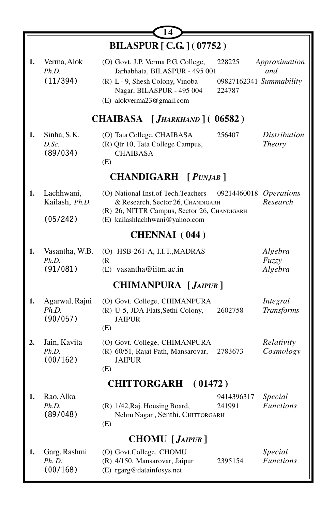|    | 14                                       |                                                                                                                                                                                                                  |                                      |  |  |
|----|------------------------------------------|------------------------------------------------------------------------------------------------------------------------------------------------------------------------------------------------------------------|--------------------------------------|--|--|
|    |                                          | <b>BILASPUR [ C.G. ] (07752)</b>                                                                                                                                                                                 |                                      |  |  |
| 1. | Verma, Alok<br>Ph.D.<br>(11/394)         | (O) Govt. J.P. Verma P.G. College,<br>228225<br>Jarhabhata, BILASPUR - 495 001<br>09827162341 Summability<br>(R) L - 9, Shesh Colony, Vinoba<br>Nagar, BILASPUR - 495 004<br>224787<br>(E) alokverma23@gmail.com | Approximation<br>and                 |  |  |
|    |                                          | CHAIBASA [JHARKHAND] (06582)                                                                                                                                                                                     |                                      |  |  |
| 1. | Sinha, S.K.<br>D.Sc.<br>(89/034)         | 256407<br>(O) Tata College, CHAIBASA<br>(R) Qtr 10, Tata College Campus,<br><b>CHAIBASA</b><br>(E)                                                                                                               | <i>Distribution</i><br><b>Theory</b> |  |  |
|    |                                          | CHANDIGARH [ PUNJAB ]                                                                                                                                                                                            |                                      |  |  |
| 1. | Lachhwani,<br>Kailash, Ph.D.<br>(05/242) | (O) National Inst. of Tech. Teachers<br>09214460018<br>& Research, Sector 26, CHANDIGARH<br>(R) 26, NITTR Campus, Sector 26, CHANDIGARH<br>(E) kailashlachhwani@yahoo.com                                        | <i><b>Operations</b></i><br>Research |  |  |
|    | <b>CHENNAI</b> (044)                     |                                                                                                                                                                                                                  |                                      |  |  |
| 1. | Vasantha, W.B.<br>Ph.D.<br>(91/081)      | (O) HSB-261-A, I.I.T., MADRAS<br>(R<br>$(E)$ vasantha@iitm.ac.in                                                                                                                                                 | Algebra<br>Fuzzy<br>Algebra          |  |  |
|    |                                          | <b>CHIMANPURA</b> [ <i>JAIPUR</i> ]                                                                                                                                                                              |                                      |  |  |
| 1. | Agarwal, Rajni<br>Ph.D.<br>(90/057)      | (O) Govt. College, CHIMANPURA<br>(R) U-5, JDA Flats, Sethi Colony,<br>2602758<br><b>JAIPUR</b><br>(E)                                                                                                            | Integral<br><b>Transforms</b>        |  |  |
| 2. | Jain, Kavita<br>Ph.D.<br>(00/162)        | (O) Govt. College, CHIMANPURA<br>(R) 60/51, Rajat Path, Mansarovar,<br>2783673<br><b>JAIPUR</b><br>(E)                                                                                                           | Relativity<br>Cosmology              |  |  |
|    |                                          | <b>CHITTORGARH</b><br>(01472)                                                                                                                                                                                    |                                      |  |  |
| 1. | Rao, Alka<br>Ph.D.<br>(89/048)           | 9414396317<br>(R) 1/42, Raj. Housing Board,<br>241991<br>Nehru Nagar, Senthi, CHITTORGARH<br>(E)                                                                                                                 | Special<br><b>Functions</b>          |  |  |
|    |                                          | <b>CHOMU</b> [ <i>JAIPUR</i> ]                                                                                                                                                                                   |                                      |  |  |
| 1. | Garg, Rashmi<br>Ph. D.<br>(00/168)       | (O) Govt.College, CHOMU<br>(R) 4/150, Mansarovar, Jaipur<br>2395154<br>(E) rgarg@datainfosys.net                                                                                                                 | Special<br><b>Functions</b>          |  |  |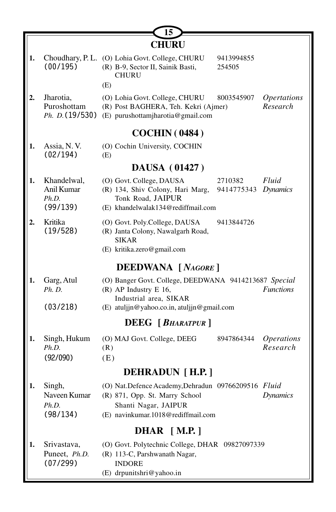|    |                                                | 15                                                                                                                      |                       |                                       |
|----|------------------------------------------------|-------------------------------------------------------------------------------------------------------------------------|-----------------------|---------------------------------------|
|    |                                                | <b>CHURU</b>                                                                                                            |                       |                                       |
| 1. | (00/195)                                       | Choudhary, P. L. (O) Lohia Govt. College, CHURU<br>(R) B-9, Sector II, Sainik Basti,<br><b>CHURU</b>                    | 9413994855<br>254505  |                                       |
|    |                                                | (E)                                                                                                                     |                       |                                       |
| 2. | Jharotia,<br>Puroshottam<br>Ph. D. (19/530)    | (O) Lohia Govt. College, CHURU<br>(R) Post BAGHERA, Teh. Kekri (Ajmer)<br>(E) purushottamjharotia@gmail.com             | 8003545907            | <i><b>Opertations</b></i><br>Research |
|    |                                                | <b>COCHIN (0484)</b>                                                                                                    |                       |                                       |
| 1. | Assia, N.V.<br>(02/194)                        | (O) Cochin University, COCHIN<br>(E)                                                                                    |                       |                                       |
|    |                                                | <b>DAUSA</b> (01427)                                                                                                    |                       |                                       |
| 1. | Khandelwal,<br>Anil Kumar<br>Ph.D.<br>(99/139) | (O) Govt. College, DAUSA<br>(R) 134, Shiv Colony, Hari Marg,<br>Tonk Road, JAIPUR<br>(E) khandelwalak134@rediffmail.com | 2710382<br>9414775343 | Fluid<br><b>Dynamics</b>              |
| 2. | Kritika<br>(19/528)                            | (O) Govt. Poly.College, DAUSA<br>(R) Janta Colony, Nawalgarh Road,<br><b>SIKAR</b><br>(E) kritika.zero@gmail.com        | 9413844726            |                                       |
|    |                                                | <b>DEEDWANA</b> [NAGORE]                                                                                                |                       |                                       |
| 1. | Garg, Atul<br><i>Ph. D.</i>                    | (O) Banger Govt. College, DEEDWANA 9414213687 Special<br>(R) AP Industry E 16,<br>Industrial area, SIKAR                |                       | <b>Functions</b>                      |
|    | (03/218)                                       | (E) atuljin@yahoo.co.in, atuljin@gmail.com                                                                              |                       |                                       |
|    |                                                | <b>DEEG</b> [ <i>BHARATPUR</i> ]                                                                                        |                       |                                       |
| 1. | Singh, Hukum<br>Ph.D.                          | (O) MAJ Govt. College, DEEG<br>(R)                                                                                      | 8947864344            | <i><b>Operations</b></i><br>Research  |
|    | (92/090)                                       | (E)                                                                                                                     |                       |                                       |
|    |                                                | DEHRADUN [H.P.]                                                                                                         |                       |                                       |
| 1. | Singh,                                         | (O) Nat.Defence Academy,Dehradun 09766209516 Fluid                                                                      |                       |                                       |
|    | Naveen Kumar                                   | (R) 871, Opp. St. Marry School                                                                                          |                       | <b>Dynamics</b>                       |
|    | Ph.D.<br>(98/134)                              | Shanti Nagar, JAIPUR<br>(E) navinkumar.1018@rediffmail.com                                                              |                       |                                       |
|    |                                                | <b>DHAR</b> [M.P.]                                                                                                      |                       |                                       |
| 1. | Srivastava,                                    | (O) Govt. Polytechnic College, DHAR 09827097339                                                                         |                       |                                       |
|    | Puneet, Ph.D.                                  | (R) 113-C, Parshwanath Nagar,                                                                                           |                       |                                       |
|    | (07/299)                                       | <b>INDORE</b>                                                                                                           |                       |                                       |
|    |                                                | (E) drpunitshri@yahoo.in                                                                                                |                       |                                       |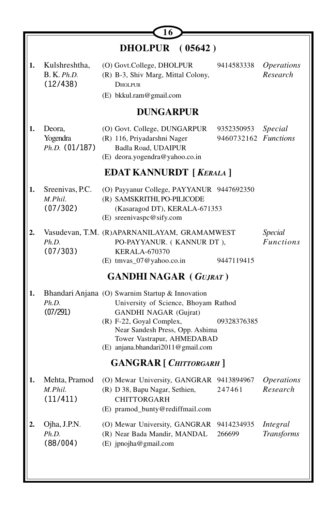|    |                                          | DHOLPUR (05642)                                                                                                                                                                                                                                     |                                    |                                      |  |
|----|------------------------------------------|-----------------------------------------------------------------------------------------------------------------------------------------------------------------------------------------------------------------------------------------------------|------------------------------------|--------------------------------------|--|
| 1. | Kulshreshtha,<br>B. K. Ph.D.<br>(12/438) | (O) Govt.College, DHOLPUR<br>(R) B-3, Shiv Marg, Mittal Colony,<br><b>DHOLPUR</b><br>(E) bkkul.ram@gmail.com                                                                                                                                        | 9414583338                         | <i><b>Operations</b></i><br>Research |  |
|    |                                          | <b>DUNGARPUR</b>                                                                                                                                                                                                                                    |                                    |                                      |  |
| 1. | Deora,<br>Yogendra<br>$Ph.D.$ (01/187)   | (O) Govt. College, DUNGARPUR<br>(R) 116, Priyadarshni Nager<br>Badla Road, UDAIPUR<br>(E) deora.yogendra@yahoo.co.in                                                                                                                                | 9352350953<br>9460732162 Functions | Special                              |  |
|    |                                          | <b>EDAT KANNURDT</b> [ <i>KERALA</i> ]                                                                                                                                                                                                              |                                    |                                      |  |
| 1. | Sreenivas, P.C.<br>M.Phil.<br>(07/302)   | (O) Payyanur College, PAYYANUR 9447692350<br>(R) SAMSKRITHI, PO-PILICODE<br>(Kasaragod DT), KERALA-671353<br>(E) sreenivaspc@sify.com                                                                                                               |                                    |                                      |  |
| 2. | Ph.D.<br>(07/303)                        | Vasudevan, T.M. (R)APARNANILAYAM, GRAMAMWEST<br>PO-PAYYANUR. (KANNUR DT),<br><b>KERALA-670370</b><br>(E) tmvas_07@yahoo.co.in                                                                                                                       | 9447119415                         | Special<br><b>Functions</b>          |  |
|    |                                          | <b>GANDHI NAGAR (GUJRAT)</b>                                                                                                                                                                                                                        |                                    |                                      |  |
| 1. | Ph.D.<br>(07/291)                        | Bhandari Anjana (O) Swarnim Startup & Innovation<br>University of Science, Bhoyam Rathod<br>GANDHI NAGAR (Gujrat)<br>(R) F-22, Goyal Complex,<br>Near Sandesh Press, Opp. Ashima<br>Tower Vastrapur, AHMEDABAD<br>(E) anjana.bhandari2011@gmail.com | 09328376385                        |                                      |  |
|    |                                          | <b>GANGRAR</b> [ CHITTORGARH ]                                                                                                                                                                                                                      |                                    |                                      |  |
| 1. | Mehta, Pramod<br>M.Phil.<br>(11/411)     | (O) Mewar University, GANGRAR 9413894967<br>(R) D 38, Bapu Nagar, Sethien, 247461<br>CHITTORGARH<br>(E) pramod_bunty@rediffmail.com                                                                                                                 |                                    | <i><b>Operations</b></i><br>Research |  |
| 2. | Ojha, J.P.N.<br>Ph.D.<br>(88/004)        | (O) Mewar University, GANGRAR<br>(R) Near Bada Mandir, MANDAL<br>(E) jpnojha@gmail.com                                                                                                                                                              | 9414234935<br>266699               | Integral<br><b>Transforms</b>        |  |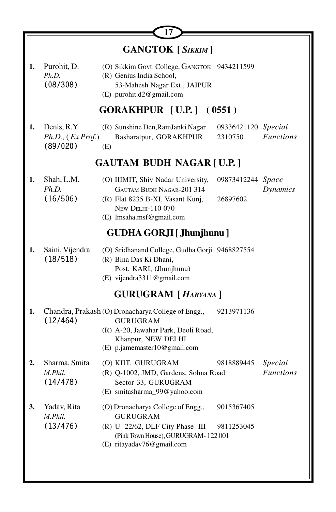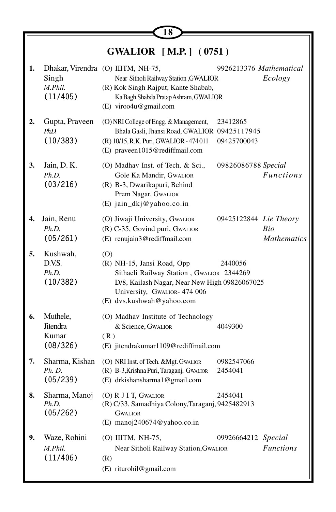|    |                                           | 18                                                                                                                                                                                           |                         |                                  |
|----|-------------------------------------------|----------------------------------------------------------------------------------------------------------------------------------------------------------------------------------------------|-------------------------|----------------------------------|
|    |                                           | <b>GWALIOR</b> [M.P.] (0751)                                                                                                                                                                 |                         |                                  |
| 1. | Singh<br>M.Phil.<br>(11/405)              | Dhakar, Virendra (O) IIITM, NH-75,<br>Near Sitholi Railway Station, GWALIOR<br>(R) Kok Singh Rajput, Kante Shabab,<br>Ka Bagh, Shabda Pratap Ashram, GWALIOR<br>(E) viroo4u@gmail.com        | 9926213376 Mathematical | Ecology                          |
| 2. | Gupta, Praveen<br>PhD<br>(10/383)         | (O) NRI College of Engg. & Management,<br>Bhala Gasli, Jhansi Road, GWALIOR 09425117945<br>(R) 10/15, R.K. Puri, GWALIOR - 474 011<br>(E) praveen1015@rediffmail.com                         | 23412865<br>09425700043 |                                  |
| 3. | Jain, D. K.<br>Ph.D.<br>(03/216)          | (O) Madhav Inst. of Tech. & Sci.,<br>Gole Ka Mandir, GWALIOR<br>(R) B-3, Dwarikapuri, Behind<br>Prem Nagar, GwaLIOR<br>(E) jain_dkj@yahoo.co.in                                              | 09826086788 Special     | <i>Functions</i>                 |
| 4. | Jain, Renu<br>Ph.D.<br>(05/261)           | (O) Jiwaji University, GwaLIOR<br>(R) C-35, Govind puri, GWALIOR<br>(E) renujain3@rediffmail.com                                                                                             | 09425122844 Lie Theory  | <b>Bio</b><br><b>Mathematics</b> |
| 5. | Kushwah,<br>D.V.S.<br>Ph.D.<br>(10/382)   | (0)<br>(R) NH-15, Jansi Road, Opp<br>Sithaeli Railway Station, GWALIOR 2344269<br>D/8, Kailash Nagar, Near New High 09826067025<br>University, GWALIOR- 474 006<br>(E) dvs.kushwah@yahoo.com | 2440056                 |                                  |
| 6. | Muthele,<br>Jitendra<br>Kumar<br>(08/326) | (O) Madhav Institute of Technology<br>& Science, GWALIOR<br>(R)<br>(E) jitendrakumar1109@rediffmail.com                                                                                      | 4049300                 |                                  |
| 7. | Sharma, Kishan<br>Ph. D.<br>(05/239)      | (O) NRI Inst. of Tech. & Mgt. GWALIOR<br>(R) B-3, Krishna Puri, Taraganj, GwaLIOR<br>(E) drkishansharma1@gmail.com                                                                           | 0982547066<br>2454041   |                                  |
| 8. | Sharma, Manoj<br>Ph.D.<br>(05/262)        | (O) R J I T, GWALIOR<br>(R) C/33, Samadhiya Colony, Taraganj, 9425482913<br><b>GWALIOR</b><br>(E) manoj240674@yahoo.co.in                                                                    | 2454041                 |                                  |
| 9. | Waze, Rohini<br>M.Phil.<br>(11/406)       | (O) IIITM, NH-75,<br>Near Sitholi Railway Station, Gwallor<br>(R)<br>(E) riturohil@gmail.com                                                                                                 | 09926664212 Special     | <b>Functions</b>                 |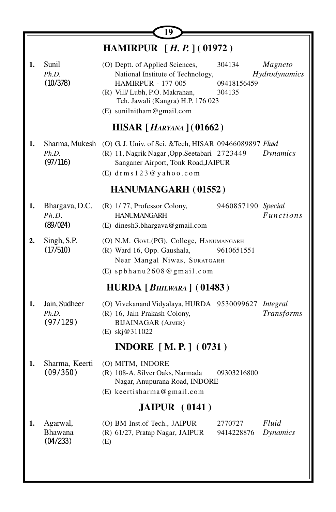|    | 19                                  |                                                                                                                                                                                                       |                                 |                               |  |
|----|-------------------------------------|-------------------------------------------------------------------------------------------------------------------------------------------------------------------------------------------------------|---------------------------------|-------------------------------|--|
|    |                                     | <b>HAMIRPUR</b> [H. P.] (01972)                                                                                                                                                                       |                                 |                               |  |
| 1. | Sunil<br>Ph.D.<br>(10/378)          | (O) Deptt. of Applied Sciences,<br>National Institute of Technology,<br><b>HAMIRPUR - 177 005</b><br>(R) Vill/ Lubh, P.O. Makrahan,<br>Teh. Jawali (Kangra) H.P. 176 023<br>(E) sunilnitham@gmail.com | 304134<br>09418156459<br>304135 | Magneto<br>Hydrodynamics      |  |
|    |                                     | <b>HISAR</b> [ <i>HARYANA</i> ] (01662)                                                                                                                                                               |                                 |                               |  |
| 1. | Ph.D.<br>(97/116)                   | Sharma, Mukesh (O) G. J. Univ. of Sci. & Tech, HISAR 09466089897 Fluid<br>(R) 11, Nagrik Nagar , Opp. Seetabari 2723449<br>Sanganer Airport, Tonk Road, JAIPUR<br>(E) drms 123@yahoo.com              |                                 | Dynamics                      |  |
|    |                                     | <b>HANUMANGARH (01552)</b>                                                                                                                                                                            |                                 |                               |  |
| 1. | Bhargava, D.C.<br>Ph.D.<br>(89/024) | (R) 1/77, Professor Colony,<br><b>HANUMANGARH</b><br>(E) dinesh3.bhargava@gmail.com                                                                                                                   | 9460857190 Special              | <b>Functions</b>              |  |
| 2. | Singh, S.P.<br>(17/510)             | (O) N.M. Govt.(PG), College, HANUMANGARH<br>(R) Ward 16, Opp. Gaushala,<br>Near Mangal Niwas, SURATGARH                                                                                               | 9610651551                      |                               |  |
|    |                                     | (E) spbhanu2608@gmail.com<br>HURDA [ $B$ HILWARA] (01483)                                                                                                                                             |                                 |                               |  |
|    |                                     |                                                                                                                                                                                                       |                                 |                               |  |
| 1. | Jain, Sudheer<br>Ph.D.<br>(97/129)  | (O) Vivekanand Vidyalaya, HURDA 9530099627<br>(R) 16, Jain Prakash Colony,<br><b>BIJAINAGAR (AJMER)</b><br>(E) skj@311022                                                                             |                                 | Integral<br><b>Transforms</b> |  |
|    |                                     | <b>INDORE</b> [M.P.] (0731)                                                                                                                                                                           |                                 |                               |  |
| 1. | Sharma, Keerti<br>(09/350)          | (O) MITM, INDORE<br>(R) 108-A, Silver Oaks, Narmada<br>Nagar, Anupurana Road, INDORE<br>(E) keertisharma@gmail.com                                                                                    | 09303216800                     |                               |  |
|    |                                     | JAIPUR (0141)                                                                                                                                                                                         |                                 |                               |  |
| 1. | Agarwal,<br>Bhawana<br>(04/233)     | (O) BM Inst.of Tech., JAIPUR<br>(R) 61/27, Pratap Nagar, JAIPUR<br>(E)                                                                                                                                | 2770727<br>9414228876           | Fluid<br>Dynamics             |  |
|    |                                     |                                                                                                                                                                                                       |                                 |                               |  |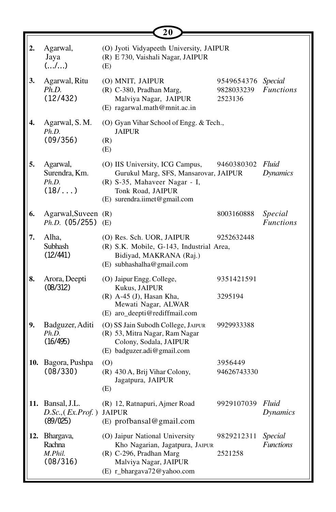|                  |                                                     | 20                                                                                                                                                             |                                     |                                    |
|------------------|-----------------------------------------------------|----------------------------------------------------------------------------------------------------------------------------------------------------------------|-------------------------------------|------------------------------------|
| 2.               | Agarwal,<br>Jaya<br>(/)                             | (O) Jyoti Vidyapeeth University, JAIPUR<br>(R) E 730, Vaishali Nagar, JAIPUR<br>(E)                                                                            |                                     |                                    |
| 3.               | Agarwal, Ritu<br>Ph.D.<br>(12/432)                  | (O) MNIT, JAIPUR<br>(R) C-380, Pradhan Marg,<br>Malviya Nagar, JAIPUR<br>(E) ragarwal.math@mnit.ac.in                                                          | 9549654376<br>9828033239<br>2523136 | <b>Special</b><br><b>Functions</b> |
| $\overline{4}$ . | Agarwal, S. M.<br>Ph.D.<br>(09/356)                 | (O) Gyan Vihar School of Engg. & Tech.,<br><b>JAIPUR</b><br>(R)<br>(E)                                                                                         |                                     |                                    |
| 5.               | Agarwal,<br>Surendra, Km.<br>Ph.D.<br>$(18/\ldots)$ | (O) IIS University, ICG Campus,<br>Gurukul Marg, SFS, Mansarovar, JAIPUR<br>(R) S-35, Mahaveer Nagar - I,<br>Tonk Road, JAIPUR<br>(E) surendra.iimet@gmail.com | 9460380302 Fluid                    | <b>Dynamics</b>                    |
| 6.               | Agarwal, Suveen (R)<br>$Ph.D.$ (05/255) (E)         |                                                                                                                                                                | 8003160888                          | Special<br><b>Functions</b>        |
| 7.               | Alha,<br>Subhash<br>(12/441)                        | (O) Res. Sch. UOR, JAIPUR<br>(R) S.K. Mobile, G-143, Industrial Area,<br>Bidiyad, MAKRANA (Raj.)<br>(E) subhashalha@gmail.com                                  | 9252632448                          |                                    |
| 8.               | Arora, Deepti<br>(08/312)                           | (O) Jaipur Engg. College,<br>Kukus, JAIPUR<br>(R) A-45 (J), Hasan Kha,<br>Mewati Nagar, ALWAR<br>(E) aro_deepti@rediffmail.com                                 | 9351421591<br>3295194               |                                    |
| 9.               | Badguzer, Aditi<br>Ph.D.<br>(16/495)                | (O) SS Jain Subodh College, JAIPUR<br>(R) 53, Mitra Nagar, Ram Nagar<br>Colony, Sodala, JAIPUR<br>(E) badguzer.adi@gmail.com                                   | 9929933388                          |                                    |
|                  | 10. Bagora, Pushpa<br>(08/330)                      | (O)<br>(R) 430 A, Brij Vihar Colony,<br>Jagatpura, JAIPUR<br>(E)                                                                                               | 3956449<br>94626743330              |                                    |
|                  | 11. Bansal, J.L.<br>D.Sc., (Ex. Prof.)<br>(89/025)  | (R) 12, Ratnapuri, Ajmer Road<br><b>JAIPUR</b><br>$(E)$ profbansal@gmail.com                                                                                   | 9929107039                          | Fluid<br><b>Dynamics</b>           |
|                  | 12. Bhargava,<br>Rachna<br>M.Phil.<br>(08/316)      | (O) Jaipur National University<br>Kho Nagarian, Jagatpura, JAIPUR<br>(R) C-296, Pradhan Marg<br>Malviya Nagar, JAIPUR<br>(E) r_bhargava72@yahoo.com            | 9829212311<br>2521258               | Special<br><b>Functions</b>        |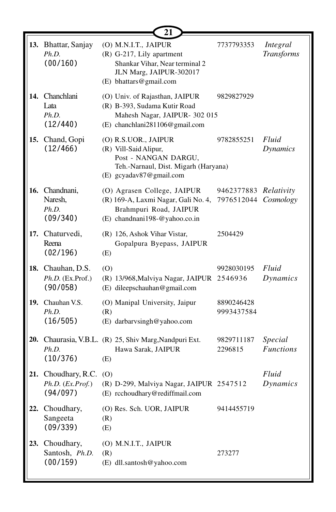|     |                                                   | 21                                                                                                                                       |                                               |                               |
|-----|---------------------------------------------------|------------------------------------------------------------------------------------------------------------------------------------------|-----------------------------------------------|-------------------------------|
|     | 13. Bhattar, Sanjay<br>Ph.D.<br>(00/160)          | (O) M.N.I.T., JAIPUR<br>(R) G-217, Lily apartment<br>Shankar Vihar, Near terminal 2<br>JLN Marg, JAIPUR-302017<br>(E) bhattars@gmail.com | 7737793353                                    | Integral<br><b>Transforms</b> |
|     | 14. Chanchlani<br>Lata<br>Ph.D.<br>(12/440)       | (O) Univ. of Rajasthan, JAIPUR<br>(R) B-393, Sudama Kutir Road<br>Mahesh Nagar, JAIPUR- 302 015<br>(E) chanchlani281106@gmail.com        | 9829827929                                    |                               |
|     | 15. Chand, Gopi<br>(12/466)                       | (O) R.S.UOR., JAIPUR<br>(R) Vill-Said Alipur,<br>Post - NANGAN DARGU,<br>Teh.-Narnaul, Dist. Migarh (Haryana)<br>(E) gcyadav87@gmail.com | 9782855251                                    | Fluid<br>Dynamics             |
|     | 16. Chandnani,<br>Naresh,<br>Ph.D.<br>(09/340)    | (O) Agrasen College, JAIPUR<br>(R) 169-A, Laxmi Nagar, Gali No. 4,<br>Brahmpuri Road, JAIPUR<br>(E) chandnani198-@yahoo.co.in            | 9462377883 Relativity<br>7976512044 Cosmology |                               |
|     | 17. Chaturvedi,<br>Reena<br>(02/196)              | (R) 126, Ashok Vihar Vistar,<br>Gopalpura Byepass, JAIPUR<br>(E)                                                                         | 2504429                                       |                               |
|     | 18. Chauhan, D.S.<br>Ph.D. (Ex.Prof.)<br>(90/058) | (0)<br>(R) 13/968, Malviya Nagar, JAIPUR<br>(E) dileepschauhan@gmail.com                                                                 | 9928030195<br>2546936                         | Fluid<br>Dynamics             |
|     | 19. Chauhan V.S.<br>Ph.D.<br>(16/505)             | (O) Manipal University, Jaipur<br>(R)<br>(E) darbarvsingh@yahoo.com                                                                      | 8890246428<br>9993437584                      |                               |
|     | Ph.D.<br>(10/376)                                 | 20. Chaurasia, V.B.L. (R) 25, Shiv Marg, Nandpuri Ext.<br>Hawa Sarak, JAIPUR<br>(E)                                                      | 9829711187<br>2296815                         | Special<br><b>Functions</b>   |
| 21. | Choudhary, R.C.<br>Ph.D. (Ex. Prof.)<br>(94/097)  | (0)<br>(R) D-299, Malviya Nagar, JAIPUR 2547512<br>(E) rcchoudhary@rediffmail.com                                                        |                                               | Fluid<br>Dynamics             |
| 22. | Choudhary,<br>Sangeeta<br>(09/339)                | (O) Res. Sch. UOR, JAIPUR<br>(R)<br>(E)                                                                                                  | 9414455719                                    |                               |
|     | 23. Choudhary,<br>Santosh, Ph.D.<br>(00/159)      | (O) M.N.I.T., JAIPUR<br>(R)<br>(E) dll.santosh@yahoo.com                                                                                 | 273277                                        |                               |

╙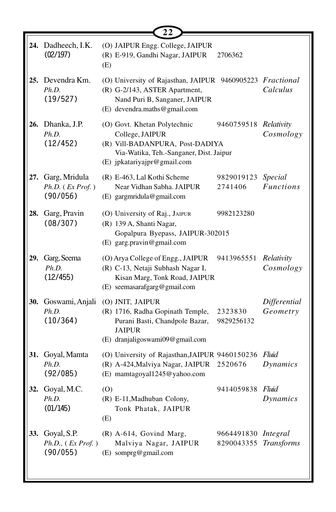|     | 24. Dadheech, I.K.<br>(02/197)                      | (O) JAIPUR Engg. College, JAIPUR<br>(R) E-919, Gandhi Nagar, JAIPUR<br>2706362<br>(E)                                                                                                 |                             |
|-----|-----------------------------------------------------|---------------------------------------------------------------------------------------------------------------------------------------------------------------------------------------|-----------------------------|
|     | 25. Devendra Km.<br>Ph.D.<br>(19/527)               | (O) University of Rajasthan, JAIPUR 9460905223 Fractional<br>(R) G-2/143, ASTER Apartment,<br>Nand Puri B, Sanganer, JAIPUR<br>(E) devendra.maths@gmail.com                           | Calculus                    |
|     | <b>26.</b> Dhanka, J.P.<br>Ph.D.<br>(12/452)        | (O) Govt. Khetan Polytechnic<br>9460759518 Relativity<br>College, JAIPUR<br>(R) Vill-BADANPURA, Post-DADIYA<br>Via-Watika, Teh.-Sanganer, Dist. Jaipur<br>(E) jpkatariyajpr@gmail.com | Cosmology                   |
| 27. | Garg, Mridula<br>$Ph.D.$ ( $Ex Prof.$ )<br>(90/056) | (R) E-463, Lal Kothi Scheme<br>9829019123<br>Near Vidhan Sabha. JAIPUR<br>2741406<br>(E) gargmridula@gmail.com                                                                        | Special<br><b>Functions</b> |
|     | 28. Garg, Pravin<br>(08/307)                        | (O) University of Raj., JAIPUR<br>9982123280<br>(R) 139 A, Shanti Nagar,<br>Gopalpura Byepass, JAIPUR-302015<br>(E) garg.pravin@gmail.com                                             |                             |
| 29. | Garg, Seema<br>Ph.D.<br>(12/455)                    | (O) Arya College of Engg., JAIPUR<br>9413965551<br>(R) C-13, Netaji Subhash Nagar I,<br>Kisan Marg, Tonk Road, JAIPUR<br>(E) seemasarafgarg@gmail.com                                 | Relativity<br>Cosmology     |
| 30. | Goswami, Anjali<br>Ph.D.<br>(10/364)                | (O) JNIT, JAIPUR<br>(R) 1716, Radha Gopinath Temple,<br>2323830<br>Purani Basti, Chandpole Bazar,<br>9829256132<br><b>JAIPUR</b><br>(E) dranjaligoswami09@gmail.com                   | Differential<br>Geometry    |
|     | 31. Goyal, Mamta<br>Ph.D.<br>(92/085)               | (O) University of Rajasthan, JAIPUR 9460150236<br>(R) A-424, Malviya Nagar, JAIPUR<br>2520676<br>(E) mamtagoyal1245@yahoo.com                                                         | Fluid<br>Dynamics           |
|     | 32. Goyal, M.C.<br>Ph.D.<br>(01/145)                | 9414059838 Fluid<br>(O)<br>(R) E-11, Madhuban Colony,<br>Tonk Phatak, JAIPUR<br>(E)                                                                                                   | Dynamics                    |
| 33. | Goyal, S.P.<br>Ph.D., (Ex Prof.)<br>(90/055)        | $(R)$ A-614, Govind Marg,<br>9664491830 <i>Integral</i><br>Malviya Nagar, JAIPUR<br>8290043355<br>(E) somprg@gmail.com                                                                | Transforms                  |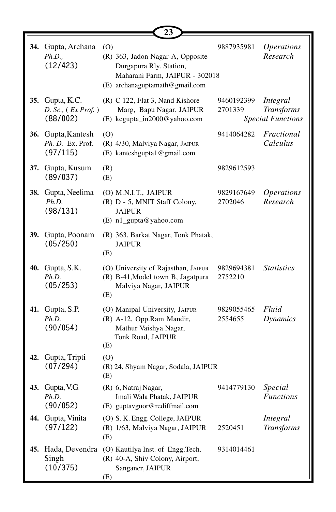|     |                                                        | 23                                                                                                                                     |                       |                                                           |
|-----|--------------------------------------------------------|----------------------------------------------------------------------------------------------------------------------------------------|-----------------------|-----------------------------------------------------------|
|     | 34. Gupta, Archana<br>Ph.D.,<br>(12/423)               | (O)<br>(R) 363, Jadon Nagar-A, Opposite<br>Durgapura Rly. Station,<br>Maharani Farm, JAIPUR - 302018<br>(E) archanaguptamath@gmail.com | 9887935981            | <i><b>Operations</b></i><br>Research                      |
|     | 35. Gupta, K.C.<br>$D.$ Sc., $(Ex Prof. )$<br>(88/002) | (R) C 122, Flat 3, Nand Kishore<br>Marg, Bapu Nagar, JAIPUR<br>(E) kcgupta_in2000@yahoo.com                                            | 9460192399<br>2701339 | Integral<br><b>Transforms</b><br><b>Special Functions</b> |
|     | 36. Gupta, Kantesh<br>Ph. D. Ex. Prof.<br>(97/115)     | (0)<br>(R) 4/30, Malviya Nagar, JAIPUR<br>(E) kanteshgupta1@gmail.com                                                                  | 9414064282            | Fractional<br>Calculus                                    |
|     | 37. Gupta, Kusum<br>(89/037)                           | (R)<br>(E)                                                                                                                             | 9829612593            |                                                           |
|     | 38. Gupta, Neelima<br>Ph.D.<br>(98/131)                | (O) M.N.I.T., JAIPUR<br>(R) D - 5, MNIT Staff Colony,<br><b>JAIPUR</b><br>(E) n1_gupta@yahoo.com                                       | 9829167649<br>2702046 | <b>Operations</b><br>Research                             |
| 39. | Gupta, Poonam<br>(05/250)                              | (R) 363, Barkat Nagar, Tonk Phatak,<br><b>JAIPUR</b><br>(E)                                                                            |                       |                                                           |
|     | 40. Gupta, S.K.<br>Ph.D.<br>(05/253)                   | (O) University of Rajasthan, JAIPUR<br>(R) B-41, Model town B, Jagatpura<br>Malviya Nagar, JAIPUR<br>(E)                               | 9829694381<br>2752210 | <i>Statistics</i>                                         |
|     | 41. Gupta, S.P.<br>Ph.D.<br>(90/054)                   | (O) Manipal University, JAIPUR<br>(R) A-12, Opp.Ram Mandir,<br>Mathur Vaishya Nagar,<br>Tonk Road, JAIPUR<br>(E)                       | 9829055465<br>2554655 | Fluid<br><b>Dynamics</b>                                  |
| 42. | Gupta, Tripti<br>(07/294)                              | (0)<br>(R) 24, Shyam Nagar, Sodala, JAIPUR<br>(E)                                                                                      |                       |                                                           |
|     | 43. Gupta, V.G.<br>Ph.D.<br>(90/052)                   | (R) 6, Natraj Nagar,<br>Imali Wala Phatak, JAIPUR<br>(E) guptavguor@rediffmail.com                                                     | 9414779130            | Special<br><b>Functions</b>                               |
|     | 44. Gupta, Vinita<br>(97/122)                          | (O) S. K. Engg. College, JAIPUR<br>(R) 1/63, Malviya Nagar, JAIPUR<br>(E)                                                              | 2520451               | Integral<br><b>Transforms</b>                             |
| 45. | Hada, Devendra<br>Singh<br>(10/375)                    | (O) Kautilya Inst. of Engg.Tech.<br>(R) 40-A, Shiv Colony, Airport,<br>Sanganer, JAIPUR<br>(E)                                         | 9314014461            |                                                           |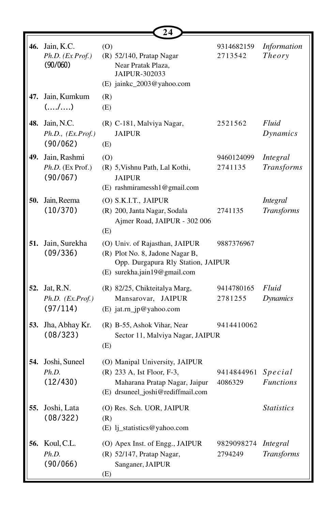|     |                                                  | 24                                                                                                                                      |                       |                                      |
|-----|--------------------------------------------------|-----------------------------------------------------------------------------------------------------------------------------------------|-----------------------|--------------------------------------|
|     | 46. Jain, K.C.<br>Ph.D. (Ex Prof.)<br>(90/060)   | (0)<br>(R) 52/140, Pratap Nagar<br>Near Pratak Plaza,<br>JAIPUR-302033<br>(E) jainkc_2003@yahoo.com                                     | 9314682159<br>2713542 | Information<br><b>Theory</b>         |
| 47. | Jain, Kumkum<br>(/)                              | (R)<br>(E)                                                                                                                              |                       |                                      |
| 48. | Jain, N.C.<br>Ph.D., (Ex.Prof.)<br>(90/062)      | (R) C-181, Malviya Nagar,<br><b>JAIPUR</b><br>(E)                                                                                       | 2521562               | Fluid<br>Dynamics                    |
|     | 49. Jain, Rashmi<br>Ph.D. (Ex Prof.)<br>(90/067) | (0)<br>(R) 5, Vishnu Path, Lal Kothi,<br><b>JAIPUR</b><br>(E) rashmiramessh1@gmail.com                                                  | 9460124099<br>2741135 | Integral<br><b>Transforms</b>        |
| 50. | Jain, Reema<br>(10/370)                          | (O) S.K.I.T., JAIPUR<br>(R) 200, Janta Nagar, Sodala<br>Ajmer Road, JAIPUR - 302 006<br>(E)                                             | 2741135               | <b>Integral</b><br><b>Transforms</b> |
| 51. | Jain, Surekha<br>(09/336)                        | (O) Univ. of Rajasthan, JAIPUR<br>(R) Plot No. 8, Jadone Nagar B,<br>Opp. Durgapura Rly Station, JAIPUR<br>(E) surekha.jain19@gmail.com | 9887376967            |                                      |
| 52. | Jat, R.N.<br>$Ph.D.$ $(EX.Prof.)$<br>(97/114)    | (R) 82/25, Chikteitalya Marg,<br>Mansarovar, JAIPUR<br>(E) jat.rn_jp@yahoo.com                                                          | 9414780165<br>2781255 | Fluid<br><b>Dynamics</b>             |
| 53. | Jha, Abhay Kr.<br>(08/323)                       | (R) B-55, Ashok Vihar, Near<br>Sector 11, Malviya Nagar, JAIPUR<br>(E)                                                                  | 9414410062            |                                      |
| 54. | Joshi, Suneel<br>Ph.D.<br>(12/430)               | (O) Manipal University, JAIPUR<br>(R) 233 A, Ist Floor, F-3,<br>Maharana Pratap Nagar, Jaipur<br>(E) drsuneel_joshi@rediffmail.com      | 9414844961<br>4086329 | Special<br><b>Functions</b>          |
| 55. | Joshi, Lata<br>(08/322)                          | (O) Res. Sch. UOR, JAIPUR<br>(R)<br>(E) lj_statistics@yahoo.com                                                                         |                       | <i>Statistics</i>                    |
|     | 56. Koul, C.L.<br>Ph.D.<br>(90/066)              | (O) Apex Inst. of Engg., JAIPUR<br>(R) 52/147, Pratap Nagar,<br>Sanganer, JAIPUR<br>(E)                                                 | 9829098274<br>2794249 | Integral<br><b>Transforms</b>        |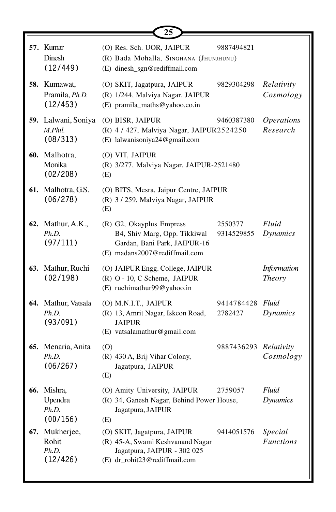|     |                                             | 25                                                                                                                              |                       |                                      |
|-----|---------------------------------------------|---------------------------------------------------------------------------------------------------------------------------------|-----------------------|--------------------------------------|
|     | 57. Kumar<br>Dinesh<br>(12/449)             | (O) Res. Sch. UOR, JAIPUR<br>(R) Bada Mohalla, SINGHANA (JHUNJHUNU)<br>(E) dinesh_sgn@rediffmail.com                            | 9887494821            |                                      |
|     | 58. Kumawat,<br>Pramila, Ph.D.<br>(12/453)  | (O) SKIT, Jagatpura, JAIPUR<br>(R) 1/244, Malviya Nagar, JAIPUR<br>(E) pramila_maths@yahoo.co.in                                | 9829304298            | Relativity<br>Cosmology              |
|     | 59. Lalwani, Soniya<br>M.Phil.<br>(08/313)  | (O) BISR, JAIPUR<br>(R) 4 / 427, Malviya Nagar, JAIPUR2524250<br>(E) lalwanisoniya24@gmail.com                                  | 9460387380            | <i><b>Operations</b></i><br>Research |
|     | 60. Malhotra,<br>Monika<br>(02/208)         | (O) VIT, JAIPUR<br>(R) 3/277, Malviya Nagar, JAIPUR-2521480<br>(E)                                                              |                       |                                      |
|     | 61. Malhotra, G.S.<br>(06/278)              | (O) BITS, Mesra, Jaipur Centre, JAIPUR<br>(R) 3 / 259, Malviya Nagar, JAIPUR<br>(E)                                             |                       |                                      |
|     | 62. Mathur, A.K.,<br>Ph.D.<br>(97/111)      | (R) G2, Okayplus Empress<br>B4, Shiv Marg, Opp. Tikkiwal<br>Gardan, Bani Park, JAIPUR-16<br>(E) madans2007@rediffmail.com       | 2550377<br>9314529855 | Fluid<br><b>Dynamics</b>             |
|     | 63. Mathur, Ruchi<br>(02/198)               | (O) JAIPUR Engg. College, JAIPUR<br>(R) O - 10, C Scheme, JAIPUR<br>(E) ruchimathur99@yahoo.in                                  |                       | <b>Information</b><br><b>Theory</b>  |
|     | 64. Mathur, Vatsala<br>Ph.D.<br>(93/091)    | (O) M.N.I.T., JAIPUR<br>(R) 13, Amrit Nagar, Iskcon Road,<br><b>JAIPUR</b><br>(E) vatsalamathur@gmail.com                       | 9414784428<br>2782427 | Fluid<br><b>Dynamics</b>             |
| 65. | Menaria, Anita<br>Ph.D.<br>(06/267)         | (0)<br>(R) 430 A, Brij Vihar Colony,<br>Jagatpura, JAIPUR<br>(E)                                                                | 9887436293 Relativity | Cosmology                            |
|     | 66. Mishra,<br>Upendra<br>Ph.D.<br>(00/156) | (O) Amity University, JAIPUR<br>(R) 34, Ganesh Nagar, Behind Power House,<br>Jagatpura, JAIPUR<br>(E)                           | 2759057               | Fluid<br><b>Dynamics</b>             |
| 67. | Mukherjee,<br>Rohit<br>Ph.D.<br>(12/426)    | (O) SKIT, Jagatpura, JAIPUR<br>(R) 45-A, Swami Keshvanand Nagar<br>Jagatpura, JAIPUR - 302 025<br>(E) dr_rohit23@rediffmail.com | 9414051576            | Special<br><b>Functions</b>          |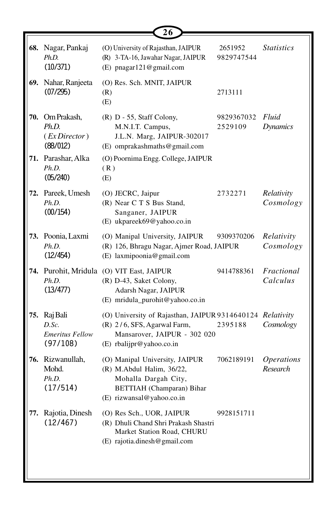|                                                                | 26                                                                                                                                                   |                       |                                      |
|----------------------------------------------------------------|------------------------------------------------------------------------------------------------------------------------------------------------------|-----------------------|--------------------------------------|
| 68. Nagar, Pankaj<br>Ph.D.<br>(10/371)                         | (O) University of Rajasthan, JAIPUR<br>(R) 3-TA-16, Jawahar Nagar, JAIPUR<br>(E) pnagar121@gmail.com                                                 | 2651952<br>9829747544 | <i>Statistics</i>                    |
| 69. Nahar, Ranjeeta<br>(07/295)                                | (O) Res. Sch. MNIT, JAIPUR<br>(R)<br>(E)                                                                                                             | 2713111               |                                      |
| 70. Om Prakash,<br>Ph.D.<br>(EXDirectory)<br>(88/012)          | (R) D - 55, Staff Colony,<br>M.N.I.T. Campus,<br>J.L.N. Marg, JAIPUR-302017<br>(E) omprakashmaths@gmail.com                                          | 9829367032<br>2529109 | Fluid<br><b>Dynamics</b>             |
| 71. Parashar, Alka<br>Ph.D.<br>(05/240)                        | (O) Poornima Engg. College, JAIPUR<br>(R)<br>(E)                                                                                                     |                       |                                      |
| 72. Pareek, Umesh<br>Ph.D.<br>(00/154)                         | (O) JECRC, Jaipur<br>(R) Near C T S Bus Stand,<br>Sanganer, JAIPUR<br>(E) ukpareek69@yahoo.co.in                                                     | 2732271               | Relativity<br>Cosmology              |
| 73. Poonia, Laxmi<br>Ph.D.<br>(12/454)                         | (O) Manipal University, JAIPUR<br>(R) 126, Bhragu Nagar, Ajmer Road, JAIPUR<br>(E) laxmipoonia@gmail.com                                             | 9309370206            | Relativity<br>Cosmology              |
| Ph.D.<br>(13/477)                                              | 74. Purohit, Mridula (O) VIT East, JAIPUR<br>(R) D-43, Saket Colony,<br>Adarsh Nagar, JAIPUR<br>(E) mridula_purohit@yahoo.co.in                      | 9414788361            | Fractional<br>Calculus               |
| 75. Raj Bali<br>$D.$ Sc.<br><b>Emeritus Fellow</b><br>(97/108) | (O) University of Rajasthan, JAIPUR 9314640124 Relativity<br>(R) 2/6, SFS, Agarwal Farm,<br>Mansarover, JAIPUR - 302 020<br>(E) rbalijpr@yahoo.co.in | 2395188               | Cosmology                            |
| 76. Rizwanullah,<br>Mohd.<br>Ph.D.<br>(17/514)                 | (O) Manipal University, JAIPUR<br>(R) M.Abdul Halim, 36/22,<br>Mohalla Dargah City,<br><b>BETTIAH</b> (Champaran) Bihar<br>(E) rizwansal@yahoo.co.in | 7062189191            | <i><b>Operations</b></i><br>Research |
| 77. Rajotia, Dinesh<br>(12/467)                                | (O) Res Sch., UOR, JAIPUR<br>(R) Dhuli Chand Shri Prakash Shastri<br>Market Station Road, CHURU<br>(E) rajotia.dinesh@gmail.com                      | 9928151711            |                                      |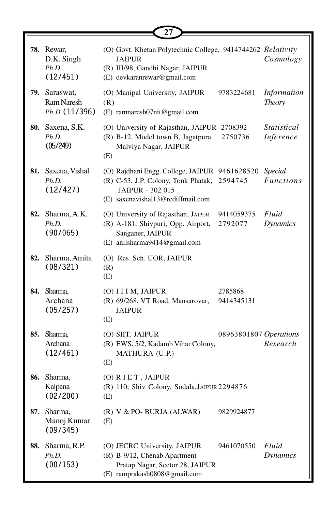|     |                                               | ו ב                                                                                                                                             |                        |                                     |
|-----|-----------------------------------------------|-------------------------------------------------------------------------------------------------------------------------------------------------|------------------------|-------------------------------------|
|     | 78. Rewar,<br>D.K. Singh<br>Ph.D.<br>(12/451) | (O) Govt. Khetan Polytechnic College, 9414744262 Relativity<br><b>JAIPUR</b><br>(R) III/98, Gandhi Nagar, JAIPUR<br>(E) devkaranrewar@gmail.com |                        | Cosmology                           |
|     | 79. Saraswat,<br>Ram Naresh<br>Ph.D. (11/396) | (O) Manipal University, JAIPUR<br>(R)<br>(E) ramnaresh07nit@gmail.com                                                                           | 9783224681             | <b>Information</b><br><b>Theory</b> |
|     | 80. Saxena, S.K.<br>Ph.D.<br>(05/249)         | (O) University of Rajasthan, JAIPUR 2708392<br>(R) B-12, Model town B, Jagatpura<br>Malviya Nagar, JAIPUR<br>(E)                                | 2750736                | <i>Statistical</i><br>Inference     |
|     | 81. Saxena, Vishal<br>Ph.D.<br>(12/427)       | (O) Rajdhani Engg. College, JAIPUR 9461628520<br>(R) C-53, J.P. Colony, Tonk Phatak,<br>JAIPUR - 302 015<br>(E) saxenavishal13@rediffmail.com   | 2594745                | <b>Special</b><br><b>Functions</b>  |
|     | <b>82.</b> Sharma, A.K.<br>Ph.D.<br>(90/065)  | (O) University of Rajasthan, JAIPUR<br>(R) A-181, Shivpuri, Opp. Airport,<br>Sanganer, JAIPUR<br>(E) anilsharma9414@gmail.com                   | 9414059375<br>2792077  | Fluid<br>Dynamics                   |
| 82. | Sharma, Amita<br>(08/321)                     | (O) Res. Sch. UOR, JAIPUR<br>(R)<br>(E)                                                                                                         |                        |                                     |
|     | 84. Sharma,<br>Archana<br>(05/257)            | (O) I I I M, JAIPUR<br>(R) 69/268, VT Road, Mansarovar,<br><b>JAIPUR</b><br>(E)                                                                 | 2785868<br>9414345131  |                                     |
|     | 85. Sharma,<br>Archana<br>(12/461)            | (O) SIIT, JAIPUR<br>(R) EWS, 5/2, Kadamb Vihar Colony,<br>MATHURA (U.P.)<br>(E)                                                                 | 08963801807 Operations | Research                            |
| 86. | Sharma,<br>Kalpana<br>(02/200)                | (O) RIET, JAIPUR<br>(R) 110, Shiv Colony, Sodala, JAIPUR 2294876<br>(E)                                                                         |                        |                                     |
| 87. | Sharma,<br>Manoj Kumar<br>(09/345)            | (R) V & PO- BURJA (ALWAR)<br>(E)                                                                                                                | 9829924877             |                                     |
| 88. | Sharma, R.P.<br>Ph.D.<br>(00/153)             | (O) JECRC University, JAIPUR<br>(R) B-9/12, Chenab Apartment<br>Pratap Nagar, Sector 28, JAIPUR<br>(E) ramprakash0808@gmail.com                 | 9461070550             | Fluid<br><b>Dynamics</b>            |

**27**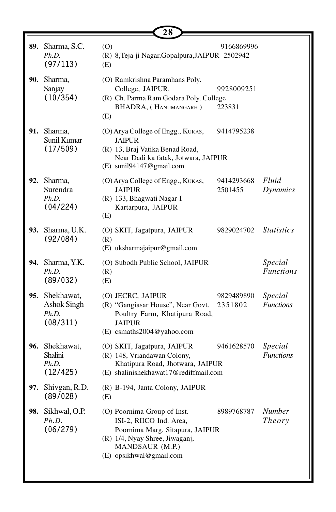|     |                                                           | 28                                                                                                                                                                        |                       |                             |
|-----|-----------------------------------------------------------|---------------------------------------------------------------------------------------------------------------------------------------------------------------------------|-----------------------|-----------------------------|
|     | 89. Sharma, S.C.<br>Ph.D.<br>(97/113)                     | (0)<br>(R) 8, Teja ji Nagar, Gopalpura, JAIPUR 2502942<br>(E)                                                                                                             | 9166869996            |                             |
| 90. | Sharma,<br>Sanjay<br>(10/354)                             | (O) Ramkrishna Paramhans Poly.<br>College, JAIPUR.<br>(R) Ch. Parma Ram Godara Poly. College<br>BHADRA, (HANUMANGARH)<br>(E)                                              | 9928009251<br>223831  |                             |
|     | 91. Sharma,<br>Sunil Kumar<br>(17/509)                    | (O) Arya College of Engg., KUKAS,<br><b>JAIPUR</b><br>(R) 13, Braj Vatika Benad Road,<br>Near Dadi ka fatak, Jotwara, JAIPUR<br>(E) sunil94147@gmail.com                  | 9414795238            |                             |
| 92. | Sharma,<br>Surendra<br>Ph.D.<br>(04/224)                  | (O) Arya College of Engg., KUKAS,<br><b>JAIPUR</b><br>(R) 133, Bhagwati Nagar-I<br>Kartarpura, JAIPUR<br>(E)                                                              | 9414293668<br>2501455 | Fluid<br>Dynamics           |
| 93. | Sharma, U.K.<br>(92/084)                                  | (O) SKIT, Jagatpura, JAIPUR<br>(R)<br>(E) uksharmajaipur@gmail.com                                                                                                        | 9829024702            | <i>Statistics</i>           |
| 94. | Sharma, Y.K.<br>Ph.D.<br>(89/032)                         | (O) Subodh Public School, JAIPUR<br>(R)<br>(E)                                                                                                                            |                       | Special<br><b>Functions</b> |
|     | 95. Shekhawat,<br><b>Ashok Singh</b><br>Ph.D.<br>(08/311) | (O) JECRC, JAIPUR<br>(R) "Gangiasar House", Near Govt.<br>Poultry Farm, Khatipura Road,<br><b>JAIPUR</b><br>(E) csmaths2004@yahoo.com                                     | 9829489890<br>2351802 | Special<br><b>Functions</b> |
|     | 96. Shekhawat,<br>Shalini<br>Ph.D.<br>(12/425)            | (O) SKIT, Jagatpura, JAIPUR<br>(R) 148, Vriandawan Colony,<br>Khatipura Road, Jhotwara, JAIPUR<br>(E) shalinishekhawat17@rediffmail.com                                   | 9461628570            | Special<br><b>Functions</b> |
| 97. | Shivgan, R.D.<br>(89/028)                                 | (R) B-194, Janta Colony, JAIPUR<br>(E)                                                                                                                                    |                       |                             |
| 98. | Sikhwal, O.P.<br>Ph.D.<br>(06/279)                        | (O) Poornima Group of Inst.<br>ISI-2, RIICO Ind. Area,<br>Poornima Marg, Sitapura, JAIPUR<br>(R) 1/4, Nyay Shree, Jiwaganj,<br>MANDSAUR (M.P.)<br>(E) opsikhwal@gmail.com | 8989768787            | Number<br><i>Theory</i>     |

ΙL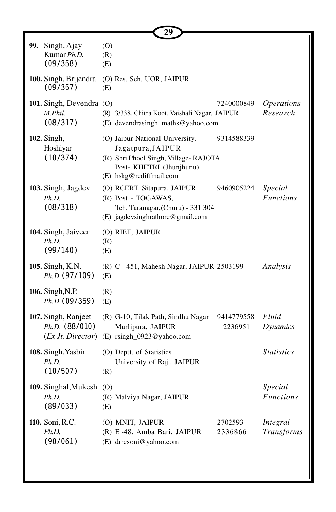|                                                             | 29                                                                                                                                                  |                       |                                      |
|-------------------------------------------------------------|-----------------------------------------------------------------------------------------------------------------------------------------------------|-----------------------|--------------------------------------|
| 99. Singh, Ajay<br>Kumar Ph.D.<br>(09/358)                  | (0)<br>(R)<br>(E)                                                                                                                                   |                       |                                      |
| 100. Singh, Brijendra<br>(09/357)                           | (O) Res. Sch. UOR, JAIPUR<br>(E)                                                                                                                    |                       |                                      |
| 101. Singh, Devendra (O)<br>M.Phil.<br>(08/317)             | (R) 3/338, Chitra Koot, Vaishali Nagar, JAIPUR<br>(E) devendrasingh_maths@yahoo.com                                                                 | 7240000849            | <i><b>Operations</b></i><br>Research |
| 102. Singh,<br>Hoshiyar<br>(10/374)                         | (O) Jaipur National University,<br>Jagatpura, JAIPUR<br>(R) Shri Phool Singh, Village-RAJOTA<br>Post- KHETRI (Jhunjhunu)<br>(E) hskg@rediffmail.com | 9314588339            |                                      |
| 103. Singh, Jagdev<br>Ph.D.<br>(08/318)                     | (O) RCERT, Sitapura, JAIPUR<br>(R) Post - TOGAWAS,<br>Teh. Taranagar, (Churu) - 331 304<br>(E) jagdevsinghrathore@gmail.com                         | 9460905224            | Special<br><b>Functions</b>          |
| 104. Singh, Jaiveer<br>Ph.D.<br>(99/140)                    | (O) RIET, JAIPUR<br>(R)<br>(E)                                                                                                                      |                       |                                      |
| 105. Singh, K.N.<br>Ph.D. (97/109)                          | (R) C - 451, Mahesh Nagar, JAIPUR 2503199<br>(E)                                                                                                    |                       | Analysis                             |
| 106. Singh, N.P.<br>Ph.D. (09/359)                          | (R)<br>(E)                                                                                                                                          |                       |                                      |
| 107. Singh, Ranjeet<br>$Ph.D.$ (88/010)<br>(EXJt. Director) | (R) G-10, Tilak Path, Sindhu Nagar<br>Murlipura, JAIPUR<br>(E) rsingh_0923@yahoo.com                                                                | 9414779558<br>2236951 | Fluid<br><b>Dynamics</b>             |
| 108. Singh, Yasbir<br>Ph.D.<br>(10/507)                     | (O) Deptt. of Statistics<br>University of Raj., JAIPUR<br>(R)                                                                                       |                       | <b>Statistics</b>                    |
| 109. Singhal, Mukesh (O)<br>Ph.D.<br>(89/033)               | (R) Malviya Nagar, JAIPUR<br>(E)                                                                                                                    |                       | Special<br><b>Functions</b>          |
| 110. Soni, R.C.<br>Ph.D.<br>(90/061)                        | (O) MNIT, JAIPUR<br>(R) E-48, Amba Bari, JAIPUR<br>(E) drrcsoni@yahoo.com                                                                           | 2702593<br>2336866    | Integral<br><b>Transforms</b>        |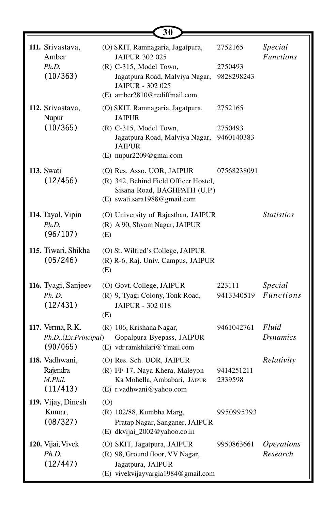|                                                       | 30                                                                                                                                                                        |                                  |                                      |
|-------------------------------------------------------|---------------------------------------------------------------------------------------------------------------------------------------------------------------------------|----------------------------------|--------------------------------------|
| 111. Srivastava,<br>Amber<br>Ph.D.<br>(10/363)        | (O) SKIT, Ramnagaria, Jagatpura,<br><b>JAIPUR 302 025</b><br>(R) C-315, Model Town,<br>Jagatpura Road, Malviya Nagar,<br>JAIPUR - 302 025<br>(E) amber2810@rediffmail.com | 2752165<br>2750493<br>9828298243 | Special<br><b>Functions</b>          |
| 112. Srivastava,<br>Nupur<br>(10/365)                 | (O) SKIT, Ramnagaria, Jagatpura,<br><b>JAIPUR</b><br>(R) C-315, Model Town,<br>Jagatpura Road, Malviya Nagar,<br><b>JAIPUR</b><br>(E) nupur2209@gmai.com                  | 2752165<br>2750493<br>9460140383 |                                      |
| 113. Swati<br>(12/456)                                | (O) Res. Asso. UOR, JAIPUR<br>(R) 342, Behind Field Officer Hostel,<br>Sisana Road, BAGHPATH (U.P.)<br>(E) swati.sara1988@gmail.com                                       | 07568238091                      |                                      |
| 114. Tayal, Vipin<br>Ph.D.<br>(96/107)                | (O) University of Rajasthan, JAIPUR<br>(R) A 90, Shyam Nagar, JAIPUR<br>(E)                                                                                               |                                  | <b>Statistics</b>                    |
| 115. Tiwari, Shikha<br>(05/246)                       | (O) St. Wilfred's College, JAIPUR<br>(R) R-6, Raj. Univ. Campus, JAIPUR<br>(E)                                                                                            |                                  |                                      |
| 116. Tyagi, Sanjeev<br>Ph. D.<br>(12/431)             | (O) Govt. College, JAIPUR<br>(R) 9, Tyagi Colony, Tonk Road,<br>JAIPUR - 302 018<br>(E)                                                                                   | 223111<br>9413340519             | Special<br><b>Functions</b>          |
| 117. Verma, R.K.<br>Ph.D., (Ex.Principal)<br>(90/065) | (R) 106, Krishana Nagar,<br>Gopalpura Byepass, JAIPUR<br>(E) vdr.ramkhilari@Ymail.com                                                                                     | 9461042761                       | Fluid<br>Dynamics                    |
| 118. Vadhwani,<br>Rajendra<br>M.Phil.<br>(11/413)     | (O) Res. Sch. UOR, JAIPUR<br>(R) FF-17, Naya Khera, Maleyon<br>Ka Mohella, Ambabari, JAIPUR<br>(E) r.vadhwani@yahoo.com                                                   | 9414251211<br>2339598            | Relativity                           |
| 119. Vijay, Dinesh<br>Kumar,<br>(08/327)              | (O)<br>(R) 102/88, Kumbha Marg,<br>Pratap Nagar, Sanganer, JAIPUR<br>(E) dkvijai_2002@yahoo.co.in                                                                         | 9950995393                       |                                      |
| 120. Vijai, Vivek<br>Ph.D.<br>(12/447)                | (O) SKIT, Jagatpura, JAIPUR<br>(R) 98, Ground floor, VV Nagar,<br>Jagatpura, JAIPUR<br>(E) vivekvijayvargia1984@gmail.com                                                 | 9950863661                       | <i><b>Operations</b></i><br>Research |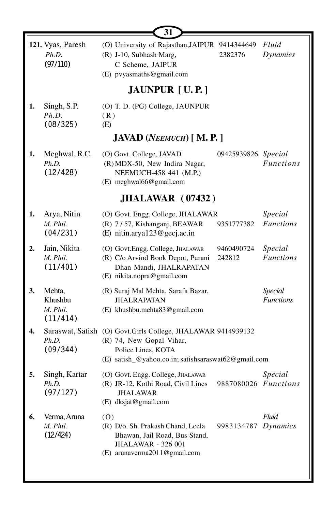|    |                                           | 31                                                                                                                                                                    |                      |                                    |  |  |  |  |  |
|----|-------------------------------------------|-----------------------------------------------------------------------------------------------------------------------------------------------------------------------|----------------------|------------------------------------|--|--|--|--|--|
|    | 121. Vyas, Paresh<br>Ph.D.<br>(97/110)    | (O) University of Rajasthan, JAIPUR 9414344649<br>(R) J-10, Subhash Marg,<br>C Scheme, JAIPUR<br>(E) pvyasmaths@gmail.com                                             | 2382376              | Fluid<br><b>Dynamics</b>           |  |  |  |  |  |
|    | <b>JAUNPUR</b> [U.P.]                     |                                                                                                                                                                       |                      |                                    |  |  |  |  |  |
| 1. | Singh, S.P.<br>Ph.D.<br>(08/325)          | (O) T. D. (PG) College, JAUNPUR<br>(R)<br>(E)                                                                                                                         |                      |                                    |  |  |  |  |  |
|    |                                           | <b>JAVAD</b> (NEEMUCH) [M.P.]                                                                                                                                         |                      |                                    |  |  |  |  |  |
| 1. | Meghwal, R.C.<br>Ph.D.<br>(12/428)        | (O) Govt. College, JAVAD<br>(R) MDX-50, New Indira Nagar,<br>NEEMUCH-458 441 (M.P.)<br>(E) meghwal66@gmail.com                                                        | 09425939826 Special  | <b>Functions</b>                   |  |  |  |  |  |
|    |                                           | <b>JHALAWAR</b> (07432)                                                                                                                                               |                      |                                    |  |  |  |  |  |
| 1. | Arya, Nitin<br>M. Phil.<br>(04/231)       | (O) Govt. Engg. College, JHALAWAR<br>(R) 7/57, Kishanganj, BEAWAR<br>(E) nitin.arya123@gecj.ac.in                                                                     | 9351777382           | Special<br><b>Functions</b>        |  |  |  |  |  |
| 2. | Jain, Nikita<br>M. Phil.<br>(11/401)      | (O) Govt.Engg. College, JHALAWAR<br>(R) C/o Arvind Book Depot, Purani<br>Dhan Mandi, JHALRAPATAN<br>(E) nikita.nopra@gmail.com                                        | 9460490724<br>242812 | Special<br><b>Functions</b>        |  |  |  |  |  |
| 3. | Mehta,<br>Khushbu<br>M. Phil.<br>(11/414) | (R) Suraj Mal Mehta, Sarafa Bazar,<br><b>JHALRAPATAN</b><br>(E) khushbu.mehta83@gmail.com                                                                             |                      | <b>Special</b><br><b>Functions</b> |  |  |  |  |  |
| 4. | Ph.D.<br>(09/344)                         | Saraswat, Satish (O) Govt.Girls College, JHALAWAR 9414939132<br>(R) 74, New Gopal Vihar,<br>Police Lines, KOTA<br>(E) satish_@yahoo.co.in; satishsaraswat62@gmail.com |                      |                                    |  |  |  |  |  |
| 5. | Singh, Kartar<br>Ph.D.<br>(97/127)        | (O) Govt. Engg. College, JHALAWAR<br>(R) JR-12, Kothi Road, Civil Lines<br><b>JHALAWAR</b><br>(E) dksjat@gmail.com                                                    | 9887080026 Functions | Special                            |  |  |  |  |  |
| 6. | Verma, Aruna<br>M. Phil.<br>(12/424)      | (0)<br>(R) D/o. Sh. Prakash Chand, Leela<br>Bhawan, Jail Road, Bus Stand,<br><b>JHALAWAR - 326 001</b><br>(E) arunaverma2011@gmail.com                                | 9983134787           | Fluid<br>Dynamics                  |  |  |  |  |  |

L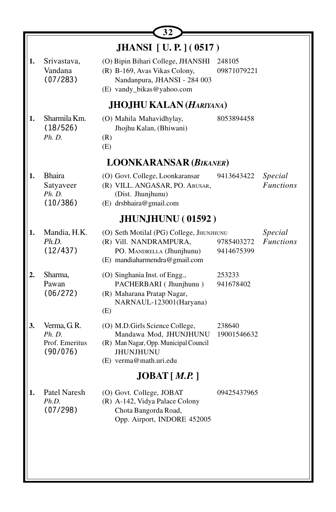| Srivastava,<br>Vandana<br>(07/283)                  | (O) Bipin Bihari College, JHANSHI<br>(R) B-169, Avas Vikas Colony,<br>Nandanpura, JHANSI - 284 003<br>(E) vandy_bikas@yahoo.com                 | 248105<br>09871079221    |                                                                                                                                                                          |  |  |
|-----------------------------------------------------|-------------------------------------------------------------------------------------------------------------------------------------------------|--------------------------|--------------------------------------------------------------------------------------------------------------------------------------------------------------------------|--|--|
|                                                     |                                                                                                                                                 |                          |                                                                                                                                                                          |  |  |
| Sharmila Km.<br>(18/526)<br>Ph. D.                  | (O) Mahila Mahavidhylay,<br>Jhojhu Kalan, (Bhiwani)<br>(R)<br>(E)                                                                               | 8053894458               |                                                                                                                                                                          |  |  |
|                                                     |                                                                                                                                                 |                          |                                                                                                                                                                          |  |  |
| <b>Bhaira</b><br>Satyaveer<br>Ph. D.<br>(10/386)    | (O) Govt. College, Loonkaransar<br>(R) VILL. ANGASAR, PO. ABUSAR,<br>(Dist. Jhunjhunu)<br>(E) drsbhaira@gmail.com                               | 9413643422               | Special<br><b>Functions</b>                                                                                                                                              |  |  |
|                                                     |                                                                                                                                                 |                          |                                                                                                                                                                          |  |  |
| Mandia, H.K.<br>Ph.D.<br>(12/437)                   | (R) Vill. NANDRAMPURA,<br>PO. MANDRELLA (Jhunjhunu)<br>(E) mandiaharmendra@gmail.com                                                            | 9785403272<br>9414675399 | Special<br><b>Functions</b>                                                                                                                                              |  |  |
| Sharma,<br>Pawan<br>(06/272)                        | (O) Singhania Inst. of Engg.,<br>PACHERBARI (Jhunjhunu)<br>(R) Maharana Pratap Nagar,<br>NARNAUL-123001(Haryana)<br>(E)                         | 253233<br>941678402      |                                                                                                                                                                          |  |  |
| Verma, G.R.<br>Ph. D.<br>Prof. Emeritus<br>(90/076) | (O) M.D.Girls Science College,<br>Mandawa Mod, JHUNJHUNU<br>(R) Man Nagar, Opp. Municipal Council<br><b>JHUNJHUNU</b><br>(E) verma@math.uri.edu | 238640<br>19001546632    |                                                                                                                                                                          |  |  |
| JOBAT [ M.P. ]                                      |                                                                                                                                                 |                          |                                                                                                                                                                          |  |  |
| Patel Naresh<br>Ph.D.<br>(07/298)                   | (O) Govt. College, JOBAT<br>(R) A-142, Vidya Palace Colony<br>Chota Bangorda Road,<br>Opp. Airport, INDORE 452005                               | 09425437965              |                                                                                                                                                                          |  |  |
|                                                     |                                                                                                                                                 |                          | <b>JHANSI</b> [ U.P. ] (0517)<br><b>JHOJHU KALAN (HARIYANA)</b><br><b>LOONKARANSAR (BIKANER)</b><br><b>JHUNJHUNU (01592)</b><br>(O) Seth Motilal (PG) College, JHUNJHUNU |  |  |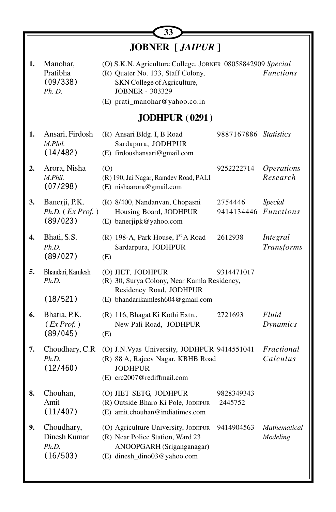| 33               |                                                          |                                                                                                                                                                                           |                       |                                      |
|------------------|----------------------------------------------------------|-------------------------------------------------------------------------------------------------------------------------------------------------------------------------------------------|-----------------------|--------------------------------------|
|                  |                                                          | <b>JOBNER</b> [ <i>JAIPUR</i> ]                                                                                                                                                           |                       |                                      |
| 1.               | Manohar,<br>Pratibha<br>(09/338)<br><i>Ph. D.</i>        | (O) S.K.N. Agriculture College, JOBNER 08058842909 Special<br>(R) Quater No. 133, Staff Colony,<br>SKN College of Agriculture,<br><b>JOBNER - 303329</b><br>(E) prati_manohar@yahoo.co.in |                       | <b>Functions</b>                     |
|                  |                                                          | <b>JODHPUR (0291)</b>                                                                                                                                                                     |                       |                                      |
| 1.               | Ansari, Firdosh<br>M.Phil.<br>(14/482)                   | (R) Ansari Bldg. I, B Road<br>Sardapura, JODHPUR<br>(E) firdoushansari@gmail.com                                                                                                          | 9887167886 Statistics |                                      |
| 2.               | Arora, Nisha<br>M.Phil.<br>(07/298)                      | (O)<br>(R) 190, Jai Nagar, Ramdev Road, PALI<br>(E) nishaarora@gmail.com                                                                                                                  | 9252222714            | <i><b>Operations</b></i><br>Research |
| 3.               | Banerji, P.K.<br>$Ph.D.$ ( <i>Ex Prof.</i> )<br>(89/023) | (R) 8/400, Nandanvan, Chopasni<br>Housing Board, JODHPUR<br>(E) banerjipk@yahoo.com                                                                                                       | 2754446<br>9414134446 | <b>Special</b><br><b>Functions</b>   |
| $\overline{4}$ . | Bhati, S.S.<br>Ph.D.<br>(89/027)                         | (R) 198-A, Park House, I <sup>st</sup> A Road<br>Sardarpura, JODHPUR<br>(E)                                                                                                               | 2612938               | Integral<br><b>Transforms</b>        |
| 5.               | Bhandari, Kamlesh<br>Ph.D.<br>(18/521)                   | (O) JIET, JODHPUR<br>(R) 30, Surya Colony, Near Kamla Residency,<br>Residency Road, JODHPUR<br>(E) bhandarikamlesh604@gmail.com                                                           | 9314471017            |                                      |
| 6.               | Bhatia, P.K.<br>(EXProf.)<br>(89/045)                    | (R) 116, Bhagat Ki Kothi Extn.,<br>New Pali Road, JODHPUR<br>(E)                                                                                                                          | 2721693               | Fluid<br>Dynamics                    |
| 7.               | Choudhary, C.R.<br>Ph.D.<br>(12/460)                     | (O) J.N.Vyas University, JODHPUR 9414551041<br>(R) 88 A, Rajeev Nagar, KBHB Road<br><b>JODHPUR</b><br>(E) crc2007@rediffmail.com                                                          |                       | Fractional<br>Calculus               |
| 8.               | Chouhan,<br>Amit<br>(11/407)                             | (O) JIET SETG, JODHPUR<br>(R) Outside Bharo Ki Pole, JODHPUR<br>(E) amit.chouhan@indiatimes.com                                                                                           | 9828349343<br>2445752 |                                      |
| 9.               | Choudhary,<br>Dinesh Kumar<br>Ph.D.<br>(16/503)          | (O) Agriculture University, JODHPUR<br>(R) Near Police Station, Ward 23<br>ANOOPGARH (Sriganganagar)<br>(E) dinesh_dino03@yahoo.com                                                       | 9414904563            | Mathematical<br>Modeling             |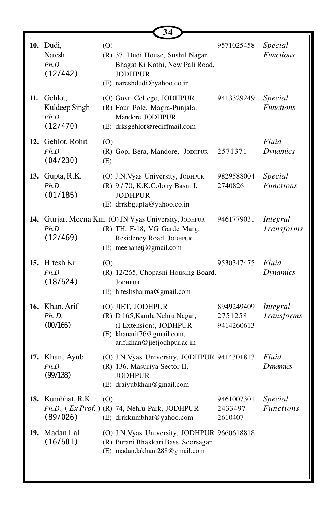|     |                                                    |            | 34                                                                                                                                          |                                     |                             |
|-----|----------------------------------------------------|------------|---------------------------------------------------------------------------------------------------------------------------------------------|-------------------------------------|-----------------------------|
|     | 10. Dudi,<br>Naresh<br>Ph.D.<br>(12/442)           | (O)        | (R) 37, Dudi House, Sushil Nagar,<br>Bhagat Ki Kothi, New Pali Road,<br><b>JODHPUR</b><br>(E) nareshdudi@yahoo.co.in                        | 9571025458                          | Special<br><b>Functions</b> |
| 11. | Gehlot,<br>Kuldeep Singh<br>Ph.D.<br>(12/470)      |            | (O) Govt. College, JODHPUR<br>(R) Four Pole, Magra-Punjala,<br>Mandore, JODHPUR<br>(E) drksgehlot@rediffmail.com                            | 9413329249                          | Special<br><b>Functions</b> |
|     | 12. Gehlot, Rohit<br>Ph.D.<br>(04/230)             | (0)<br>(E) | (R) Gopi Bera, Mandore, JODHPUR                                                                                                             | 2571371                             | Fluid<br>Dynamics           |
|     | 13. Gupta, R.K.<br>Ph.D.<br>(01/185)               |            | (O) J.N.Vyas University, JODHPUR.<br>(R) 9/70, K.K.Colony Basni I,<br><b>JODHPUR</b><br>(E) drrkbgupta@yahoo.co.in                          | 9829588004<br>2740826               | Special<br><b>Functions</b> |
|     | Ph.D.<br>(12/469)                                  |            | 14. Gurjar, Meena Km. (O) JN Vyas University, JODHPUR<br>(R) TH, F-18, VG Garde Marg,<br>Residency Road, JODHPUR<br>(E) meenanetj@gmail.com | 9461779031                          | Integral<br>Transforms      |
|     | 15. Hitesh Kr.<br>Ph.D.<br>(18/524)                | (0)        | (R) 12/265, Chopasni Housing Board,<br><b>JODHPUR</b><br>(E) hiteshsharma@gmail.com                                                         | 9530347475                          | Fluid<br><b>Dynamics</b>    |
|     | 16. Khan, Arif<br>Ph. D.<br>(00/165)               |            | (O) JIET, JODHPUR<br>(R) D 165, Kamla Nehru Nagar,<br>(I Extension), JODHPUR<br>(E) khanarif76@gmail.com,<br>arif.khan@jietjodhpur.ac.in    | 8949249409<br>2751258<br>9414260613 | Integral<br>Transforms      |
|     | 17. Khan, Ayub<br>Ph.D.<br>(99/138)                |            | (O) J.N.Vyas University, JODHPUR 9414301813<br>(R) 136, Masuriya Sector II,<br><b>JODHPUR</b><br>(E) draiyubkhan@gmail.com                  |                                     | Fluid<br><b>Dynamics</b>    |
|     | 18. Kumbhat, R.K.<br>Ph.D., (Ex Prof.)<br>(89/026) | (0)        | (R) 74, Nehru Park, JODHPUR<br>(E) drrkkumbhat@yahoo.com                                                                                    | 9461007301<br>2433497<br>2610407    | Special<br><b>Functions</b> |
| 19. | Madan Lal<br>(16/501)                              |            | (O) J.N.Vyas University, JODHPUR 9660618818<br>(R) Purani Bhakkari Bass, Soorsagar<br>(E) madan.lakhani288@gmail.com                        |                                     |                             |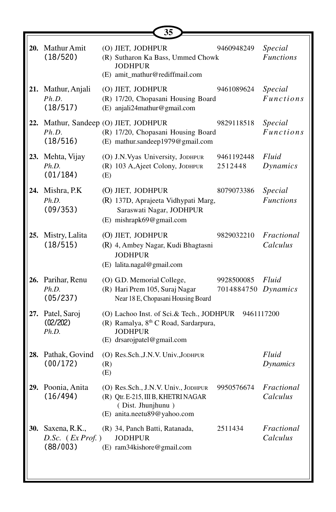|                                                            |            | 35                                                                                                                                           |                                   |                             |
|------------------------------------------------------------|------------|----------------------------------------------------------------------------------------------------------------------------------------------|-----------------------------------|-----------------------------|
| 20. Mathur Amit<br>(18/520)                                |            | (O) JIET, JODHPUR<br>(R) Sutharon Ka Bass, Ummed Chowk<br>JODHPUR<br>(E) amit_mathur@rediffmail.com                                          | 9460948249                        | Special<br><b>Functions</b> |
| 21. Mathur, Anjali<br>Ph.D.<br>(18/517)                    |            | (O) JIET, JODHPUR<br>(R) 17/20, Chopasani Housing Board<br>(E) anjali24mathur@gmail.com                                                      | 9461089624                        | Special<br><i>Functions</i> |
| 22. Mathur, Sandeep (O) JIET, JODHPUR<br>Ph.D.<br>(18/516) |            | (R) 17/20, Chopasani Housing Board<br>(E) mathur.sandeep1979@gmail.com                                                                       | 9829118518                        | Special<br><b>Functions</b> |
| 23. Mehta, Vijay<br>Ph.D.<br>(01/184)                      | (E)        | (O) J.N.Vyas University, JODHPUR<br>(R) 103 A, Ajeet Colony, JODHPUR                                                                         | 9461192448<br>2512448             | Fluid<br>Dynamics           |
| 24. Mishra, P.K.<br>Ph.D.<br>(09/353)                      |            | (O) JIET, JODHPUR<br>(R) 137D, Aprajeeta Vidhypati Marg,<br>Saraswati Nagar, JODHPUR<br>(E) mishrapk69@gmail.com                             | 8079073386                        | Special<br><b>Functions</b> |
| 25. Mistry, Lalita<br>(18/515)                             |            | (O) JIET, JODHPUR<br>(R) 4, Ambey Nagar, Kudi Bhagtasni<br><b>JODHPUR</b><br>(E) lalita.nagal@gmail.com                                      | 9829032210                        | Fractional<br>Calculus      |
| 26. Parihar, Renu<br>Ph.D.<br>(05/237)                     |            | (O) G.D. Memorial College,<br>(R) Hari Prem 105, Suraj Nagar<br>Near 18 E, Chopasani Housing Board                                           | 9928500085<br>7014884750 Dynamics | Fluid                       |
| 27. Patel, Saroj<br>(02/202)<br>Ph.D.                      |            | (O) Lachoo Inst. of Sci.& Tech., JODHPUR<br>(R) Ramalya, 8 <sup>th</sup> C Road, Sardarpura,<br><b>JODHPUR</b><br>(E) drsarojpatel@gmail.com | 9461117200                        |                             |
| 28. Pathak, Govind<br>(00/172)                             | (R)<br>(E) | (O) Res.Sch., J.N.V. Univ., JODHPUR                                                                                                          |                                   | Fluid<br>Dynamics           |
| 29. Poonia, Anita<br>(16/494)                              |            | (O) Res.Sch., J.N.V. Univ., JODHPUR<br>(R) Qtr. E-215, III B, KHETRI NAGAR<br>(Dist. Jhunjhunu)<br>(E) anita.neetu89@yahoo.com               | 9950576674                        | Fractional<br>Calculus      |
| 30. Saxena, R.K.,<br>$D.$ Sc. $(EX Prof. )$<br>(88/003)    |            | (R) 34, Panch Batti, Ratanada,<br><b>JODHPUR</b><br>(E) ram34kishore@gmail.com                                                               | 2511434                           | Fractional<br>Calculus      |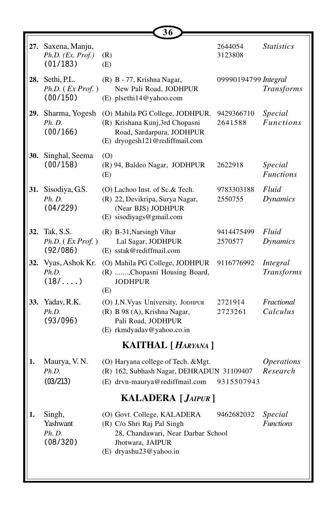| 28.                      | 27. Saxena, Manju,<br>Ph.D. (Ex. Prof.)<br>(01/183) | (R)                                                                                                                                           | 2644054               | <b>Statistics</b>             |  |  |
|--------------------------|-----------------------------------------------------|-----------------------------------------------------------------------------------------------------------------------------------------------|-----------------------|-------------------------------|--|--|
|                          |                                                     | (E)                                                                                                                                           | 3123808               |                               |  |  |
|                          | Sethi, P.L.<br>Ph.D. (Ex Prof. )<br>(00/150)        | (R) B - 77, Krishna Nagar,<br>New Pali Road, JODHPUR<br>(E) plsethi14@yahoo.com                                                               | 09990194799 Integral  | <b>Transforms</b>             |  |  |
|                          | 29. Sharma, Yogesh<br>Ph. D.<br>(00/166)            | (O) Mahila PG College, JODHPUR.<br>(R) Krishana Kunj,3rd Chopasni<br>Road, Sardarpura, JODHPUR<br>(E) dryogesh121@rediffmail.com              | 9429366710<br>2641588 | Special<br><b>Functions</b>   |  |  |
| 30.                      | Singhal, Seema<br>(00/158)                          | (0)<br>(R) 94, Baldeo Nagar, JODHPUR<br>(E)                                                                                                   | 2622918               | Special<br><b>Functions</b>   |  |  |
| 31.                      | Sisodiya, G.S.<br><i>Ph. D.</i><br>(04/229)         | (O) Lachoo Inst. of Sc.& Tech.<br>(R) 22, Devikripa, Surya Nagar,<br>(Near BJS) JODHPUR<br>(E) sisodiyags@gmail.com                           | 9783303188<br>2550755 | Fluid<br>Dynamics             |  |  |
| 32.                      | Tak, S.S.<br>Ph.D. (Ex Prof.)<br>(92/086)           | (R) B-31, Narsingh Vihar<br>Lal Sagar, JODHPUR<br>(E) sstak@rediffmail.com                                                                    | 9414475499<br>2570577 | Fluid<br><b>Dynamics</b>      |  |  |
|                          | 32. Vyas, Ashok Kr.<br>Ph.D.<br>$(18/\ldots)$       | (O) Mahila PG College, JODHPUR<br>(R) , Chopasni Housing Board,<br><b>JODHPUR</b><br>(E)                                                      | 9116776992            | Integral<br><b>Transforms</b> |  |  |
| 33.                      | Yadav, R.K.<br>Ph.D.<br>(93/096)                    | (O) J.N. Vyas University, JODHPUR<br>(R) B 98 (A), Krishna Nagar,<br>Pali Road, JODHPUR<br>(E) rkmdyadav@yahoo.co.in                          | 2721914<br>2723261    | Fractional<br>Calculus        |  |  |
|                          |                                                     | <b>KAITHAL</b> [ <i>HARYANA</i> ]                                                                                                             |                       |                               |  |  |
| 1.                       | Maurya, V. N.<br>Ph.D.<br>(03/213)                  | (O) Haryana college of Tech. & Mgt.<br>(R) 162, Subhash Nagar, DEHRADUN 31109407<br>(E) drvn-maurya@rediffmail.com                            | 9315507943            | <b>Operations</b><br>Research |  |  |
| <b>KALADERA</b> [JAIPUR] |                                                     |                                                                                                                                               |                       |                               |  |  |
| 1.                       | Singh,<br>Yashwant<br><i>Ph. D.</i><br>(08/320)     | (O) Govt. College, KALADERA<br>(R) C/o Shri Raj Pal Singh<br>28, Chandawari, Near Darbar School<br>Jhotwara, JAIPUR<br>(E) dryashu23@yahoo.in | 9462682032            | Special<br><b>Functions</b>   |  |  |

**36**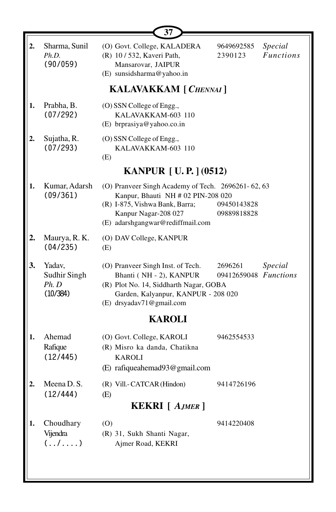|    |                                             | 37                                                                                                                                                                                     |                                  |                             |  |  |  |  |
|----|---------------------------------------------|----------------------------------------------------------------------------------------------------------------------------------------------------------------------------------------|----------------------------------|-----------------------------|--|--|--|--|
|    | Sharma, Sunil<br>Ph.D.<br>(90/059)          | (O) Govt. College, KALADERA<br>(R) 10 / 532, Kaveri Path,<br>Mansarovar, JAIPUR<br>(E) sunsidsharma@yahoo.in                                                                           | 9649692585<br>2390123            | Special<br><b>Functions</b> |  |  |  |  |
|    | <b>KALAVAKKAM</b> [ CHENNAI ]               |                                                                                                                                                                                        |                                  |                             |  |  |  |  |
| 1. | Prabha, B.<br>(07/292)                      | (O) SSN College of Engg.,<br>KALAVAKKAM-603 110<br>(E) brprasiya@yahoo.co.in                                                                                                           |                                  |                             |  |  |  |  |
|    | Sujatha, R.<br>(07/293)                     | (O) SSN College of Engg.,<br>KALAVAKKAM-603 110<br>(E)                                                                                                                                 |                                  |                             |  |  |  |  |
|    |                                             | <b>KANPUR</b> [U.P.] (0512)                                                                                                                                                            |                                  |                             |  |  |  |  |
| 1. | Kumar, Adarsh<br>(09/361)                   | (O) Pranveer Singh Academy of Tech. 2696261-62, 63<br>Kanpur, Bhauti NH # 02 PIN-208 020<br>(R) I-875, Vishwa Bank, Barra;<br>Kanpur Nagar-208 027<br>(E) adarshgangwar@rediffmail.com | 09450143828<br>09889818828       |                             |  |  |  |  |
|    | Maurya, R. K.<br>(04/235)                   | (O) DAV College, KANPUR<br>(E)                                                                                                                                                         |                                  |                             |  |  |  |  |
| 3. | Yadav,<br>Sudhir Singh<br>Ph. D<br>(10/384) | (O) Pranveer Singh Inst. of Tech.<br>Bhanti (NH - 2), KANPUR<br>(R) Plot No. 14, Siddharth Nagar, GOBA<br>Garden, Kalyanpur, KANPUR - 208 020<br>(E) drsyadav71@gmail.com              | 2696261<br>09412659048 Functions | Special                     |  |  |  |  |
|    |                                             | <b>KAROLI</b>                                                                                                                                                                          |                                  |                             |  |  |  |  |
| 1. | Ahemad<br>Rafique<br>(12/445)               | (O) Govt. College, KAROLI<br>(R) Misro ka danda, Chatikna<br><b>KAROLI</b><br>(E) rafiqueahemad93@gmail.com                                                                            | 9462554533                       |                             |  |  |  |  |
|    | Meena D. S.                                 | (R) Vill.- CATCAR (Hindon)                                                                                                                                                             | 9414726196                       |                             |  |  |  |  |
|    | (12/444)                                    | (E)<br><b>KEKRI</b> [ AJMER ]                                                                                                                                                          |                                  |                             |  |  |  |  |
|    |                                             |                                                                                                                                                                                        |                                  |                             |  |  |  |  |
| 1. | Choudhary<br>Vijendra<br>$($ /)             | (0)<br>(R) 31, Sukh Shanti Nagar,<br>Ajmer Road, KEKRI                                                                                                                                 | 9414220408                       |                             |  |  |  |  |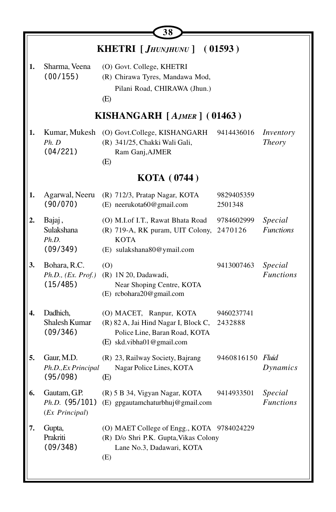|    |                                                | 38                                                                                                                            |                       |                             |
|----|------------------------------------------------|-------------------------------------------------------------------------------------------------------------------------------|-----------------------|-----------------------------|
|    |                                                | <b>KHETRI</b> [ <i>JHUNJHUNU</i> ]                                                                                            | (01593)               |                             |
| 1. | Sharma, Veena<br>(00/155)                      | (O) Govt. College, KHETRI<br>(R) Chirawa Tyres, Mandawa Mod,<br>Pilani Road, CHIRAWA (Jhun.)<br>(E)                           |                       |                             |
|    |                                                | KISHANGARH $[A_{JMER}]$ (01463)                                                                                               |                       |                             |
| 1. | Kumar, Mukesh<br>Ph. D<br>(04/221)             | (O) Govt.College, KISHANGARH<br>(R) 341/25, Chakki Wali Gali,<br>Ram Ganj, AJMER<br>(E)                                       | 9414436016            | Inventory<br><b>Theory</b>  |
|    |                                                | <b>KOTA</b> (0744)                                                                                                            |                       |                             |
| 1. | Agarwal, Neeru<br>(90/070)                     | (R) 712/3, Pratap Nagar, KOTA<br>(E) neerukota60@gmail.com                                                                    | 9829405359<br>2501348 |                             |
| 2. | Bajaj,<br>Sulakshana<br>Ph.D.<br>(09/349)      | (O) M.I.of I.T., Rawat Bhata Road<br>(R) 719-A, RK puram, UIT Colony,<br><b>KOTA</b><br>(E) sulakshana80@ymail.com            | 9784602999<br>2470126 | Special<br><b>Functions</b> |
| 3. | Bohara, R.C.<br>Ph.D., (Ex. Prof.)<br>(15/485) | (0)<br>(R) 1N 20, Dadawadi,<br>Near Shoping Centre, KOTA<br>(E) rcbohara20@gmail.com                                          | 9413007463            | Special<br><b>Functions</b> |
| 4. | Dadhich,<br>Shalesh Kumar<br>(09/346)          | (O) MACET, Ranpur, KOTA<br>(R) 82 A, Jai Hind Nagar I, Block C,<br>Police Line, Baran Road, KOTA<br>(E) skd.vibha01@gmail.com | 9460237741<br>2432888 |                             |
| 5. | Gaur, M.D.<br>Ph.D., Ex Principal<br>(95/098)  | (R) 23, Railway Society, Bajrang<br>Nagar Police Lines, KOTA<br>(E)                                                           | 9460816150 Fluid      | Dynamics                    |
| 6. | Gautam, G.P.<br>(Ex Principal)                 | (R) 5 B 34, Vigyan Nagar, KOTA<br>Ph.D. (95/101) (E) gpgautamchaturbhuj@gmail.com                                             | 9414933501            | Special<br><b>Functions</b> |
| 7. | Gupta,<br>Prakriti<br>(09/348)                 | (O) MAET College of Engg., KOTA 9784024229<br>(R) D/o Shri P.K. Gupta, Vikas Colony<br>Lane No.3, Dadawari, KOTA<br>(E)       |                       |                             |

╚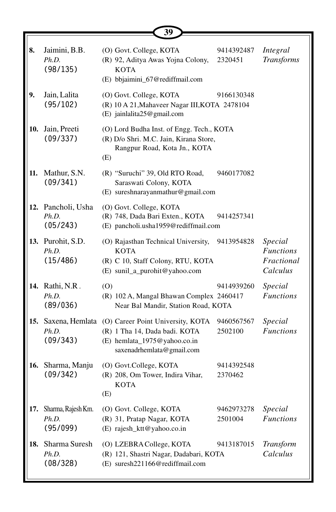|     |                                         | 39                                                                                                                                                  |                       |                                                       |
|-----|-----------------------------------------|-----------------------------------------------------------------------------------------------------------------------------------------------------|-----------------------|-------------------------------------------------------|
| 8.  | Jaimini, B.B.<br>Ph.D.<br>(98/135)      | (O) Govt. College, KOTA<br>(R) 92, Aditya Awas Yojna Colony,<br><b>KOTA</b><br>(E) bbjaimini_67@rediffmail.com                                      | 9414392487<br>2320451 | Integral<br><b>Transforms</b>                         |
| 9.  | Jain, Lalita<br>(95/102)                | (O) Govt. College, KOTA<br>(R) 10 A 21, Mahaveer Nagar III, KOTA 2478104<br>(E) jainlalita25@gmail.com                                              | 9166130348            |                                                       |
|     | 10. Jain, Preeti<br>(09/337)            | (O) Lord Budha Inst. of Engg. Tech., KOTA<br>(R) D/o Shri. M.C. Jain, Kirana Store,<br>Rangpur Road, Kota Jn., KOTA<br>(E)                          |                       |                                                       |
| 11. | Mathur, S.N.<br>(09/341)                | (R) "Suruchi" 39, Old RTO Road,<br>Saraswati Colony, KOTA<br>(E) sureshnarayanmathur@gmail.com                                                      | 9460177082            |                                                       |
|     | 12. Pancholi, Usha<br>Ph.D.<br>(05/243) | (O) Govt. College, KOTA<br>(R) 748, Dada Bari Exten., KOTA<br>(E) pancholi.usha1959@rediffmail.com                                                  | 9414257341            |                                                       |
|     | 13. Purohit, S.D.<br>Ph.D.<br>(15/486)  | (O) Rajasthan Technical University,<br><b>KOTA</b><br>(R) C 10, Staff Colony, RTU, KOTA<br>(E) sunil_a_purohit@yahoo.com                            | 9413954828            | Special<br><b>Functions</b><br>Fractional<br>Calculus |
|     | 14. Rathi, N.R.<br>Ph.D.<br>(89/036)    | (0)<br>(R) 102 A, Mangal Bhawan Complex 2460417<br>Near Bal Mandir, Station Road, KOTA                                                              | 9414939260            | Special<br><b>Functions</b>                           |
|     | Ph.D.<br>(09/343)                       | 15. Saxena, Hemlata (O) Career Point University, KOTA<br>(R) 1 Tha 14, Dada badi. KOTA<br>(E) hemlata_1975@yahoo.co.in<br>saxenadrhemlata@gmail.com | 9460567567<br>2502100 | Special<br><b>Functions</b>                           |
| 16. | Sharma, Manju<br>(09/342)               | (O) Govt.College, KOTA<br>(R) 208, Om Tower, Indira Vihar,<br><b>KOTA</b><br>(E)                                                                    | 9414392548<br>2370462 |                                                       |
| 17. | Sharma, Rajesh Km.<br>Ph.D.<br>(95/099) | (O) Govt. College, KOTA<br>(R) 31, Pratap Nagar, KOTA<br>(E) rajesh_ktt@yahoo.co.in                                                                 | 9462973278<br>2501004 | Special<br><b>Functions</b>                           |
| 18. | Sharma Suresh<br>Ph.D.<br>(08/328)      | (O) LZEBRA College, KOTA<br>(R) 121, Shastri Nagar, Dadabari, KOTA<br>(E) suresh221166@rediffmail.com                                               | 9413187015            | Transform<br>Calculus                                 |

∎∟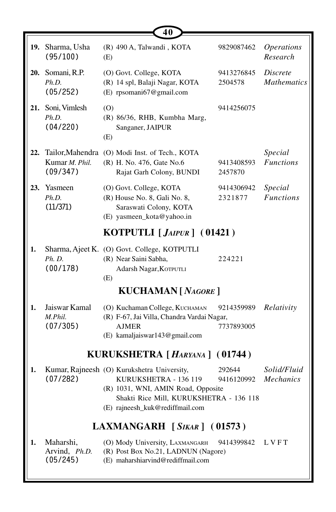|     |                                                | 40                                                                                                                                                                                       |                          |                                       |
|-----|------------------------------------------------|------------------------------------------------------------------------------------------------------------------------------------------------------------------------------------------|--------------------------|---------------------------------------|
|     | 19. Sharma, Usha<br>(95/100)                   | (R) 490 A, Talwandi, KOTA<br>(E)                                                                                                                                                         | 9829087462               | <i><b>Operations</b></i><br>Research  |
|     | 20. Somani, R.P.<br>Ph.D.<br>(05/252)          | (O) Govt. College, KOTA<br>(R) 14 spl, Balaji Nagar, KOTA<br>(E) rpsomani67@gmail.com                                                                                                    | 9413276845<br>2504578    | <i>Discrete</i><br><b>Mathematics</b> |
|     | 21. Soni, Vimlesh<br>Ph.D.<br>(04/220)         | (0)<br>(R) 86/36, RHB, Kumbha Marg,<br>Sanganer, JAIPUR<br>(E)                                                                                                                           | 9414256075               |                                       |
| 22. | Tailor, Mahendra<br>Kumar M. Phil.<br>(09/347) | (O) Modi Inst. of Tech., KOTA<br>(R) H. No. 476, Gate No.6<br>Rajat Garh Colony, BUNDI                                                                                                   | 9413408593<br>2457870    | Special<br><b>Functions</b>           |
|     | 23. Yasmeen<br>Ph.D.<br>(11/371)               | (O) Govt. College, KOTA<br>(R) House No. 8, Gali No. 8,<br>Saraswati Colony, KOTA<br>(E) yasmeen_kota@yahoo.in                                                                           | 9414306942<br>2321877    | Special<br><b>Functions</b>           |
|     |                                                | KOTPUTLI [JAIPUR] (01421)                                                                                                                                                                |                          |                                       |
| 1.  | Ph. D.<br>(00/178)                             | Sharma, Ajeet K. (O) Govt. College, KOTPUTLI<br>(R) Near Saini Sabha,<br>Adarsh Nagar, KOTPUTLI<br>(E)                                                                                   | 224221                   |                                       |
|     |                                                | <b>KUCHAMAN</b> [ NAGORE ]                                                                                                                                                               |                          |                                       |
| 1.  | Jaiswar Kamal<br>M.Phil.<br>(07/305)           | (O) Kuchaman College, KUCHAMAN<br>(R) F-67, Jai Villa, Chandra Vardai Nagar,<br><b>AJMER</b><br>(E) kamaljaiswar143@gmail.com                                                            | 9214359989<br>7737893005 | Relativity                            |
|     |                                                | KURUKSHETRA [HARYANA] (01744)                                                                                                                                                            |                          |                                       |
| 1.  | (07/282)                                       | Kumar, Rajneesh (O) Kurukshetra University,<br>KURUKSHETRA - 136 119<br>(R) 1031, WNI, AMIN Road, Opposite<br>Shakti Rice Mill, KURUKSHETRA - 136 118<br>(E) rajneesh_kuk@rediffmail.com | 292644<br>9416120992     | Solid/Fluid<br><b>Mechanics</b>       |
|     |                                                | LAXMANGARH $[$ <i>Sikar</i> $] ($ <b>01573</b> $)$                                                                                                                                       |                          |                                       |
| 1.  | Maharshi,<br>Arvind, Ph.D.<br>(05/245)         | (O) Mody University, LAXMANGARH<br>(R) Post Box No.21, LADNUN (Nagore)<br>(E) maharshiarvind@rediffmail.com                                                                              | 9414399842               | LVFT                                  |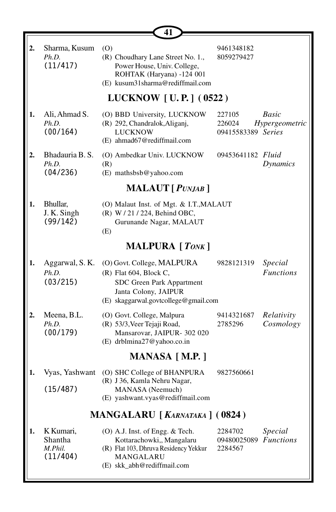|    |                                             | 41                                                                                                                                                  |                                        |                             |
|----|---------------------------------------------|-----------------------------------------------------------------------------------------------------------------------------------------------------|----------------------------------------|-----------------------------|
| 2. | Sharma, Kusum<br>Ph.D.<br>(11/417)          | (0)<br>(R) Choudhary Lane Street No. 1.,<br>Power House, Univ. College,<br>ROHTAK (Haryana) -124 001<br>(E) kusum31sharma@rediffmail.com            | 9461348182<br>8059279427               |                             |
|    |                                             | LUCKNOW [U.P.] (0522)                                                                                                                               |                                        |                             |
| 1. | Ali, Ahmad S.<br>Ph.D.<br>(00/164)          | (O) BBD University, LUCKNOW<br>(R) 292, Chandralok, Aliganj,<br><b>LUCKNOW</b><br>(E) ahmad67@rediffmail.com                                        | 227105<br>226024<br>09415583389 Series | Basic<br>Hypergeometric     |
| 2. | Bhadauria B. S.<br>Ph.D.<br>(04/236)        | (O) Ambedkar Univ. LUCKNOW<br>(R)<br>(E) mathsbsb@yahoo.com                                                                                         | 09453641182 Fluid                      | Dynamics                    |
|    |                                             | <b>MALAUT</b> [ <i>PUNJAB</i> ]                                                                                                                     |                                        |                             |
| 1. | Bhullar,<br>J. K. Singh<br>(99/142)         | (O) Malaut Inst. of Mgt. & I.T., MALAUT<br>(R) W / 21 / 224, Behind OBC,<br>Gurunande Nagar, MALAUT<br>(E)                                          |                                        |                             |
|    |                                             | <b>MALPURA</b> [ <i>TONK</i> ]                                                                                                                      |                                        |                             |
| 1. | Aggarwal, S. K.<br>Ph.D.<br>(03/215)        | (O) Govt. College, MALPURA<br>$(R)$ Flat 604, Block C,<br>SDC Green Park Appartment<br>Janta Colony, JAIPUR<br>(E) skaggarwal.govtcollege@gmail.com | 9828121319                             | Special<br><b>Functions</b> |
| 2. | Meena, B.L.<br>Ph.D.<br>(00/179)            | (O) Govt. College, Malpura<br>(R) 53/3, Veer Tejaji Road,<br>Mansarovar, JAIPUR- 302 020<br>(E) drblmina27@yahoo.co.in                              | 9414321687<br>2785296                  | Relativity<br>Cosmology     |
|    |                                             | MANASA [M.P.]                                                                                                                                       |                                        |                             |
| 1. | Vyas, Yashwant<br>(15/487)                  | (O) SHC College of BHANPURA<br>(R) J 36, Kamla Nehru Nagar,<br>MANASA (Neemuch)<br>(E) yashwant.vyas@rediffmail.com                                 | 9827560661                             |                             |
|    |                                             | MANGALARU [KARNATAKA] (0824)                                                                                                                        |                                        |                             |
| 1. | K Kumari,<br>Shantha<br>M.Phil.<br>(11/404) | (O) A.J. Inst. of Engg. & Tech.<br>Kottarachowki,, Mangalaru<br>(R) Flat 103, Dhruva Residency Yekkur<br>MANGALARU<br>(E) skk abh@rediffmail.com    | 2284702<br>09480025089<br>2284567      | Special<br><b>Functions</b> |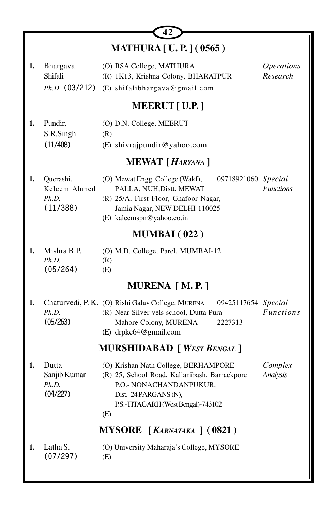|    |                                                | 42                                                                                                                                                                                        |                                      |
|----|------------------------------------------------|-------------------------------------------------------------------------------------------------------------------------------------------------------------------------------------------|--------------------------------------|
|    |                                                | <b>MATHURA</b> [ U. P. ] (0565)                                                                                                                                                           |                                      |
| 1. | Bhargava<br>Shifali<br>$Ph.D.$ (03/212)        | (O) BSA College, MATHURA<br>(R) 1K13, Krishna Colony, BHARATPUR<br>(E) shifalibhargava@gmail.com                                                                                          | <i><b>Operations</b></i><br>Research |
|    |                                                | <b>MEERUT</b> [ U.P. ]                                                                                                                                                                    |                                      |
| 1. | Pundir,<br>S.R.Singh<br>(11/408)               | (O) D.N. College, MEERUT<br>(R)<br>(E) shivrajpundir@yahoo.com                                                                                                                            |                                      |
|    |                                                | MEWAT [HARYANA]                                                                                                                                                                           |                                      |
| 1. | Querashi,<br>Keleem Ahmed<br>Ph.D.<br>(11/388) | 09718921060 Special<br>(O) Mewat Engg. College (Wakf),<br>PALLA, NUH, Distt. MEWAT<br>(R) 25/A, First Floor, Ghafoor Nagar,<br>Jamia Nagar, NEW DELHI-110025<br>(E) kaleemspn@yahoo.co.in | <b>Functions</b>                     |
|    |                                                | <b>MUMBAI</b> (022)                                                                                                                                                                       |                                      |
| 1. | Mishra B.P.<br>Ph.D.<br>(05/264)               | (O) M.D. College, Parel, MUMBAI-12<br>(R)<br>(E)                                                                                                                                          |                                      |
|    |                                                | MURENA [M.P.]                                                                                                                                                                             |                                      |
| 1. | Ph.D.<br>(05/263)                              | Chaturvedi, P. K. (O) Rishi Galav College, MURENA<br>09425117654 Special<br>(R) Near Silver vels school, Dutta Pura<br>Mahore Colony, MURENA<br>2227313<br>(E) drpkc64@gmail.com          | <b>Functions</b>                     |
|    |                                                | <b>MURSHIDABAD</b> [ WEST BENGAL ]                                                                                                                                                        |                                      |
| 1. | Dutta<br>Sanjib Kumar<br>Ph.D.<br>(04/227)     | (O) Krishan Nath College, BERHAMPORE<br>(R) 25, School Road, Kalianibash, Barrackpore<br>P.O.- NONACHANDANPUKUR,<br>Dist.-24 PARGANS (N),<br>P.S.-TITAGARH (West Bengal)-743102<br>(E)    | Complex<br><b>Analysis</b>           |
|    |                                                | MYSORE [KARNATAKA] (0821)                                                                                                                                                                 |                                      |
| 1. | Latha S.<br>(07/297)                           | (O) University Maharaja's College, MYSORE<br>(E)                                                                                                                                          |                                      |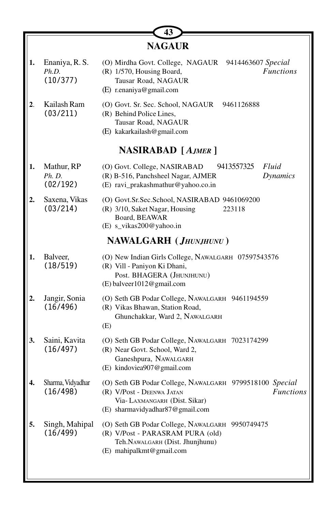|    |                                     | <b>NAGAUR</b>                                                                                                                                                               |
|----|-------------------------------------|-----------------------------------------------------------------------------------------------------------------------------------------------------------------------------|
|    | Enaniya, R. S.<br>Ph.D.<br>(10/377) | (O) Mirdha Govt. College, NAGAUR 9414463607 Special<br><b>Functions</b><br>(R) 1/570, Housing Board,<br>Tausar Road, NAGAUR<br>(E) r.enaniya@gmail.com                      |
| 2. | Kailash Ram<br>(03/211)             | (O) Govt. Sr. Sec. School, NAGAUR<br>9461126888<br>(R) Behind Police Lines,<br>Tausar Road, NAGAUR<br>(E) kakarkailash@gmail.com                                            |
|    |                                     | <b>NASIRABAD</b> [AJMER]                                                                                                                                                    |
| 1. | Mathur, RP<br>Ph. D.<br>(02/192)    | (O) Govt. College, NASIRABAD<br>9413557325<br>Fluid<br>(R) B-516, Panchsheel Nagar, AJMER<br>Dynamics<br>(E) ravi_prakashmathur@yahoo.co.in                                 |
| 2. | Saxena, Vikas<br>(03/214)           | (O) Govt.Sr.Sec.School, NASIRABAD 9461069200<br>(R) 3/10, Saket Nagar, Housing<br>223118<br>Board, BEAWAR<br>(E) s_vikas200@yahoo.in                                        |
|    |                                     | NAWALGARH (JHUNJHUNU)                                                                                                                                                       |
| 1. | Balveer,<br>(18/519)                | (O) New Indian Girls College, NAWALGARH 07597543576<br>(R) Vill - Paniyon Ki Dhani,<br>Post. BHAGERA (JHUNJHUNU)<br>(E) balveer1012@gmail.com                               |
| 2. | Jangir, Sonia<br>(16/496)           | (O) Seth GB Podar College, NAWALGARH 9461194559<br>(R) Vikas Bhawan, Station Road,<br>Ghunchakkar, Ward 2, NAWALGARH<br>(E)                                                 |
| 3. | Saini, Kavita<br>(16/497)           | (O) Seth GB Podar College, NAWALGARH 7023174299<br>(R) Near Govt. School, Ward 2,<br>Ganeshpura, NAWALGARH<br>(E) kindoviea907@gmail.com                                    |
|    | Sharma, Vidyadhar<br>(16/498)       | (O) Seth GB Podar College, NAWALGARH 9799518100 Special<br>(R) V/Post - DEENWA JATAN<br><b>Functions</b><br>Via-LAXMANGARH (Dist. Sikar)<br>(E) sharmavidyadhar87@gmail.com |
| 5. | Singh, Mahipal<br>(16/499)          | (O) Seth GB Podar College, NAWALGARH 9950749475<br>(R) V/Post - PARASRAM PURA (old)<br>Teh.NAWALGARH (Dist. Jhunjhunu)<br>(E) mahipalkmt@gmail.com                          |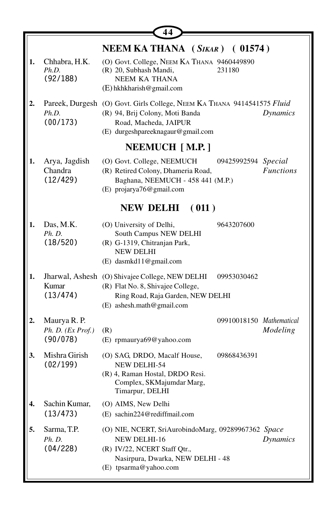| 1. | Chhabra, H.K.                                 | NEEM KA THANA (SIKAR) (01574)<br>(O) Govt. College, NEEM KA THANA 9460449890                                                                                                         |
|----|-----------------------------------------------|--------------------------------------------------------------------------------------------------------------------------------------------------------------------------------------|
|    | Ph.D.<br>(92/188)                             | (R) 20, Subhash Mandi,<br>231180<br>NEEM KA THANA<br>$(E)$ hkhkharish @gmail.com                                                                                                     |
| 2. | Ph.D.<br>(00/173)                             | Pareek, Durgesh (O) Govt. Girls College, NEEM KA THANA 9414541575 Fluid<br>(R) 94, Brij Colony, Moti Banda<br>Dynamics<br>Road, Macheda, JAIPUR<br>(E) durgeshpareeknagaur@gmail.com |
|    |                                               | <b>NEEMUCH</b> [M.P.]                                                                                                                                                                |
| 1. | Arya, Jagdish<br>Chandra<br>(12/429)          | (O) Govt. College, NEEMUCH<br>09425992594 Special<br><b>Functions</b><br>(R) Retired Colony, Dhameria Road,<br>Baghana, NEEMUCH - 458 441 (M.P.)<br>(E) projarya76@gmail.com         |
|    |                                               | NEW DELHI (011)                                                                                                                                                                      |
| 1. | Das, M.K.<br>Ph. D.<br>(18/520)               | (O) University of Delhi,<br>9643207600<br>South Campus NEW DELHI<br>(R) G-1319, Chitranjan Park,<br><b>NEW DELHI</b><br>(E) dasmkd11@gmail.com                                       |
| 1. | Kumar<br>(13/474)                             | Jharwal, Ashesh (O) Shivajee College, NEW DELHI<br>09953030462<br>(R) Flat No. 8, Shivajee College,<br>Ring Road, Raja Garden, NEW DELHI<br>(E) ashesh.math@gmail.com                |
| 2. | Maurya R. P.<br>Ph. D. (Ex Prof.)<br>(90/078) | 09910018150 Mathematical<br>Modeling<br>(R)<br>(E) rpmaurya69@yahoo.com                                                                                                              |
| 3. | Mishra Girish<br>(02/199)                     | (O) SAG, DRDO, Macalf House,<br>09868436391<br>NEW DELHI-54<br>(R) 4, Raman Hostal, DRDO Resi.<br>Complex, SKMajumdar Marg,<br>Timarpur, DELHI                                       |
| 4. | Sachin Kumar,<br>(13/473)                     | (O) AIMS, New Delhi<br>(E) sachin224@rediffmail.com                                                                                                                                  |
| 5. | Sarma, T.P.<br><i>Ph. D.</i><br>(04/228)      | (O) NIE, NCERT, SriAurobindoMarg, 09289967362 Space<br>Dynamics<br>NEW DELHI-16<br>(R) IV/22, NCERT Staff Qtr.,<br>Nasirpura, Dwarka, NEW DELHI - 48<br>(E) tpsarma@yahoo.com        |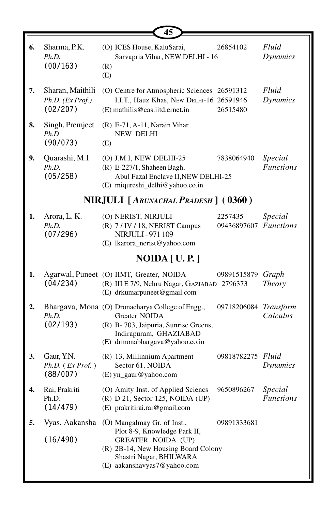|    |                                                       | 45                                                                                                                                                                                        |                                  |                             |
|----|-------------------------------------------------------|-------------------------------------------------------------------------------------------------------------------------------------------------------------------------------------------|----------------------------------|-----------------------------|
| 6. | Sharma, P.K.<br>Ph.D.<br>(00/163)                     | (O) ICES House, KaluSarai,<br>Sarvapria Vihar, NEW DELHI - 16<br>(R)<br>(E)                                                                                                               | 26854102                         | Fluid<br><b>Dynamics</b>    |
| 7. | Sharan, Maithili<br>Ph.D. (Ex Prof.)<br>(02/207)      | (O) Centre for Atmospheric Sciences 26591312<br>I.I.T., Hauz Khas, New DELHI-16 26591946<br>(E) mathilis@cas.iitd.ernet.in                                                                | 26515480                         | Fluid<br><b>Dynamics</b>    |
| 8. | Singh, Premjeet<br>Ph.D<br>(90/073)                   | $(R)$ E-71, A-11, Narain Vihar<br><b>NEW DELHI</b><br>(E)                                                                                                                                 |                                  |                             |
| 9. | Quarashi, M.I<br>Ph.D.<br>(05/258)                    | (O) J.M.I, NEW DELHI-25<br>(R) E-227/1, Shaheen Bagh,<br>Abul Fazal Enclave II, NEW DELHI-25<br>(E) miqureshi_delhi@yahoo.co.in                                                           | 7838064940                       | Special<br><b>Functions</b> |
|    |                                                       | NIRJULI [ARUNACHAL PRADESH] (0360)                                                                                                                                                        |                                  |                             |
| 1. | Arora, L. K.<br>Ph.D.<br>(07/296)                     | (O) NERIST, NIRJULI<br>(R) 7/IV/18, NERIST Campus<br><b>NIRJULI-971109</b><br>(E) lkarora_nerist@yahoo.com                                                                                | 2257435<br>09436897607 Functions | Special                     |
|    |                                                       | NOIDA [ U. P. ]                                                                                                                                                                           |                                  |                             |
| 1. | (04/234)                                              | Agarwal, Puneet (O) IIMT, Greater, NOIDA<br>(R) III E 7/9, Nehru Nagar, GAZIABAD 2796373<br>(E) drkumarpuneet@gmail.com                                                                   | 09891515879                      | Graph<br>Theory             |
| 2. | Ph.D.<br>(02/193)                                     | Bhargava, Mona (O) Dronacharya College of Engg.,<br>Greater NOIDA<br>(R) B-703, Jaipuria, Sunrise Greens,<br>Indirapuram, GHAZIABAD<br>(E) drmonabhargava@yahoo.co.in                     | 09718206084 Transform            | Calculus                    |
| 3. | Gaur, Y.N.<br>$Ph.D.$ ( <i>Ex Prof.</i> )<br>(88/007) | (R) 13, Millinnium Apartment<br>Sector 61, NOIDA<br>(E) yn_gaur@yahoo.com                                                                                                                 | 09818782275 Fluid                | <b>Dynamics</b>             |
| 4. | Rai, Prakriti<br>Ph.D.<br>(14/479)                    | (O) Amity Inst. of Applied Sciencs<br>$(R)$ D 21, Sector 125, NOIDA (UP)<br>(E) prakritirai.rai@gmail.com                                                                                 | 9650896267                       | Special<br><b>Functions</b> |
| 5. | Vyas, Aakansha<br>(16/490)                            | (O) Mangalmay Gr. of Inst.,<br>Plot 8-9, Knowledge Park II,<br><b>GREATER NOIDA (UP)</b><br>(R) 2B-14, New Housing Board Colony<br>Shastri Nagar, BHILWARA<br>(E) aakanshavyas7@yahoo.com | 09891333681                      |                             |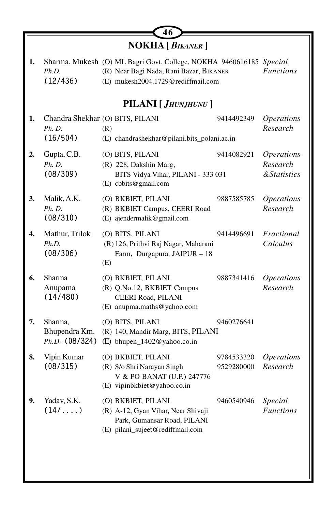|    |                          | 46                                                                                                                                                   |                          |                                      |
|----|--------------------------|------------------------------------------------------------------------------------------------------------------------------------------------------|--------------------------|--------------------------------------|
|    |                          | NOKHA [ BIKANER ]                                                                                                                                    |                          |                                      |
| 1. | Ph.D.<br>(12/436)        | Sharma, Mukesh (O) ML Bagri Govt. College, NOKHA 9460616185 Special<br>(R) Near Bagi Nada, Rani Bazar, BIKANER<br>(E) mukesh2004.1729@rediffmail.com |                          | <b>Functions</b>                     |
|    |                          | PILANI [ JHUNJHUNU ]                                                                                                                                 |                          |                                      |
| 1. |                          | Chandra Shekhar (O) BITS, PILANI                                                                                                                     | 9414492349               | <i><b>Operations</b></i><br>Research |
|    | Ph. D.<br>(16/504)       | (R)<br>(E) chandrashekhar@pilani.bits_polani.ac.in                                                                                                   |                          |                                      |
| 2. | Gupta, C.B.              | (O) BITS, PILANI                                                                                                                                     | 9414082921               | <i><b>Operations</b></i>             |
|    | Ph. D.<br>(08/309)       | (R) 228, Dakshin Marg,<br>BITS Vidya Vihar, PILANI - 333 031<br>(E) cbbits@gmail.com                                                                 |                          | Research<br><b>&amp;Statistics</b>   |
| 3. | Malik, A.K.<br>Ph. D.    | (O) BKBIET, PILANI<br>(R) BKBIET Campus, CEERI Road                                                                                                  | 9887585785               | <i><b>Operations</b></i><br>Research |
|    | (08/310)                 | (E) ajendermalik@gmail.com                                                                                                                           |                          |                                      |
| 4. | Mathur, Trilok<br>Ph.D.  | (O) BITS, PILANI<br>(R) 126, Prithvi Raj Nagar, Maharani                                                                                             | 9414496691               | Fractional<br>Calculus               |
|    | (08/306)                 | Farm, Durgapura, JAIPUR - 18<br>(E)                                                                                                                  |                          |                                      |
| 6. | Sharma<br>Anupama        | (O) BKBIET, PILANI<br>(R) Q.No.12, BKBIET Campus                                                                                                     | 9887341416               | <b>Operations</b><br>Research        |
|    | (14/480)                 | CEERI Road, PILANI<br>(E) anupma.maths@yahoo.com                                                                                                     |                          |                                      |
| 7. | Sharma,<br>Bhupendra Km. | (O) BITS, PILANI<br>(R) 140, Mandir Marg, BITS, PILANI                                                                                               | 9460276641               |                                      |
|    | $Ph.D.$ (08/324)         | (E) bhupen_1402@yahoo.co.in                                                                                                                          |                          |                                      |
| 8. | Vipin Kumar<br>(08/315)  | (O) BKBIET, PILANI<br>(R) S/o Shri Narayan Singh                                                                                                     | 9784533320<br>9529280000 | <i><b>Operations</b></i><br>Research |
|    |                          | V & PO BANAT (U.P.) 247776<br>(E) vipinbkbiet@yahoo.co.in                                                                                            |                          |                                      |
| 9. | Yadav, S.K.              | (O) BKBIET, PILANI                                                                                                                                   | 9460540946               | Special                              |
|    | $(14/\ldots)$            | (R) A-12, Gyan Vihar, Near Shivaji<br>Park, Gumansar Road, PILANI                                                                                    |                          | <b>Functions</b>                     |
|    |                          | (E) pilani_sujeet@rediffmail.com                                                                                                                     |                          |                                      |
|    |                          |                                                                                                                                                      |                          |                                      |
|    |                          |                                                                                                                                                      |                          |                                      |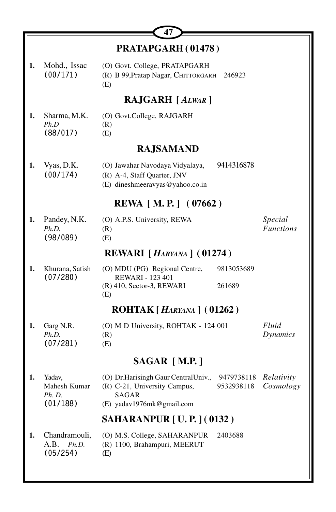|    |                                              | 47                                                                                                          |                          |                             |
|----|----------------------------------------------|-------------------------------------------------------------------------------------------------------------|--------------------------|-----------------------------|
|    |                                              | PRATAPGARH (01478)                                                                                          |                          |                             |
| 1. | Mohd., Issac<br>(00/171)                     | (O) Govt. College, PRATAPGARH<br>(R) B 99, Pratap Nagar, CHITTORGARH<br>(E)                                 | 246923                   |                             |
|    |                                              | <b>RAJGARH</b> [ALWAR]                                                                                      |                          |                             |
| 1. | Sharma, M.K.<br>Ph.D<br>(88/017)             | (O) Govt.College, RAJGARH<br>(R)<br>(E)                                                                     |                          |                             |
|    |                                              | <b>RAJSAMAND</b>                                                                                            |                          |                             |
| 1. | Vyas, D.K.<br>(00/174)                       | (O) Jawahar Navodaya Vidyalaya,<br>(R) A-4, Staff Quarter, JNV<br>(E) dineshmeeravyas@yahoo.co.in           | 9414316878               |                             |
|    |                                              | <b>REWA</b> [M.P.] (07662)                                                                                  |                          |                             |
| 1. | Pandey, N.K.<br>Ph.D.<br>(98/089)            | (O) A.P.S. University, REWA<br>(R)<br>(E)                                                                   |                          | Special<br><b>Functions</b> |
|    |                                              | REWARI [HARYANA] (01274)                                                                                    |                          |                             |
| 1. | Khurana, Satish<br>(07/280)                  | (O) MDU (PG) Regional Centre,<br><b>REWARI - 123 401</b><br>(R) 410, Sector-3, REWARI<br>(E)                | 9813053689<br>261689     |                             |
|    |                                              | $ROHTAK[Harkana]$ (01262)                                                                                   |                          |                             |
| 1. | Garg N.R.<br>Ph.D.<br>(07/281)               | (O) M D University, ROHTAK - 124 001<br>(R)<br>(E)                                                          |                          | Fluid<br>Dynamics           |
|    |                                              | $SAGAR$ [M.P.]                                                                                              |                          |                             |
| 1. | Yadav,<br>Mahesh Kumar<br>Ph. D.<br>(01/188) | (O) Dr. Harisingh Gaur Central Univ.,<br>(R) C-21, University Campus,<br>SAGAR<br>(E) yadav1976mk@gmail.com | 9479738118<br>9532938118 | Relativity<br>Cosmology     |
|    |                                              | <b>SAHARANPUR [ U. P. ] (0132)</b>                                                                          |                          |                             |
| 1. | Chandramouli,<br>A.B.<br>Ph.D.<br>(05/254)   | (O) M.S. College, SAHARANPUR<br>(R) 1100, Brahampuri, MEERUT<br>(E)                                         | 2403688                  |                             |
|    |                                              |                                                                                                             |                          |                             |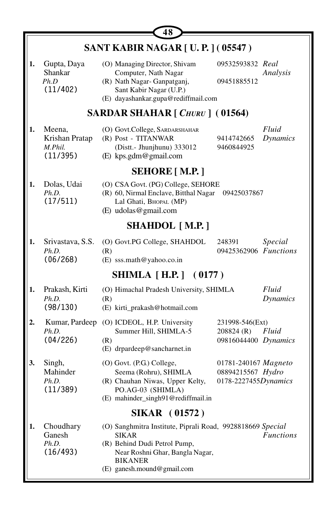|    |                                                 | 48                                                                                                                                                                                            |                                                                   |                          |  |  |
|----|-------------------------------------------------|-----------------------------------------------------------------------------------------------------------------------------------------------------------------------------------------------|-------------------------------------------------------------------|--------------------------|--|--|
|    | <b>SANT KABIR NAGAR [U.P.] (05547)</b>          |                                                                                                                                                                                               |                                                                   |                          |  |  |
| 1. | Gupta, Daya<br>Shankar<br>Ph.D<br>(11/402)      | (O) Managing Director, Shivam<br>Computer, Nath Nagar<br>(R) Nath Nagar-Ganpatganj,<br>Sant Kabir Nagar (U.P.)<br>(E) dayashankar.gupa@rediffmail.com                                         | 09532593832 Real<br>09451885512                                   | Analysis                 |  |  |
|    |                                                 | <b>SARDAR SHAHAR</b> [ <i>CHURU</i> ] (01564)                                                                                                                                                 |                                                                   |                          |  |  |
| 1. | Meena,<br>Krishan Pratap<br>M.Phil.<br>(11/395) | (O) Govt.College, SARDARSHAHAR<br>(R) Post - TITANWAR<br>(Distt.- Jhunjhunu) 333012<br>(E) kps.gdm@gmail.com                                                                                  | 9414742665<br>9460844925                                          | Fluid<br><b>Dynamics</b> |  |  |
|    |                                                 | <b>SEHORE</b> [ M.P. ]                                                                                                                                                                        |                                                                   |                          |  |  |
| 1. | Dolas, Udai<br>Ph.D.<br>(17/511)                | (O) CSA Govt. (PG) College, SEHORE<br>(R) 60, Nirmal Enclave, Bitthal Nagar<br>Lal Ghati, BHOPAL (MP)<br>(E) udolas@gmail.com                                                                 | 09425037867                                                       |                          |  |  |
|    |                                                 | <b>SHAHDOL</b> [M.P.]                                                                                                                                                                         |                                                                   |                          |  |  |
| 1. | Srivastava, S.S.<br>Ph.D.<br>(06/268)           | (O) Govt.PG College, SHAHDOL<br>(R)<br>(E) sss.math@yahoo.co.in                                                                                                                               | 248391<br>09425362906 Functions                                   | Special                  |  |  |
|    |                                                 | <b>SHIMLA</b> [H.P.] (0177)                                                                                                                                                                   |                                                                   |                          |  |  |
| 1. | Prakash, Kirti<br>Ph.D.<br>(98/130)             | (O) Himachal Pradesh University, SHIMLA<br>(R)<br>(E) kirti_prakash@hotmail.com                                                                                                               |                                                                   | Fluid<br><b>Dynamics</b> |  |  |
| 2. | Kumar, Pardeep<br>Ph.D.<br>(04/226)             | (O) ICDEOL, H.P. University<br>Summer Hill, SHIMLA-5<br>(R)<br>(E) drpardeep@sancharnet.in                                                                                                    | 231998-546(Ext)<br>208824(R)<br>09816044400 Dynamics              | Fluid                    |  |  |
| 3. | Singh,<br>Mahinder<br>Ph.D.<br>(11/389)         | (O) Govt. (P.G.) College,<br>Seema (Rohru), SHIMLA<br>(R) Chauhan Niwas, Upper Kelty,<br>PO.AG-03 (SHIMLA)<br>(E) mahinder_singh91@rediffmail.in                                              | 01781-240167 Magneto<br>08894215567 Hydro<br>0178-2227455Dynamics |                          |  |  |
|    |                                                 | <b>SIKAR</b> (01572)                                                                                                                                                                          |                                                                   |                          |  |  |
| 1. | Choudhary<br>Ganesh<br>Ph.D.<br>(16/493)        | (O) Sanghmitra Institute, Piprali Road, 9928818669 Special<br><b>SIKAR</b><br>(R) Behind Dudi Petrol Pump,<br>Near Roshni Ghar, Bangla Nagar,<br><b>BIKANER</b><br>(E) ganesh.mound@gmail.com |                                                                   | <b>Functions</b>         |  |  |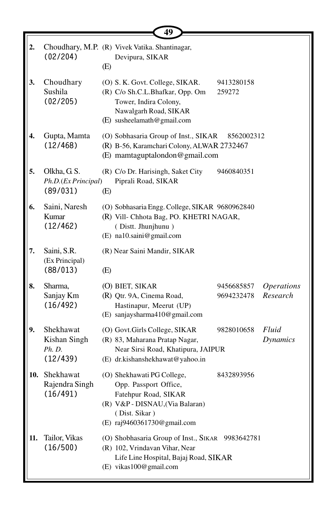|     |                                                 | 49                                                                                                                                                             |                                                                  |
|-----|-------------------------------------------------|----------------------------------------------------------------------------------------------------------------------------------------------------------------|------------------------------------------------------------------|
| 2.  | (02/204)                                        | Choudhary, M.P. (R) Vivek Vatika. Shantinagar,<br>Devipura, SIKAR<br>(E)                                                                                       |                                                                  |
| 3.  | Choudhary<br>Sushila<br>(02/205)                | (O) S. K. Govt. College, SIKAR.<br>(R) C/o Sh.C.L.Bhafkar, Opp. Om<br>Tower, Indira Colony,<br>Nawalgarh Road, SIKAR<br>(E) susheelamath@gmail.com             | 9413280158<br>259272                                             |
| 4.  | Gupta, Mamta<br>(12/468)                        | (O) Sobhasaria Group of Inst., SIKAR<br>(R) B-56, Karamchari Colony, ALWAR 2732467<br>(E) mamtaguptalondon@gmail.com                                           | 8562002312                                                       |
| 5.  | Olkha, G.S.<br>Ph.D.(Ex Principal)<br>(89/031)  | (R) C/o Dr. Harisingh, Saket City<br>Piprali Road, SIKAR<br>(E)                                                                                                | 9460840351                                                       |
| 6.  | Saini, Naresh<br>Kumar<br>(12/462)              | (O) Sobhasaria Engg. College, SIKAR 9680962840<br>(R) Vill- Chhota Bag, PO. KHETRI NAGAR,<br>(Distt. Jhunjhunu)<br>(E) na10.saini@gmail.com                    |                                                                  |
| 7.  | Saini, S.R.<br>(Ex Principal)<br>(88/013)       | (R) Near Saini Mandir, SIKAR<br>(E)                                                                                                                            |                                                                  |
| 8.  | Sharma,<br>Sanjay Km<br>(16/492)                | (O) BIET, SIKAR<br>(R) Qtr. 9A, Cinema Road,<br>Hastinapur, Meerut (UP)<br>(E) sanjaysharma410@gmail.com                                                       | <i><b>Operations</b></i><br>9456685857<br>Research<br>9694232478 |
| 9.  | Shekhawat<br>Kishan Singh<br>Ph. D.<br>(12/439) | (O) Govt.Girls College, SIKAR<br>(R) 83, Maharana Pratap Nagar,<br>Near Sirsi Road, Khatipura, JAIPUR<br>(E) dr.kishanshekhawat@yahoo.in                       | Fluid<br>9828010658<br><b>Dynamics</b>                           |
|     | 10. Shekhawat<br>Rajendra Singh<br>(16/491)     | (O) Shekhawati PG College,<br>Opp. Passport Office,<br>Fatehpur Road, SIKAR<br>(R) V&P - DISNAU, (Via Balaran)<br>(Dist. Sikar)<br>(E) raj9460361730@gmail.com | 8432893956                                                       |
| 11. | Tailor, Vikas<br>(16/500)                       | (O) Shobhasaria Group of Inst., SIKAR 9983642781<br>(R) 102, Vrindavan Vihar, Near<br>Life Line Hospital, Bajaj Road, SIKAR<br>(E) vikas100@gmail.com          |                                                                  |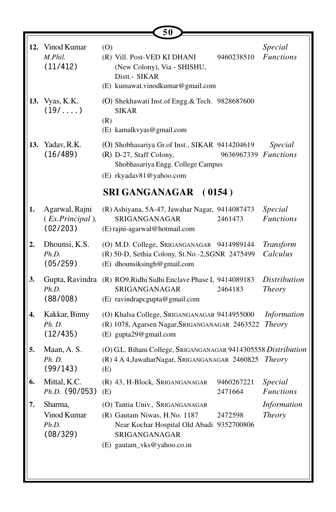|     |                                               | 50                                                                                                                                                                     |                               |  |  |  |
|-----|-----------------------------------------------|------------------------------------------------------------------------------------------------------------------------------------------------------------------------|-------------------------------|--|--|--|
| 12. | Vinod Kumar<br>M.Phil.<br>(11/412)            | (O)<br>(R) Vill. Post-VED KI DHANI<br>9460238510<br>(New Colony), Via - SHISHU,<br>Distt.- SIKAR<br>(E) kumawat.vinodkumar@gmail.com                                   | Special<br><b>Functions</b>   |  |  |  |
| 13. | Vyas, K.K.<br>$(19/\ldots)$                   | (O) Shekhawati Inst.of Engg.& Tech. 9828687600<br><b>SIKAR</b><br>(R)<br>(E) kamalkvyas@gmail.com                                                                      |                               |  |  |  |
| 13. | Yadav, R.K.<br>(16/489)                       | (O) Shobhasariya Gr.of Inst., SIKAR 9414204619<br>(R) D-27, Staff Colony,<br>9636967339 Functions<br>Shobhasariya Engg. College Campus<br>(E) rkyadav81@yahoo.com      | Special                       |  |  |  |
|     | <b>SRI GANGANAGAR</b><br>(0154)               |                                                                                                                                                                        |                               |  |  |  |
| 1.  | Agarwal, Rajni<br>(Ex.Principal),<br>(02/203) | (R) Ashiyana, 5A-47, Jawahar Nagar, 9414087473<br>SRIGANGANAGAR<br>2461473<br>(E) rajni-agarwal@hotmail.com                                                            | Special<br><b>Functions</b>   |  |  |  |
| 2.  | Dhounsi, K.S.<br>Ph.D.<br>(05/259)            | (O) M.D. College, SRIGANGANAGAR 9414989144<br>(R) 50-D, Sethia Colony, St.No.-2,SGNR 2475499<br>(E) dhounsiksingh@gmail.com                                            | Transform<br>Calculus         |  |  |  |
| 3.  | Ph.D.<br>(88/008)                             | Gupta, Ravindra (R) RO9, Ridhi Sidhi Enclave Phase I, 9414089183<br>SRIGANGANAGAR<br>2464183<br>(E) ravindrapcgupta@gmail.com                                          | <i>Distribution</i><br>Theory |  |  |  |
| 4.  | Kakkar, Binny<br>Ph. D.<br>(12/435)           | (O) Khalsa College, SRIGANGANAGAR 9414955000<br>(R) 1078, Agarsen Nagar, SRIGANGANAGAR 2463522<br>(E) gupta29@gmail.com                                                | Information<br><i>Theory</i>  |  |  |  |
| 5.  | Maan, A.S.<br>Ph. D.<br>(99/143)              | (O) G.L. Bihani College, SRIGANGANAGAR 9414305558 Distribution<br>(R) 4 A 4, Jawahar Nagar, SRIGANGANAGAR 2460825 Theory<br>(E)                                        |                               |  |  |  |
| 6.  | Mittal, K.C.<br>$Ph.D.$ (90/053) (E)          | (R) 43, H-Block, SRIGANGANAGAR<br>9460267221<br>2471664                                                                                                                | Special<br><b>Functions</b>   |  |  |  |
| 7.  | Sharma,<br>Vinod Kumar<br>Ph.D.<br>(08/329)   | (O) Tantia Univ., SRIGANGANAGAR<br>(R) Gautam Niwas, H.No. 1187<br>2472598<br>Near Kochar Hospital Old Abadi 9352700806<br>SRIGANGANAGAR<br>(E) gautam_vks@yahoo.co.in | Information<br><b>Theory</b>  |  |  |  |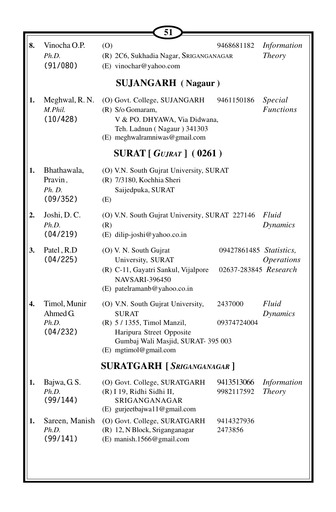|    |                                               | 51                                                                                                                                                                          |                                                  |                                     |  |
|----|-----------------------------------------------|-----------------------------------------------------------------------------------------------------------------------------------------------------------------------------|--------------------------------------------------|-------------------------------------|--|
| 8. | Vinocha O.P.<br>Ph.D.<br>(91/080)             | (0)<br>(R) 2C6, Sukhadia Nagar, SRIGANGANAGAR<br>(E) vinochar@yahoo.com                                                                                                     | 9468681182                                       | Information<br><b>Theory</b>        |  |
|    |                                               | <b>SUJANGARH</b> (Nagaur)                                                                                                                                                   |                                                  |                                     |  |
| 1. | Meghwal, R.N.<br>M.Phil.<br>(10/428)          | (O) Govt. College, SUJANGARH<br>(R) S/o Gomaram,<br>V & PO. DHYAWA, Via Didwana,<br>Teh. Ladnun (Nagaur) 341303<br>(E) meghwalramniwas@gmail.com                            | 9461150186                                       | Special<br><b>Functions</b>         |  |
|    | <b>SURAT</b> [ GUJRAT ] (0261)                |                                                                                                                                                                             |                                                  |                                     |  |
| 1. | Bhathawala,<br>Pravin,<br>Ph. D.<br>(09/352)  | (O) V.N. South Gujrat University, SURAT<br>(R) 7/3180, Kochhia Sheri<br>Saijedpuka, SURAT<br>(E)                                                                            |                                                  |                                     |  |
| 2. | Joshi, D.C.<br>Ph.D.<br>(04/219)              | (O) V.N. South Gujrat University, SURAT 227146<br>(R)<br>(E) dilip-joshi@yahoo.co.in                                                                                        |                                                  | Fluid<br><b>Dynamics</b>            |  |
| 3. | Patel, R.D<br>(04/225)                        | (O) V. N. South Gujrat<br>University, SURAT<br>(R) C-11, Gayatri Sankul, Vijalpore<br><b>NAVSARI-396450</b><br>(E) patelramanb@yahoo.co.in                                  | 09427861485 Statistics,<br>02637-283845 Research | <i><b>Operations</b></i>            |  |
| 4. | Timol, Munir<br>Ahmed G.<br>Ph.D.<br>(04/232) | (O) V.N. South Gujrat University,<br><b>SURAT</b><br>(R) 5 / 1355, Timol Manzil,<br>Haripura Street Opposite<br>Gumbaj Wali Masjid, SURAT- 395 003<br>(E) mgtimol@gmail.com | 2437000<br>09374724004                           | Fluid<br><b>Dynamics</b>            |  |
|    | <b>SURATGARH</b> [SRIGANGANAGAR]              |                                                                                                                                                                             |                                                  |                                     |  |
| 1. | Bajwa, G.S.<br>Ph.D.<br>(99/144)              | (O) Govt. College, SURATGARH<br>(R) I 19, Ridhi Sidhi II,<br>SRIGANGANAGAR<br>(E) gurjeetbajwa11@gmail.com                                                                  | 9413513066<br>9982117592                         | <b>Information</b><br><b>Theory</b> |  |
| 1. | Sareen, Manish<br>Ph.D.<br>(99/141)           | (O) Govt. College, SURATGARH<br>(R) 12, N Block, Sriganganagar<br>(E) manish.1566@gmail.com                                                                                 | 9414327936<br>2473856                            |                                     |  |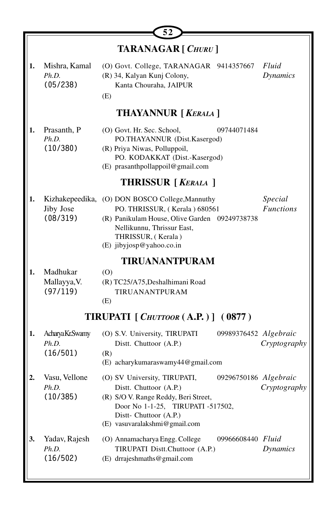| <b>TARANAGAR</b> [ CHURU ] |                                          |                                                                                                                                                                                                   |                                       |  |
|----------------------------|------------------------------------------|---------------------------------------------------------------------------------------------------------------------------------------------------------------------------------------------------|---------------------------------------|--|
| 1.                         | Mishra, Kamal<br>Ph.D.<br>(05/238)       | (O) Govt. College, TARANAGAR 9414357667<br>(R) 34, Kalyan Kunj Colony,<br>Kanta Chouraha, JAIPUR<br>(E)                                                                                           | Fluid<br>Dynamics                     |  |
|                            |                                          | <b>THAYANNUR [ KERALA ]</b>                                                                                                                                                                       |                                       |  |
| 1.                         | Prasanth, P<br>Ph.D.<br>(10/380)         | (O) Govt. Hr. Sec. School,<br>PO.THAYANNUR (Dist.Kasergod)<br>(R) Priya Niwas, Polluppoil,<br>PO. KODAKKAT (Dist.-Kasergod)<br>(E) prasanthpollappoil@gmail.com                                   | 09744071484                           |  |
|                            |                                          | <b>THRISSUR</b> [ <i>KERALA</i> ]                                                                                                                                                                 |                                       |  |
| 1.                         | Kizhakepeedika,<br>Jiby Jose<br>(08/319) | (O) DON BOSCO College, Mannuthy<br>PO. THRISSUR, (Kerala) 680561<br>(R) Panikulam House, Olive Garden 09249738738<br>Nellikunnu, Thrissur East,<br>THRISSUR, (Kerala)<br>(E) jibyjosp@yahoo.co.in | Special<br><b>Functions</b>           |  |
|                            |                                          | TIRUANANTPURAM                                                                                                                                                                                    |                                       |  |
| 1.                         | Madhukar<br>Mallayya, V.<br>(97/119)     | (0)<br>(R) TC25/A75, Deshalhimani Road<br>TIRUANANTPURAM<br>(E)                                                                                                                                   |                                       |  |
|                            |                                          | TIRUPATI [ CHUTTOOR (A.P.) ] (0877)                                                                                                                                                               |                                       |  |
| 1.                         | Acharya Kr.Swamy<br>Ph.D.<br>(16/501)    | (O) S.V. University, TIRUPATI<br>Distt. Chuttoor (A.P.)<br>(R)<br>(E) acharykumaraswamy44@gmail.com                                                                                               | 09989376452 Algebraic<br>Cryptography |  |
| 2.                         | Vasu, Vellone<br>Ph.D.<br>(10/385)       | (O) SV University, TIRUPATI,<br>Distt. Chuttoor (A.P.)<br>(R) S/O V. Range Reddy, Beri Street,<br>Door No 1-1-25, TIRUPATI -517502,<br>Distt- Chuttoor (A.P.)<br>(E) vasuvaralakshmi@gmail.com    | 09296750186 Algebraic<br>Cryptography |  |
| 3.                         | Yadav, Rajesh<br>Ph.D.<br>(16/502)       | (O) Annamacharya Engg. College<br>TIRUPATI Distt.Chuttoor (A.P.)<br>(E) drrajeshmaths@gmail.com                                                                                                   | 09966608440 Fluid<br><b>Dynamics</b>  |  |

Ŀ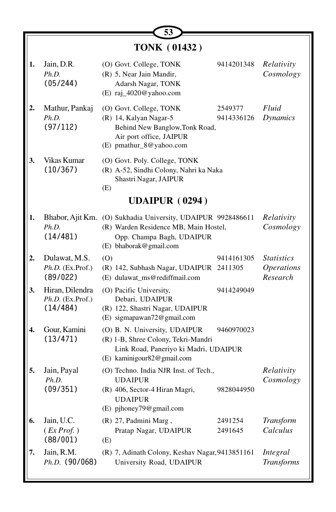|    | <b>TONK (01432)</b>                             |                                                                                                                                                                    |                                                    |  |  |
|----|-------------------------------------------------|--------------------------------------------------------------------------------------------------------------------------------------------------------------------|----------------------------------------------------|--|--|
| 1. | Jain, D.R.<br>Ph.D.<br>(05/244)                 | (O) Govt. College, TONK<br>9414201348<br>(R) 5, Near Jain Mandir,<br>Adarsh Nagar, TONK<br>(E) raj_4020@yahoo.com                                                  | Relativity<br>Cosmology                            |  |  |
|    | Mathur, Pankaj<br>Ph.D.<br>(97/112)             | (O) Govt. College, TONK<br>2549377<br>(R) 14, Kalyan Nagar-5<br>9414336126<br>Behind New Banglow, Tonk Road,<br>Air port office, JAIPUR<br>(E) pmathur_8@yahoo.com | Fluid<br>Dynamics                                  |  |  |
| 3. | Vikas Kumar<br>(10/367)                         | (O) Govt. Poly. College, TONK<br>(R) A-52, Sindhi Colony, Nahri ka Naka<br>Shastri Nagar, JAIPUR<br>(E)                                                            |                                                    |  |  |
|    |                                                 | <b>UDAIPUR (0294)</b>                                                                                                                                              |                                                    |  |  |
| 1. | Ph.D.<br>(14/481)                               | Bhabor, Ajit Km. (O) Sukhadia University, UDAIPUR 9928486611<br>(R) Warden Residence MB, Main Hostel,<br>Opp. Champa Bagh, UDAIPUR<br>(E) bhaborak@gmail.com       | Relativity<br>Cosmology                            |  |  |
| 2. | Dulawat, M.S.<br>Ph.D. (Ex.Prof.)<br>(89/022)   | (O)<br>9414161305<br>(R) 142, Subhash Nagar, UDAIPUR 2411305<br>(E) dulawat_ms@rediffmail.com                                                                      | <i>Statistics</i><br><b>Operations</b><br>Research |  |  |
| 3. | Hiran, Dilendra<br>Ph.D. (Ex.Prof.)<br>(14/484) | (O) Pacific University,<br>9414249049<br>Debari, UDAIPUR<br>(R) 122, Shastri Nagar, UDAIPUR<br>(E) sigmapawan72@gmail.com                                          |                                                    |  |  |
|    | Gour, Kamini<br>(13/471)                        | (O) B. N. University, UDAIPUR<br>9460970023<br>(R) 1-B, Shree Colony, Tekri-Mandri<br>Link Road, Paneriyo ki Madri, UDAIPUR<br>(E) kaminigour82@gmail.com          |                                                    |  |  |
| 5. | Jain, Payal<br>Ph.D.<br>(09/351)                | (O) Techno. India NJR Inst. of Tech.,<br><b>UDAIPUR</b><br>(R) 406, Sector-4 Hiran Magri,<br>9828044950<br><b>UDAIPUR</b>                                          | Relativity<br>Cosmology                            |  |  |
| 6. | Jain, U.C.<br>(EX Prof. )<br>(88/001)           | (E) pjhoney79@gmail.com<br>(R) 27, Padmini Marg,<br>2491254<br>Pratap Nagar, UDAIPUR<br>2491645<br>(E)                                                             | Transform<br>Calculus                              |  |  |
| 7. | Jain, R.M.<br>Ph.D. (90/068)                    | (R) 7, Adinath Colony, Keshav Nagar, 9413851161<br>University Road, UDAIPUR                                                                                        | Integral<br><b>Transforms</b>                      |  |  |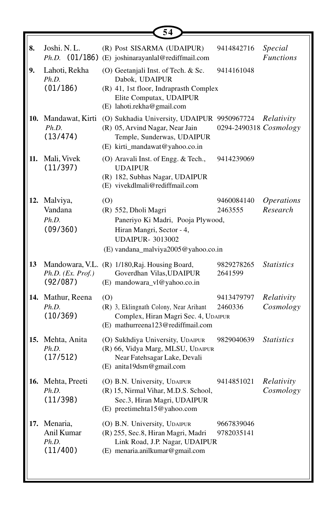|     |                                             | 54                                                                                                                                                              |                          |                                      |
|-----|---------------------------------------------|-----------------------------------------------------------------------------------------------------------------------------------------------------------------|--------------------------|--------------------------------------|
| 8.  | Joshi. N. L.                                | (R) Post SISARMA (UDAIPUR)<br>Ph.D. (01/186) (E) joshinarayanlal@rediffmail.com                                                                                 | 9414842716               | Special<br><b>Functions</b>          |
| 9.  | Lahoti, Rekha<br>Ph.D.<br>(01/186)          | (O) Geetanjali Inst. of Tech. & Sc.<br>Dabok, UDAIPUR<br>(R) 41, 1st floor, Indraprasth Complex<br>Elite Computax, UDAIPUR<br>(E) lahoti.rekha@gmail.com        | 9414161048               |                                      |
| 10. | Mandawat, Kirti<br>Ph.D.<br>(13/474)        | (O) Sukhadia University, UDAIPUR 9950967724<br>(R) 05, Arvind Nagar, Near Jain<br>Temple, Sunderwas, UDAIPUR<br>(E) kirti_mandawat@yahoo.co.in                  | 0294-2490318 Cosmology   | Relativity                           |
| 11. | Mali, Vivek<br>(11/397)                     | (O) Aravali Inst. of Engg. & Tech.,<br><b>UDAIPUR</b><br>(R) 182, Subhas Nagar, UDAIPUR<br>(E) vivekdlmali@rediffmail.com                                       | 9414239069               |                                      |
| 12. | Malviya,<br>Vandana<br>Ph.D.<br>(09/360)    | (0)<br>(R) 552, Dholi Magri<br>Paneriyo Ki Madri, Pooja Plywood,<br>Hiran Mangri, Sector - 4,<br><b>UDAIPUR- 3013002</b><br>(E) vandana_malviya2005@yahoo.co.in | 9460084140<br>2463555    | <i><b>Operations</b></i><br>Research |
| 13  | Ph.D. (Ex. Prof.)<br>(92/087)               | Mandowara, V.L. (R) 1/180, Raj. Housing Board,<br>Goverdhan Vilas, UDAIPUR<br>(E) mandowara_vl@yahoo.co.in                                                      | 9829278265<br>2641599    | <b>Statistics</b>                    |
|     | 14. Mathur, Reena<br>Ph.D.<br>(10/369)      | (0)<br>(R) 3, Eklingnath Colony, Near Arihant<br>Complex, Hiran Magri Sec. 4, UDAIPUR<br>(E) mathurreena123@rediffmail.com                                      | 9413479797<br>2460336    | Relativity<br>Cosmology              |
| 15. | Mehta, Anita<br>Ph.D.<br>(17/512)           | (O) Sukhdiya University, UDAIPUR<br>(R) 66, Vidya Marg, MLSU, UDAIPUR<br>Near Fatehsagar Lake, Devali<br>(E) anita19dsm@gmail.com                               | 9829040639               | <i>Statistics</i>                    |
|     | 16. Mehta, Preeti<br>Ph.D.<br>(11/398)      | (O) B.N. University, UDAIPUR<br>(R) 15, Nirmal Vihar, M.D.S. School,<br>Sec.3, Hiran Magri, UDAIPUR<br>(E) preetimehta15@yahoo.com                              | 9414851021               | Relativity<br>Cosmology              |
| 17. | Menaria,<br>Anil Kumar<br>Ph.D.<br>(11/400) | (O) B.N. University, UDAIPUR<br>(R) 255, Sec.8, Hiran Magri, Madri<br>Link Road, J.P. Nagar, UDAIPUR<br>(E) menaria.anilkumar@gmail.com                         | 9667839046<br>9782035141 |                                      |